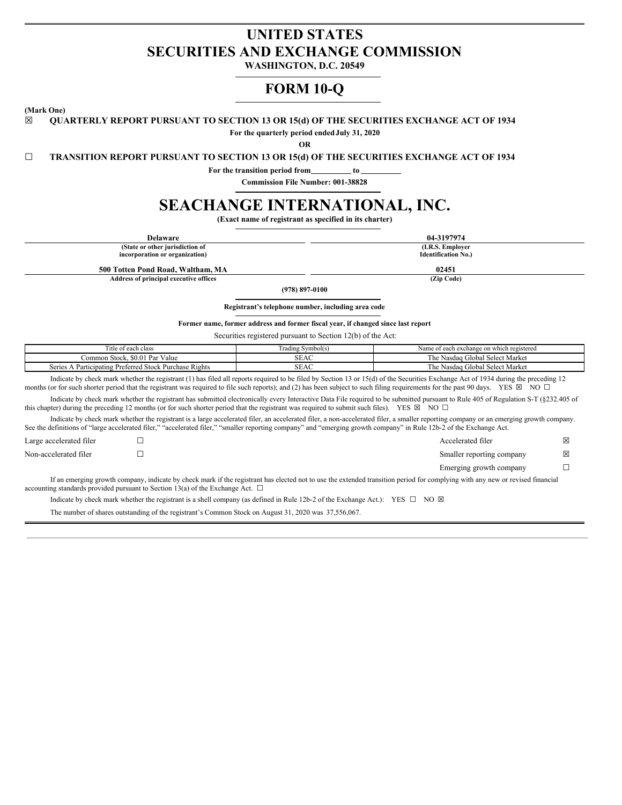# **UNITED STATES SECURITIES AND EXCHANGE COMMISSION**

**WASHINGTON, D.C. 20549**

# **FORM 10-Q**

**(Mark One)**

☒ **QUARTERLY REPORT PURSUANT TO SECTION 13 OR 15(d) OF THE SECURITIES EXCHANGE ACT OF 1934**

**For the quarterly period endedJuly 31, 2020**

**OR**

☐ **TRANSITION REPORT PURSUANT TO SECTION 13 OR 15(d) OF THE SECURITIES EXCHANGE ACT OF 1934**

**For the transition period from to**

**Commission File Number: 001-38828**

# **SEACHANGE INTERNATIONAL, INC.**

**(Exact name of registrant as specified in its charter)**

| <b>Delaware</b><br>04-3197974                                                                            |                                                                                        |                                                                                                                                                            |                                                                                                                                                                                                                                                                                                                                                                                       |   |  |  |  |  |  |  |
|----------------------------------------------------------------------------------------------------------|----------------------------------------------------------------------------------------|------------------------------------------------------------------------------------------------------------------------------------------------------------|---------------------------------------------------------------------------------------------------------------------------------------------------------------------------------------------------------------------------------------------------------------------------------------------------------------------------------------------------------------------------------------|---|--|--|--|--|--|--|
|                                                                                                          | (State or other jurisdiction of                                                        |                                                                                                                                                            | (I.R.S. Employer                                                                                                                                                                                                                                                                                                                                                                      |   |  |  |  |  |  |  |
|                                                                                                          | incorporation or organization)                                                         |                                                                                                                                                            | <b>Identification No.)</b>                                                                                                                                                                                                                                                                                                                                                            |   |  |  |  |  |  |  |
|                                                                                                          | 02451<br>500 Totten Pond Road, Waltham, MA                                             |                                                                                                                                                            |                                                                                                                                                                                                                                                                                                                                                                                       |   |  |  |  |  |  |  |
|                                                                                                          | Address of principal executive offices<br>(Zip Code)                                   |                                                                                                                                                            |                                                                                                                                                                                                                                                                                                                                                                                       |   |  |  |  |  |  |  |
|                                                                                                          |                                                                                        | $(978) 897 - 0100$                                                                                                                                         |                                                                                                                                                                                                                                                                                                                                                                                       |   |  |  |  |  |  |  |
|                                                                                                          |                                                                                        | Registrant's telephone number, including area code                                                                                                         |                                                                                                                                                                                                                                                                                                                                                                                       |   |  |  |  |  |  |  |
|                                                                                                          |                                                                                        | Former name, former address and former fiscal year, if changed since last report                                                                           |                                                                                                                                                                                                                                                                                                                                                                                       |   |  |  |  |  |  |  |
|                                                                                                          |                                                                                        | Securities registered pursuant to Section 12(b) of the Act:                                                                                                |                                                                                                                                                                                                                                                                                                                                                                                       |   |  |  |  |  |  |  |
| Title of each class<br>Name of each exchange on which registered<br>Trading Symbol(s)                    |                                                                                        |                                                                                                                                                            |                                                                                                                                                                                                                                                                                                                                                                                       |   |  |  |  |  |  |  |
| Common Stock, \$0.01 Par Value<br><b>SEAC</b><br>The Nasdaq Global Select Market                         |                                                                                        |                                                                                                                                                            |                                                                                                                                                                                                                                                                                                                                                                                       |   |  |  |  |  |  |  |
| Series A Participating Preferred Stock Purchase Rights<br><b>SEAC</b><br>The Nasdaq Global Select Market |                                                                                        |                                                                                                                                                            |                                                                                                                                                                                                                                                                                                                                                                                       |   |  |  |  |  |  |  |
|                                                                                                          |                                                                                        |                                                                                                                                                            | Indicate by check mark whether the registrant (1) has filed all reports required to be filed by Section 13 or 15(d) of the Securities Exchange Act of 1934 during the preceding 12<br>months (or for such shorter period that the registrant was required to file such reports); and (2) has been subject to such filing requirements for the past 90 days. YES $\boxtimes$ NO $\Box$ |   |  |  |  |  |  |  |
|                                                                                                          |                                                                                        | this chapter) during the preceding 12 months (or for such shorter period that the registrant was required to submit such files). YES $\boxtimes$ NO $\Box$ | Indicate by check mark whether the registrant has submitted electronically every Interactive Data File required to be submitted pursuant to Rule 405 of Regulation S-T (§232.405 of                                                                                                                                                                                                   |   |  |  |  |  |  |  |
|                                                                                                          |                                                                                        |                                                                                                                                                            | Indicate by check mark whether the registrant is a large accelerated filer, an accelerated filer, a non-accelerated filer, a smaller reporting company or an emerging growth company.<br>See the definitions of "large accelerated filer," "accelerated filer," "smaller reporting company" and "emerging growth company" in Rule 12b-2 of the Exchange Act.                          |   |  |  |  |  |  |  |
| Large accelerated filer                                                                                  |                                                                                        |                                                                                                                                                            | Accelerated filer                                                                                                                                                                                                                                                                                                                                                                     | ⊠ |  |  |  |  |  |  |
| Non-accelerated filer                                                                                    | $\mathsf{L}$                                                                           |                                                                                                                                                            | Smaller reporting company                                                                                                                                                                                                                                                                                                                                                             | ⊠ |  |  |  |  |  |  |
|                                                                                                          |                                                                                        |                                                                                                                                                            | Emerging growth company                                                                                                                                                                                                                                                                                                                                                               | □ |  |  |  |  |  |  |
|                                                                                                          | accounting standards provided pursuant to Section 13(a) of the Exchange Act. $\square$ |                                                                                                                                                            | If an emerging growth company, indicate by check mark if the registrant has elected not to use the extended transition period for complying with any new or revised financial                                                                                                                                                                                                         |   |  |  |  |  |  |  |
|                                                                                                          |                                                                                        | TP: III III II II II II VIA IN THE LANG CLEIN AND THE THE MOT                                                                                              |                                                                                                                                                                                                                                                                                                                                                                                       |   |  |  |  |  |  |  |

Indicate by check mark whether the registrant is a shell company (as defined in Rule 12b-2 of the Exchange Act.): YES  $\Box$  NO  $\boxtimes$ 

The number of shares outstanding of the registrant's Common Stock on August 31, 2020 was 37,556,067.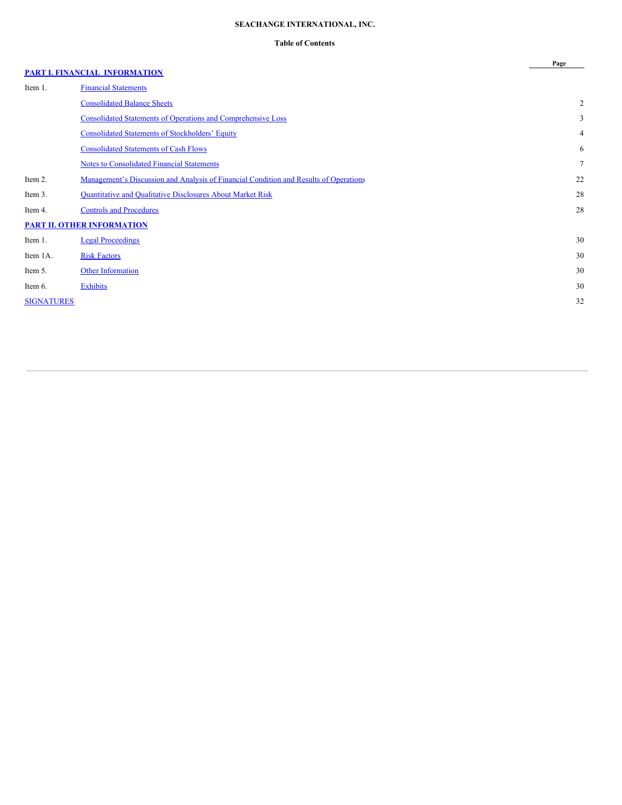# **SEACHANGE INTERNATIONAL, INC.**

#### **Table of Contents**

**Page**

# **PART I. FINANCIAL [INFORMATION](#page-2-0)**

| Item 1.           | <b>Financial Statements</b>                                                                  |                |
|-------------------|----------------------------------------------------------------------------------------------|----------------|
|                   | <b>Consolidated Balance Sheets</b>                                                           | $\overline{2}$ |
|                   | <b>Consolidated Statements of Operations and Comprehensive Loss</b>                          | 3              |
|                   | <b>Consolidated Statements of Stockholders' Equity</b>                                       | 4              |
|                   | <b>Consolidated Statements of Cash Flows</b>                                                 | 6              |
|                   | <b>Notes to Consolidated Financial Statements</b>                                            | 7              |
| Item 2.           | <u>Management's Discussion and Analysis of Financial Condition and Results of Operations</u> | 22             |
| Item 3.           | <b>Quantitative and Qualitative Disclosures About Market Risk</b>                            | 28             |
| Item 4.           | <b>Controls and Procedures</b>                                                               | 28             |
|                   | <b>PART II. OTHER INFORMATION</b>                                                            |                |
| Item 1.           | <b>Legal Proceedings</b>                                                                     | 30             |
| Item 1A.          | <b>Risk Factors</b>                                                                          | 30             |
| Item 5.           | <b>Other Information</b>                                                                     | 30             |
| Item 6.           | <b>Exhibits</b>                                                                              | 30             |
| <b>SIGNATURES</b> |                                                                                              | 32             |
|                   |                                                                                              |                |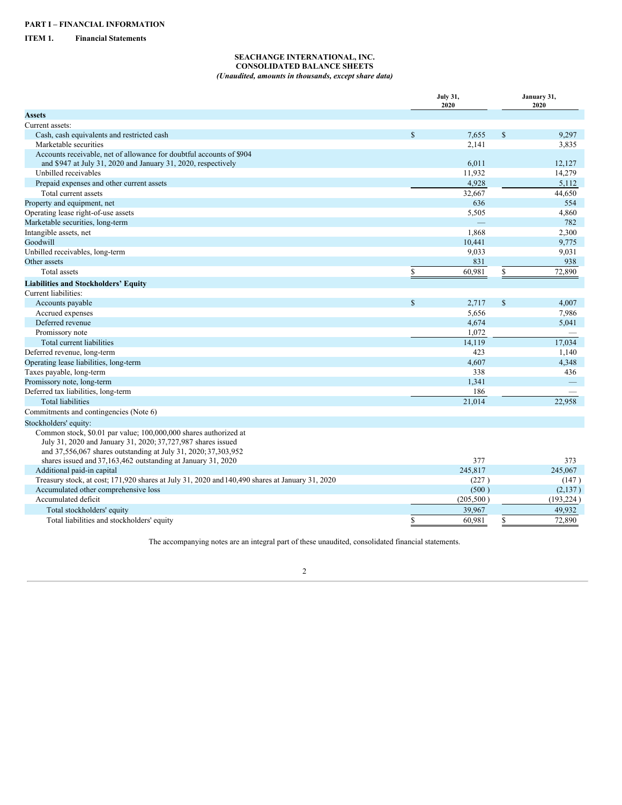#### <span id="page-2-1"></span><span id="page-2-0"></span>**ITEM 1. Financial Statements**

### **SEACHANGE INTERNATIONAL, INC. CONSOLIDATED BALANCE SHEETS** *(Unaudited, amounts in thousands, except share data)*

<span id="page-2-2"></span>

|                                                                                                                                                                                                    |              | <b>July 31,</b><br>2020 | January 31,<br>2020 |            |  |
|----------------------------------------------------------------------------------------------------------------------------------------------------------------------------------------------------|--------------|-------------------------|---------------------|------------|--|
| <b>Assets</b>                                                                                                                                                                                      |              |                         |                     |            |  |
| Current assets:                                                                                                                                                                                    |              |                         |                     |            |  |
| Cash, cash equivalents and restricted cash                                                                                                                                                         | S            | 7,655                   | $\mathbb{S}$        | 9,297      |  |
| Marketable securities                                                                                                                                                                              |              | 2,141                   |                     | 3,835      |  |
| Accounts receivable, net of allowance for doubtful accounts of \$904                                                                                                                               |              |                         |                     |            |  |
| and \$947 at July 31, 2020 and January 31, 2020, respectively                                                                                                                                      |              | 6,011                   |                     | 12,127     |  |
| Unbilled receivables                                                                                                                                                                               |              | 11,932                  |                     | 14,279     |  |
| Prepaid expenses and other current assets                                                                                                                                                          |              | 4,928                   |                     | 5,112      |  |
| Total current assets                                                                                                                                                                               |              | 32,667                  |                     | 44,650     |  |
| Property and equipment, net                                                                                                                                                                        |              | 636                     |                     | 554        |  |
| Operating lease right-of-use assets                                                                                                                                                                |              | 5,505                   |                     | 4,860      |  |
| Marketable securities, long-term                                                                                                                                                                   |              |                         |                     | 782        |  |
| Intangible assets, net                                                                                                                                                                             |              | 1,868                   |                     | 2,300      |  |
| Goodwill                                                                                                                                                                                           |              | 10,441                  |                     | 9,775      |  |
| Unbilled receivables, long-term                                                                                                                                                                    |              | 9,033                   |                     | 9,031      |  |
| Other assets                                                                                                                                                                                       |              | 831                     |                     | 938        |  |
| Total assets                                                                                                                                                                                       | \$           | 60,981                  | \$                  | 72,890     |  |
| <b>Liabilities and Stockholders' Equity</b>                                                                                                                                                        |              |                         |                     |            |  |
| Current liabilities:                                                                                                                                                                               |              |                         |                     |            |  |
| Accounts payable                                                                                                                                                                                   | $\mathbb{S}$ | 2,717                   | $\mathbb{S}$        | 4,007      |  |
| Accrued expenses                                                                                                                                                                                   |              | 5,656                   |                     | 7,986      |  |
| Deferred revenue                                                                                                                                                                                   |              | 4,674                   |                     | 5,041      |  |
| Promissory note                                                                                                                                                                                    |              | 1,072                   |                     |            |  |
| Total current liabilities                                                                                                                                                                          |              | 14,119                  |                     | 17,034     |  |
| Deferred revenue, long-term                                                                                                                                                                        |              | 423                     |                     | 1,140      |  |
| Operating lease liabilities, long-term                                                                                                                                                             |              | 4,607                   |                     | 4,348      |  |
| Taxes payable, long-term                                                                                                                                                                           |              | 338                     |                     | 436        |  |
| Promissory note, long-term                                                                                                                                                                         |              | 1,341                   |                     |            |  |
| Deferred tax liabilities, long-term                                                                                                                                                                |              | 186                     |                     |            |  |
| <b>Total liabilities</b>                                                                                                                                                                           |              | 21,014                  |                     | 22,958     |  |
| Commitments and contingencies (Note 6)                                                                                                                                                             |              |                         |                     |            |  |
| Stockholders' equity:                                                                                                                                                                              |              |                         |                     |            |  |
| Common stock, \$0.01 par value; 100,000,000 shares authorized at<br>July 31, 2020 and January 31, 2020; 37,727,987 shares issued<br>and 37,556,067 shares outstanding at July 31, 2020; 37,303,952 |              |                         |                     |            |  |
| shares issued and 37,163,462 outstanding at January 31, 2020                                                                                                                                       |              | 377                     |                     | 373        |  |
| Additional paid-in capital                                                                                                                                                                         |              | 245,817                 |                     | 245,067    |  |
| Treasury stock, at cost; 171,920 shares at July 31, 2020 and 140,490 shares at January 31, 2020                                                                                                    |              | (227)                   |                     | (147)      |  |
| Accumulated other comprehensive loss                                                                                                                                                               |              | (500)                   |                     | (2,137)    |  |
| Accumulated deficit                                                                                                                                                                                |              | (205,500)               |                     | (193, 224) |  |
| Total stockholders' equity                                                                                                                                                                         |              | 39,967                  |                     | 49,932     |  |
| Total liabilities and stockholders' equity                                                                                                                                                         | \$           | 60,981                  | \$                  | 72,890     |  |

The accompanying notes are an integral part of these unaudited, consolidated financial statements.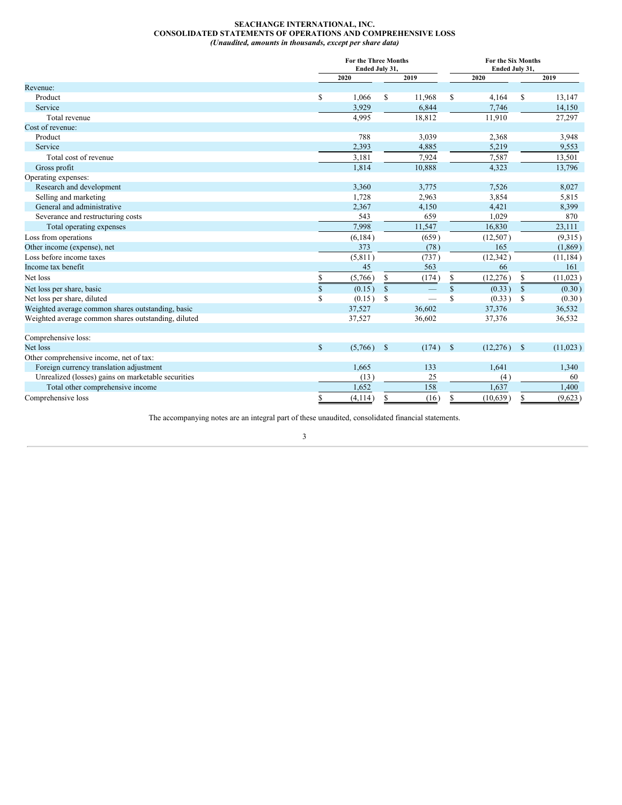#### **SEACHANGE INTERNATIONAL, INC. CONSOLIDATED STATEMENTS OF OPERATIONS AND COMPREHENSIVE LOSS** *(Unaudited, amounts in thousands, except per share data)*

<span id="page-3-0"></span>

|                                                     |              | <b>For the Three Months</b><br>Ended July 31, |              |        |    | For the Six Months<br>Ended July 31. |               |           |  |
|-----------------------------------------------------|--------------|-----------------------------------------------|--------------|--------|----|--------------------------------------|---------------|-----------|--|
|                                                     |              | 2020                                          |              | 2019   |    | 2020                                 |               | 2019      |  |
| Revenue:                                            |              |                                               |              |        |    |                                      |               |           |  |
| Product                                             | S            | 1,066                                         | \$           | 11,968 | \$ | 4,164                                | S             | 13,147    |  |
| Service                                             |              | 3,929                                         |              | 6,844  |    | 7,746                                |               | 14,150    |  |
| Total revenue                                       |              | 4,995                                         |              | 18,812 |    | 11,910                               |               | 27,297    |  |
| Cost of revenue:                                    |              |                                               |              |        |    |                                      |               |           |  |
| Product                                             |              | 788                                           |              | 3,039  |    | 2,368                                |               | 3,948     |  |
| Service                                             |              | 2,393                                         |              | 4,885  |    | 5,219                                |               | 9,553     |  |
| Total cost of revenue                               |              | 3,181                                         |              | 7,924  |    | 7,587                                |               | 13,501    |  |
| Gross profit                                        |              | 1,814                                         |              | 10,888 |    | 4,323                                |               | 13,796    |  |
| Operating expenses:                                 |              |                                               |              |        |    |                                      |               |           |  |
| Research and development                            |              | 3,360                                         |              | 3,775  |    | 7,526                                |               | 8,027     |  |
| Selling and marketing                               |              | 1,728                                         |              | 2,963  |    | 3,854                                |               | 5,815     |  |
| General and administrative                          |              | 2,367                                         |              | 4,150  |    | 4,421                                |               | 8,399     |  |
| Severance and restructuring costs                   |              | 543                                           |              | 659    |    | 1,029                                |               | 870       |  |
| Total operating expenses                            |              | 7,998                                         |              | 11,547 |    | 16,830                               |               | 23,111    |  |
| Loss from operations                                |              | (6, 184)                                      |              | (659)  |    | (12, 507)                            |               | (9,315)   |  |
| Other income (expense), net                         |              | 373                                           |              | (78)   |    | 165                                  |               | (1,869)   |  |
| Loss before income taxes                            |              | (5,811)                                       |              | (737)  |    | (12, 342)                            |               | (11, 184) |  |
| Income tax benefit                                  |              | 45                                            |              | 563    |    | 66                                   |               | 161       |  |
| Net loss                                            | S            | (5,766)                                       | \$           | (174)  | \$ | (12, 276)                            | S             | (11,023)  |  |
| Net loss per share, basic                           | \$           | (0.15)                                        | \$           |        | \$ | (0.33)                               | <sup>S</sup>  | (0.30)    |  |
| Net loss per share, diluted                         | S            | (0.15)                                        | \$           |        | \$ | (0.33)                               | S             | (0.30)    |  |
| Weighted average common shares outstanding, basic   |              | 37,527                                        |              | 36,602 |    | 37,376                               |               | 36,532    |  |
| Weighted average common shares outstanding, diluted |              | 37,527                                        |              | 36,602 |    | 37,376                               |               | 36,532    |  |
| Comprehensive loss:                                 |              |                                               |              |        |    |                                      |               |           |  |
| Net loss                                            | $\mathbb{S}$ | (5,766)                                       | $\mathbb{S}$ | (174)  | \$ | (12, 276)                            | <sup>\$</sup> | (11,023)  |  |
| Other comprehensive income, net of tax:             |              |                                               |              |        |    |                                      |               |           |  |
| Foreign currency translation adjustment             |              | 1,665                                         |              | 133    |    | 1,641                                |               | 1,340     |  |
| Unrealized (losses) gains on marketable securities  |              | (13)                                          |              | 25     |    | (4)                                  |               | 60        |  |
| Total other comprehensive income                    |              | 1,652                                         |              | 158    |    | 1,637                                |               | 1,400     |  |
| Comprehensive loss                                  | \$           | (4, 114)                                      | \$           | (16)   | \$ | (10, 639)                            | S             | (9,623)   |  |

The accompanying notes are an integral part of these unaudited, consolidated financial statements.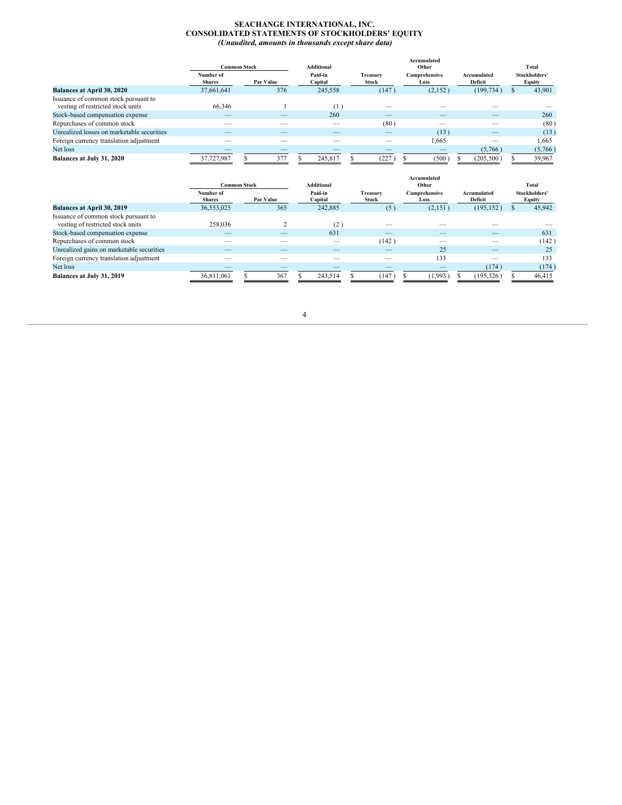#### **SEACHANGE INTERNATIONAL, INC. CONSOLIDATED STATEMENTS OF STOCKHOLDERS' EQUITY** *(Unaudited, amounts in thousands except share data)*

<span id="page-4-0"></span>

|                                            |               |                     |            |                          | Accumulated   |             |               |
|--------------------------------------------|---------------|---------------------|------------|--------------------------|---------------|-------------|---------------|
|                                            |               | <b>Common Stock</b> | Additional |                          | Total         |             |               |
|                                            | Number of     |                     | Paid-in    | <b>Treasurv</b>          | Comprehensive | Accumulated | Stockholders' |
|                                            | <b>Shares</b> | Par Value           | Capital    | Stock                    | Loss          | Deficit     | Equity        |
| <b>Balances at April 30, 2020</b>          | 37,661,641    | 376                 | 245,558    | (147)                    | (2,152)       | (199, 734)  | 43,901        |
| Issuance of common stock pursuant to       |               |                     |            |                          |               |             |               |
| vesting of restricted stock units          | 66,346        |                     | (1         | $\overline{\phantom{a}}$ |               |             |               |
| Stock-based compensation expense           | __            | --                  | 260        | $-$                      |               |             | 260           |
| Repurchases of common stock                |               |                     |            | (80)                     |               |             | (80)          |
| Unrealized losses on marketable securities |               |                     |            |                          | (13)          |             | (13)          |
| Foreign currency translation adjustment    |               |                     |            |                          | 1,665         |             | 1,665         |
| Net loss                                   |               |                     |            |                          | $-$           | (5,766)     | (5,766)       |
| Balances at July 31, 2020                  | 37,727,987    | 377                 | 245,817    | 227                      | (500          | (205, 500)  | 39,967        |

|                                                                           |                            |                     | <b>Accumulated</b> |                          |                                                 |            |                         |  |  |  |  |  |  |
|---------------------------------------------------------------------------|----------------------------|---------------------|--------------------|--------------------------|-------------------------------------------------|------------|-------------------------|--|--|--|--|--|--|
|                                                                           |                            | <b>Common Stock</b> | <b>Additional</b>  | Other                    |                                                 |            |                         |  |  |  |  |  |  |
|                                                                           | Number of<br><b>Shares</b> | Par Value           | Paid-in<br>Capital | Treasury<br><b>Stock</b> | Comprehensive<br>Accumulated<br>Deficit<br>Loss |            | Stockholders'<br>Equity |  |  |  |  |  |  |
| <b>Balances at April 30, 2019</b>                                         | 36,553,025                 | 365                 | 242,885            | (5)                      | (2,151)                                         | (195, 152) | 45,942                  |  |  |  |  |  |  |
| Issuance of common stock pursuant to<br>vesting of restricted stock units | 258,036                    |                     | (2)                |                          |                                                 |            |                         |  |  |  |  |  |  |
| Stock-based compensation expense                                          |                            |                     | 631                |                          |                                                 |            | 631                     |  |  |  |  |  |  |
| Repurchases of common stock                                               |                            |                     |                    | (142)                    |                                                 |            | (142)                   |  |  |  |  |  |  |
| Unrealized gains on marketable securities                                 | $-$                        | $-$                 | __                 | $-$                      | 25                                              | $-$        | 25                      |  |  |  |  |  |  |
| Foreign currency translation adjustment                                   | --                         | __                  |                    | --                       | 133                                             | __         | 133                     |  |  |  |  |  |  |
| Net loss                                                                  |                            |                     |                    |                          |                                                 | (174)      | (174)                   |  |  |  |  |  |  |
| Balances at July 31, 2019                                                 | 36,811,061                 | 367                 | 243,514            | (147)                    | (1,993)                                         | (195, 326) | 46,415                  |  |  |  |  |  |  |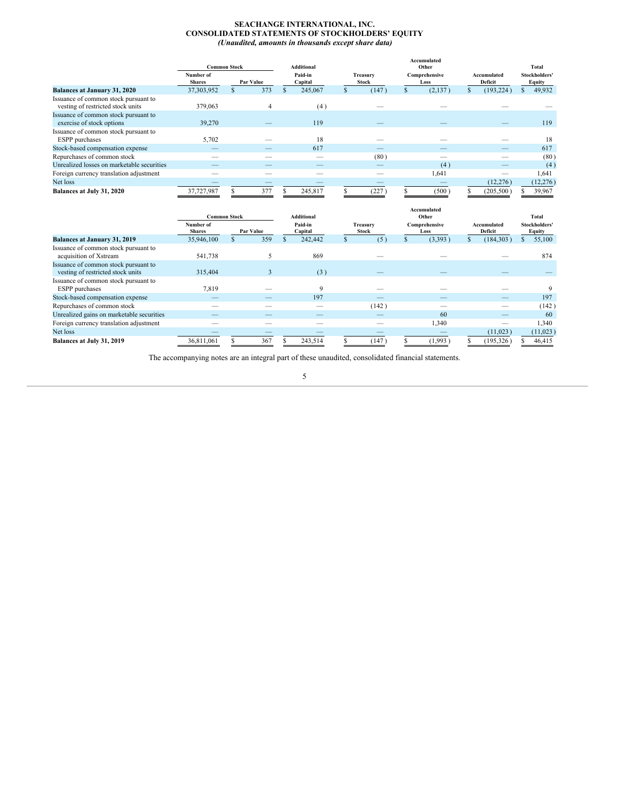#### **SEACHANGE INTERNATIONAL, INC. CONSOLIDATED STATEMENTS OF STOCKHOLDERS' EQUITY** *(Unaudited, amounts in thousands except share data)*

|                                                                           |                            | <b>Common Stock</b> |           | <b>Additional</b>  |                   | <b>Accumulated</b><br>Other |    |                        | Total                   |
|---------------------------------------------------------------------------|----------------------------|---------------------|-----------|--------------------|-------------------|-----------------------------|----|------------------------|-------------------------|
|                                                                           | Number of<br><b>Shares</b> |                     | Par Value | Paid-in<br>Capital | Treasury<br>Stock | Comprehensive<br>Loss       |    | Accumulated<br>Deficit | Stockholders'<br>Equity |
| <b>Balances at January 31, 2020</b>                                       | 37,303,952                 |                     | 373       | 245,067            | (147)             | (2,137)                     | ъ. | (193, 224)             | 49,932                  |
| Issuance of common stock pursuant to<br>vesting of restricted stock units | 379,063                    |                     | 4         | (4)                |                   |                             |    |                        |                         |
| Issuance of common stock pursuant to<br>exercise of stock options         | 39,270                     |                     |           | 119                |                   |                             |    |                        | 119                     |
| Issuance of common stock pursuant to<br>ESPP purchases                    | 5,702                      |                     |           | 18                 |                   |                             |    |                        | 18                      |
| Stock-based compensation expense                                          |                            |                     |           | 617                |                   |                             |    |                        | 617                     |
| Repurchases of common stock                                               | --                         |                     |           | __                 | (80)              |                             |    | __                     | (80)                    |
| Unrealized losses on marketable securities                                |                            |                     |           |                    |                   | (4)                         |    |                        | (4)                     |
| Foreign currency translation adjustment                                   |                            |                     |           |                    |                   | 1,641                       |    |                        | 1,641                   |
| Net loss                                                                  |                            |                     |           |                    |                   |                             |    | (12, 276)              | (12, 276)               |
| Balances at July 31, 2020                                                 | 37,727,987                 |                     | 377       | 245,817            | 227               | (500)                       |    | (205, 500)             | 39,967                  |

|                                           |               |                     |           |         |                   |          |                          |               | <b>Accumulated</b> |             |            |               |           |
|-------------------------------------------|---------------|---------------------|-----------|---------|-------------------|----------|--------------------------|---------------|--------------------|-------------|------------|---------------|-----------|
|                                           |               | <b>Common Stock</b> |           |         | <b>Additional</b> |          | Other                    |               |                    |             |            |               | Total     |
|                                           | Number of     |                     |           | Paid-in |                   | Treasury |                          | Comprehensive |                    | Accumulated |            | Stockholders' |           |
|                                           | <b>Shares</b> |                     | Par Value |         | Capital           |          | Stock                    |               | Loss               |             | Deficit    |               | Equity    |
| <b>Balances at January 31, 2019</b>       | 35,946,100    |                     | 359       |         | 242,442           |          | (5)                      |               | (3,393)            |             | (184, 303) |               | 55,100    |
| Issuance of common stock pursuant to      |               |                     |           |         |                   |          |                          |               |                    |             |            |               |           |
| acquisition of Xstream                    | 541,738       |                     |           |         | 869               |          |                          |               |                    |             |            |               | 874       |
| Issuance of common stock pursuant to      |               |                     |           |         |                   |          |                          |               |                    |             |            |               |           |
| vesting of restricted stock units         | 315,404       |                     | 3         |         | (3)               |          |                          |               |                    |             |            |               |           |
| Issuance of common stock pursuant to      |               |                     |           |         |                   |          |                          |               |                    |             |            |               |           |
| <b>ESPP</b> purchases                     | 7,819         |                     |           |         | Q                 |          |                          |               |                    |             |            |               | 9         |
| Stock-based compensation expense          |               |                     | _         |         | 197               |          | $\overline{\phantom{a}}$ |               | –                  |             |            |               | 197       |
| Repurchases of common stock               |               |                     |           |         |                   |          | (142)                    |               |                    |             |            |               | (142)     |
| Unrealized gains on marketable securities |               |                     |           |         |                   |          |                          |               | 60                 |             |            |               | 60        |
| Foreign currency translation adjustment   |               |                     |           |         |                   |          |                          |               | 1,340              |             |            |               | 1,340     |
| Net loss                                  |               |                     |           |         |                   |          |                          |               |                    |             | (11, 023)  |               | (11, 023) |
| Balances at July 31, 2019                 | 36,811,061    |                     | 367       |         | 243,514           |          | (147)                    |               | (1,993)            |             | (195, 326) |               | 46,415    |

The accompanying notes are an integral part of these unaudited, consolidated financial statements.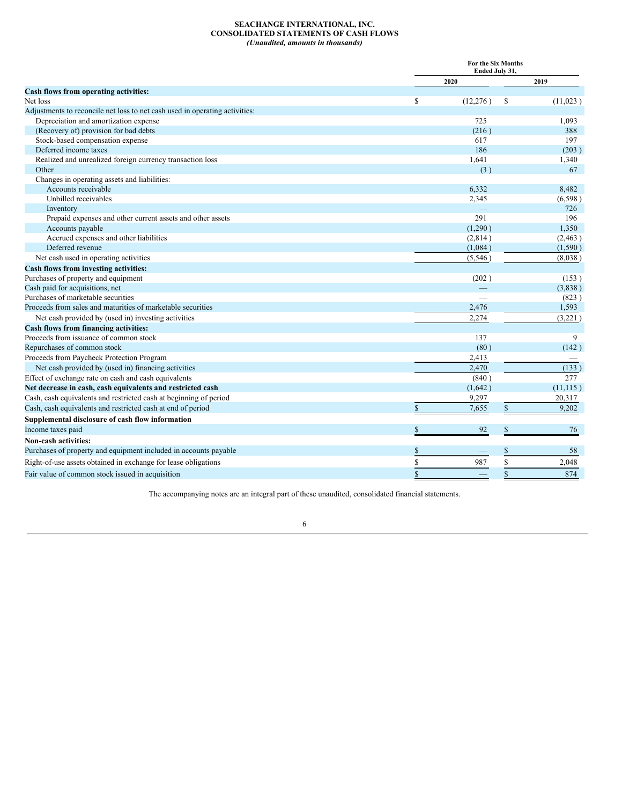#### **SEACHANGE INTERNATIONAL, INC. CONSOLIDATED STATEMENTS OF CASH FLOWS** *(Unaudited, amounts in thousands)*

<span id="page-6-0"></span>

| 2020<br>2019<br>Cash flows from operating activities:<br>\$<br>Net loss<br>(12, 276)<br>\$<br>Adjustments to reconcile net loss to net cash used in operating activities:<br>Depreciation and amortization expense<br>725 | (11,023)<br>1,093<br>388<br>197 |
|---------------------------------------------------------------------------------------------------------------------------------------------------------------------------------------------------------------------------|---------------------------------|
|                                                                                                                                                                                                                           |                                 |
|                                                                                                                                                                                                                           |                                 |
|                                                                                                                                                                                                                           |                                 |
|                                                                                                                                                                                                                           |                                 |
|                                                                                                                                                                                                                           |                                 |
| (Recovery of) provision for bad debts<br>(216)                                                                                                                                                                            |                                 |
| Stock-based compensation expense<br>617                                                                                                                                                                                   |                                 |
| Deferred income taxes<br>186                                                                                                                                                                                              | (203)                           |
| Realized and unrealized foreign currency transaction loss<br>1,641                                                                                                                                                        | 1,340                           |
| (3)<br>Other                                                                                                                                                                                                              | 67                              |
| Changes in operating assets and liabilities:                                                                                                                                                                              |                                 |
| Accounts receivable<br>6,332                                                                                                                                                                                              | 8,482                           |
| Unbilled receivables<br>2,345                                                                                                                                                                                             | (6,598)                         |
| Inventory                                                                                                                                                                                                                 | 726                             |
| Prepaid expenses and other current assets and other assets<br>291                                                                                                                                                         | 196                             |
| Accounts payable<br>(1,290)                                                                                                                                                                                               | 1,350                           |
| Accrued expenses and other liabilities<br>(2,814)                                                                                                                                                                         | (2, 463)                        |
| Deferred revenue<br>(1,084)                                                                                                                                                                                               | (1,590)                         |
| Net cash used in operating activities<br>(5,546)                                                                                                                                                                          | (8,038)                         |
| <b>Cash flows from investing activities:</b>                                                                                                                                                                              |                                 |
| Purchases of property and equipment<br>(202)                                                                                                                                                                              | (153)                           |
| Cash paid for acquisitions, net                                                                                                                                                                                           | (3,838)                         |
| Purchases of marketable securities                                                                                                                                                                                        | (823)                           |
| Proceeds from sales and maturities of marketable securities<br>2,476                                                                                                                                                      | 1,593                           |
| Net cash provided by (used in) investing activities<br>2,274                                                                                                                                                              | (3,221)                         |
| Cash flows from financing activities:                                                                                                                                                                                     |                                 |
| Proceeds from issuance of common stock<br>137                                                                                                                                                                             | 9                               |
| Repurchases of common stock<br>(80)                                                                                                                                                                                       | (142)                           |
| Proceeds from Paycheck Protection Program<br>2,413                                                                                                                                                                        |                                 |
| Net cash provided by (used in) financing activities<br>2,470                                                                                                                                                              | (133)                           |
| Effect of exchange rate on cash and cash equivalents<br>(840)                                                                                                                                                             | 277                             |
| Net decrease in cash, cash equivalents and restricted cash<br>(1,642)                                                                                                                                                     | (11, 115)                       |
| Cash, cash equivalents and restricted cash at beginning of period<br>9,297                                                                                                                                                | 20,317                          |
| Cash, cash equivalents and restricted cash at end of period<br>\$<br>\$<br>7,655                                                                                                                                          | 9,202                           |
| Supplemental disclosure of cash flow information                                                                                                                                                                          |                                 |
| Income taxes paid<br>\$<br>92<br>\$                                                                                                                                                                                       | 76                              |
| Non-cash activities:                                                                                                                                                                                                      |                                 |
| Purchases of property and equipment included in accounts payable<br>$\mathbb{S}$<br>\$                                                                                                                                    | 58                              |
| Right-of-use assets obtained in exchange for lease obligations<br>\$<br>\$<br>987                                                                                                                                         | 2,048                           |
| Fair value of common stock issued in acquisition<br>\$<br>S                                                                                                                                                               | 874                             |

The accompanying notes are an integral part of these unaudited, consolidated financial statements.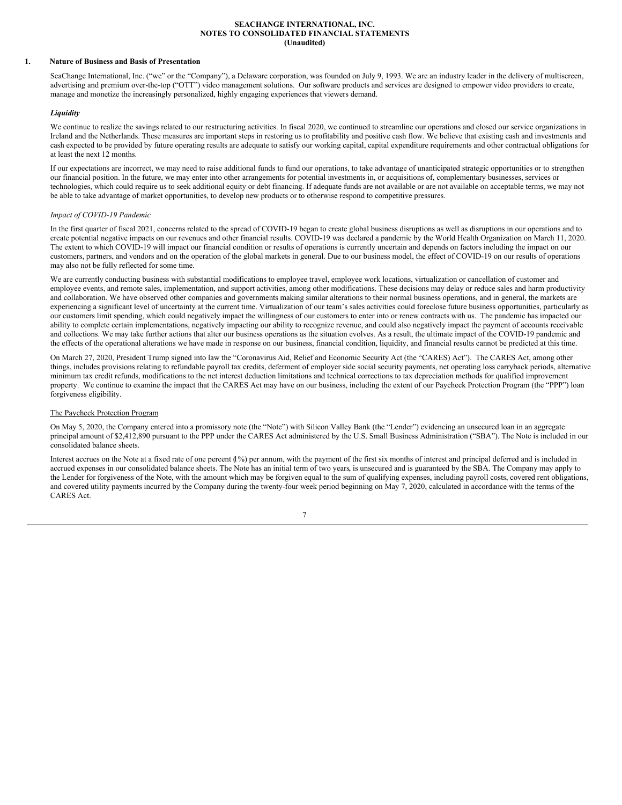#### **SEACHANGE INTERNATIONAL, INC. NOTES TO CONSOLIDATED FINANCIAL STATEMENTS (Unaudited)**

#### <span id="page-7-0"></span>**1. Nature of Business and Basis of Presentation**

SeaChange International, Inc. ("we" or the "Company"), a Delaware corporation, was founded on July 9, 1993. We are an industry leader in the delivery of multiscreen, advertising and premium over-the-top ("OTT") video management solutions. Our software products and services are designed to empower video providers to create, manage and monetize the increasingly personalized, highly engaging experiences that viewers demand.

#### *Liquidity*

We continue to realize the savings related to our restructuring activities. In fiscal 2020, we continued to streamline our operations and closed our service organizations in Ireland and the Netherlands. These measures are important steps in restoring us to profitability and positive cash flow. We believe that existing cash and investments and cash expected to be provided by future operating results are adequate to satisfy our working capital, capital expenditure requirements and other contractual obligations for at least the next 12 months.

If our expectations are incorrect, we may need to raise additional funds to fund our operations, to take advantage of unanticipated strategic opportunities or to strengthen our financial position. In the future, we may enter into other arrangements for potential investments in, or acquisitions of, complementary businesses, services or technologies, which could require us to seek additional equity or debt financing. If adequate funds are not available or are not available on acceptable terms, we may not be able to take advantage of market opportunities, to develop new products or to otherwise respond to competitive pressures.

#### *Impact of COVID-19 Pandemic*

In the first quarter of fiscal 2021, concerns related to the spread of COVID-19 began to create global business disruptions as well as disruptions in our operations and to create potential negative impacts on our revenues and other financial results. COVID-19 was declared a pandemic by the World Health Organization on March 11, 2020. The extent to which COVID-19 will impact our financial condition or results of operations is currently uncertain and depends on factors including the impact on our customers, partners, and vendors and on the operation of the global markets in general. Due to our business model, the effect of COVID-19 on our results of operations may also not be fully reflected for some time.

We are currently conducting business with substantial modifications to employee travel, employee work locations, virtualization or cancellation of customer and employee events, and remote sales, implementation, and support activities, among other modifications. These decisions may delay or reduce sales and harm productivity and collaboration. We have observed other companies and governments making similar alterations to their normal business operations, and in general, the markets are experiencing a significant level of uncertainty at the current time. Virtualization of our team's sales activities could foreclose future business opportunities, particularly as our customers limit spending, which could negatively impact the willingness of our customers to enter into or renew contracts with us. The pandemic has impacted our ability to complete certain implementations, negatively impacting our ability to recognize revenue, and could also negatively impact the payment of accounts receivable and collections. We may take further actions that alter our business operations as the situation evolves. As a result, the ultimate impact of the COVID-19 pandemic and the effects of the operational alterations we have made in response on our business, financial condition, liquidity, and financial results cannot be predicted at this time.

On March 27, 2020, President Trump signed into law the "Coronavirus Aid, Relief and Economic Security Act (the "CARES) Act"). The CARES Act, among other things, includes provisions relating to refundable payroll tax credits, deferment of employer side social security payments, net operating loss carryback periods, alternative minimum tax credit refunds, modifications to the net interest deduction limitations and technical corrections to tax depreciation methods for qualified improvement property. We continue to examine the impact that the CARES Act may have on our business, including the extent of our Paycheck Protection Program (the "PPP") loan forgiveness eligibility.

#### The Paycheck Protection Program

On May 5, 2020, the Company entered into a promissory note (the "Note") with Silicon Valley Bank (the "Lender") evidencing an unsecured loan in an aggregate principal amount of \$2,412,890 pursuant to the PPP under the CARES Act administered by the U.S. Small Business Administration ("SBA"). The Note is included in our consolidated balance sheets.

Interest accrues on the Note at a fixed rate of one percent  $(1%)$  per annum, with the payment of the first six months of interest and principal deferred and is included in accrued expenses in our consolidated balance sheets. The Note has an initial term of two years, is unsecured and is guaranteed by the SBA. The Company may apply to the Lender for forgiveness of the Note, with the amount which may be forgiven equal to the sum of qualifying expenses, including payroll costs, covered rent obligations, and covered utility payments incurred by the Company during the twenty-four week period beginning on May 7, 2020, calculated in accordance with the terms of the CARES Act.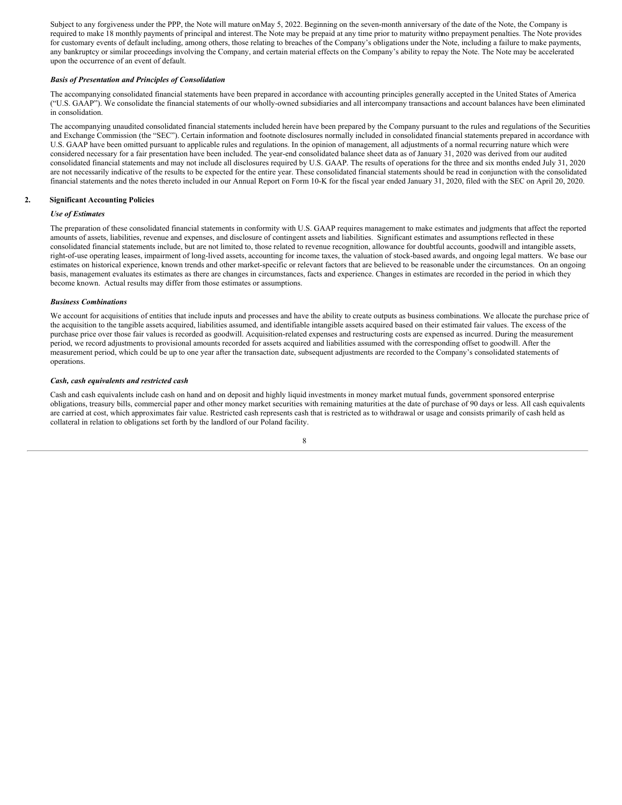Subject to any forgiveness under the PPP, the Note will mature onMay 5, 2022. Beginning on the seven-month anniversary of the date of the Note, the Company is required to make 18 monthly payments of principal and interest.The Note may be prepaid at any time prior to maturity withno prepayment penalties. The Note provides for customary events of default including, among others, those relating to breaches of the Company's obligations under the Note, including a failure to make payments, any bankruptcy or similar proceedings involving the Company, and certain material effects on the Company's ability to repay the Note. The Note may be accelerated upon the occurrence of an event of default.

#### *Basis of Presentation and Principles of Consolidation*

The accompanying consolidated financial statements have been prepared in accordance with accounting principles generally accepted in the United States of America ("U.S. GAAP"). We consolidate the financial statements of our wholly-owned subsidiaries and all intercompany transactions and account balances have been eliminated in consolidation.

The accompanying unaudited consolidated financial statements included herein have been prepared by the Company pursuant to the rules and regulations of the Securities and Exchange Commission (the "SEC"). Certain information and footnote disclosures normally included in consolidated financial statements prepared in accordance with U.S. GAAP have been omitted pursuant to applicable rules and regulations. In the opinion of management, all adjustments of a normal recurring nature which were considered necessary for a fair presentation have been included. The year-end consolidated balance sheet data as of January 31, 2020 was derived from our audited consolidated financial statements and may not include all disclosures required by U.S. GAAP. The results of operations for the three and six months ended July 31, 2020 are not necessarily indicative of the results to be expected for the entire year. These consolidated financial statements should be read in conjunction with the consolidated financial statements and the notes thereto included in our Annual Report on Form 10-K for the fiscal year ended January 31, 2020, filed with the SEC on April 20, 2020.

#### **2. Significant Accounting Policies**

#### *Use of Estimates*

The preparation of these consolidated financial statements in conformity with U.S. GAAP requires management to make estimates and judgments that affect the reported amounts of assets, liabilities, revenue and expenses, and disclosure of contingent assets and liabilities. Significant estimates and assumptions reflected in these consolidated financial statements include, but are not limited to, those related to revenue recognition, allowance for doubtful accounts, goodwill and intangible assets, right-of-use operating leases, impairment of long-lived assets, accounting for income taxes, the valuation of stock-based awards, and ongoing legal matters. We base our estimates on historical experience, known trends and other market-specific or relevant factors that are believed to be reasonable under the circumstances. On an ongoing basis, management evaluates its estimates as there are changes in circumstances, facts and experience. Changes in estimates are recorded in the period in which they become known. Actual results may differ from those estimates or assumptions.

#### *Business Combinations*

We account for acquisitions of entities that include inputs and processes and have the ability to create outputs as business combinations. We allocate the purchase price of the acquisition to the tangible assets acquired, liabilities assumed, and identifiable intangible assets acquired based on their estimated fair values. The excess of the purchase price over those fair values is recorded as goodwill. Acquisition-related expenses and restructuring costs are expensed as incurred. During the measurement period, we record adjustments to provisional amounts recorded for assets acquired and liabilities assumed with the corresponding offset to goodwill. After the measurement period, which could be up to one year after the transaction date, subsequent adjustments are recorded to the Company's consolidated statements of operations.

#### *Cash, cash equivalents and restricted cash*

Cash and cash equivalents include cash on hand and on deposit and highly liquid investments in money market mutual funds, government sponsored enterprise obligations, treasury bills, commercial paper and other money market securities with remaining maturities at the date of purchase of 90 days or less. All cash equivalents are carried at cost, which approximates fair value. Restricted cash represents cash that is restricted as to withdrawal or usage and consists primarily of cash held as collateral in relation to obligations set forth by the landlord of our Poland facility.

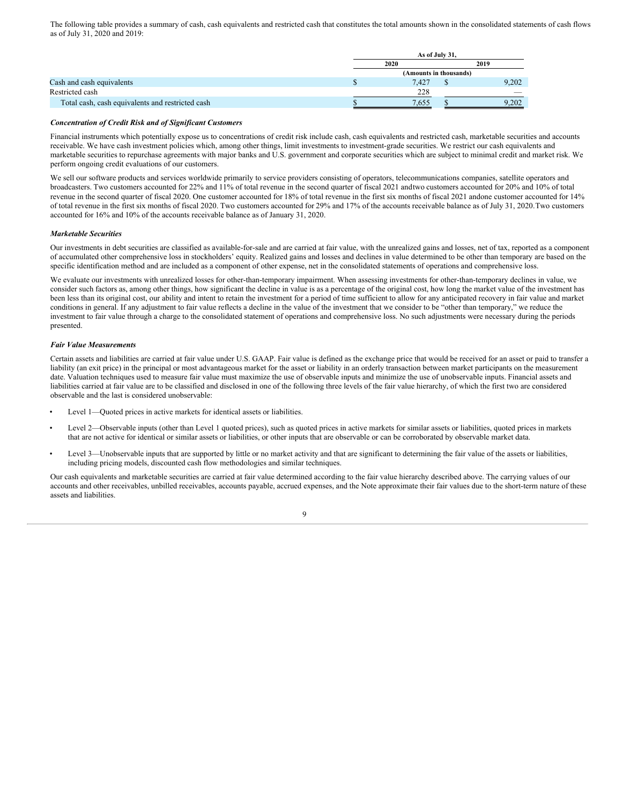The following table provides a summary of cash, cash equivalents and restricted cash that constitutes the total amounts shown in the consolidated statements of cash flows as of July 31, 2020 and 2019:

|                                                  | As of July 31.         |      |       |  |  |  |
|--------------------------------------------------|------------------------|------|-------|--|--|--|
|                                                  | 2020                   | 2019 |       |  |  |  |
|                                                  | (Amounts in thousands) |      |       |  |  |  |
| Cash and cash equivalents                        | 7.427                  |      | 9.202 |  |  |  |
| Restricted cash                                  | 228                    |      |       |  |  |  |
| Total cash, cash equivalents and restricted cash | 7.655                  |      | 9.202 |  |  |  |

#### *Concentration of Credit Risk and of Significant Customers*

Financial instruments which potentially expose us to concentrations of credit risk include cash, cash equivalents and restricted cash, marketable securities and accounts receivable. We have cash investment policies which, among other things, limit investments to investment-grade securities. We restrict our cash equivalents and marketable securities to repurchase agreements with major banks and U.S. government and corporate securities which are subject to minimal credit and market risk. We perform ongoing credit evaluations of our customers.

We sell our software products and services worldwide primarily to service providers consisting of operators, telecommunications companies, satellite operators and broadcasters. Two customers accounted for 22% and 11% of total revenue in the second quarter of fiscal 2021 andtwo customers accounted for 20% and 10% of total revenue in the second quarter of fiscal 2020. One customer accounted for 18% of total revenue in the first six months of fiscal 2021 andone customer accounted for 14% of total revenue in the first six months of fiscal 2020. Two customers accounted for 29% and 17% of the accounts receivable balance as of July 31, 2020.Two customers accounted for 16% and 10% of the accounts receivable balance as of January 31, 2020.

#### *Marketable Securities*

Our investments in debt securities are classified as available-for-sale and are carried at fair value, with the unrealized gains and losses, net of tax, reported as a component of accumulated other comprehensive loss in stockholders' equity. Realized gains and losses and declines in value determined to be other than temporary are based on the specific identification method and are included as a component of other expense, net in the consolidated statements of operations and comprehensive loss.

We evaluate our investments with unrealized losses for other-than-temporary impairment. When assessing investments for other-than-temporary declines in value, we consider such factors as, among other things, how significant the decline in value is as a percentage of the original cost, how long the market value of the investment has been less than its original cost, our ability and intent to retain the investment for a period of time sufficient to allow for any anticipated recovery in fair value and market conditions in general. If any adjustment to fair value reflects a decline in the value of the investment that we consider to be "other than temporary," we reduce the investment to fair value through a charge to the consolidated statement of operations and comprehensive loss. No such adjustments were necessary during the periods presented.

#### *Fair Value Measurements*

Certain assets and liabilities are carried at fair value under U.S. GAAP. Fair value is defined as the exchange price that would be received for an asset or paid to transfer a liability (an exit price) in the principal or most advantageous market for the asset or liability in an orderly transaction between market participants on the measurement date. Valuation techniques used to measure fair value must maximize the use of observable inputs and minimize the use of unobservable inputs. Financial assets and liabilities carried at fair value are to be classified and disclosed in one of the following three levels of the fair value hierarchy, of which the first two are considered observable and the last is considered unobservable:

- Level 1—Quoted prices in active markets for identical assets or liabilities.
- Level 2—Observable inputs (other than Level 1 quoted prices), such as quoted prices in active markets for similar assets or liabilities, quoted prices in markets that are not active for identical or similar assets or liabilities, or other inputs that are observable or can be corroborated by observable market data.
- Level 3—Unobservable inputs that are supported by little or no market activity and that are significant to determining the fair value of the assets or liabilities, including pricing models, discounted cash flow methodologies and similar techniques.

9

Our cash equivalents and marketable securities are carried at fair value determined according to the fair value hierarchy described above. The carrying values of our accounts and other receivables, unbilled receivables, accounts payable, accrued expenses, and the Note approximate their fair values due to the short-term nature of these assets and liabilities.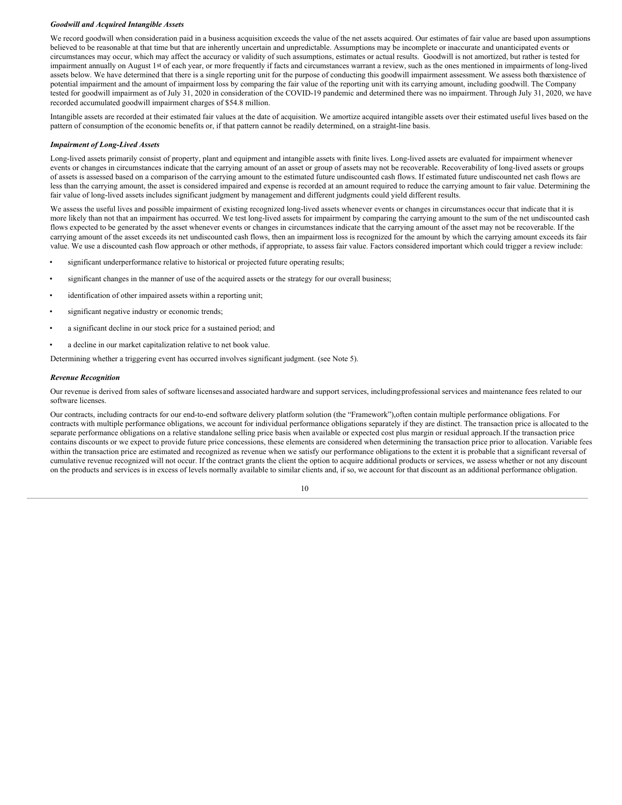#### *Goodwill and Acquired Intangible Assets*

We record goodwill when consideration paid in a business acquisition exceeds the value of the net assets acquired. Our estimates of fair value are based upon assumptions believed to be reasonable at that time but that are inherently uncertain and unpredictable. Assumptions may be incomplete or inaccurate and unanticipated events or circumstances may occur, which may affect the accuracy or validity of such assumptions, estimates or actual results. Goodwill is not amortized, but rather is tested for impairment annually on August 1st of each year, or more frequently if facts and circumstances warrant a review, such as the ones mentioned in impairments of long-lived assets below. We have determined that there is a single reporting unit for the purpose of conducting this goodwill impairment assessment. We assess both thexistence of potential impairment and the amount of impairment loss by comparing the fair value of the reporting unit with its carrying amount, including goodwill. The Company tested for goodwill impairment as of July 31, 2020 in consideration of the COVID-19 pandemic and determined there was no impairment. Through July 31, 2020, we have recorded accumulated goodwill impairment charges of \$54.8 million.

Intangible assets are recorded at their estimated fair values at the date of acquisition. We amortize acquired intangible assets over their estimated useful lives based on the pattern of consumption of the economic benefits or, if that pattern cannot be readily determined, on a straight-line basis.

#### *Impairment of Long-Lived Assets*

Long-lived assets primarily consist of property, plant and equipment and intangible assets with finite lives. Long-lived assets are evaluated for impairment whenever events or changes in circumstances indicate that the carrying amount of an asset or group of assets may not be recoverable. Recoverability of long-lived assets or groups of assets is assessed based on a comparison of the carrying amount to the estimated future undiscounted cash flows. If estimated future undiscounted net cash flows are less than the carrying amount, the asset is considered impaired and expense is recorded at an amount required to reduce the carrying amount to fair value. Determining the fair value of long-lived assets includes significant judgment by management and different judgments could yield different results.

We assess the useful lives and possible impairment of existing recognized long-lived assets whenever events or changes in circumstances occur that indicate that it is more likely than not that an impairment has occurred. We test long-lived assets for impairment by comparing the carrying amount to the sum of the net undiscounted cash flows expected to be generated by the asset whenever events or changes in circumstances indicate that the carrying amount of the asset may not be recoverable. If the carrying amount of the asset exceeds its net undiscounted cash flows, then an impairment loss is recognized for the amount by which the carrying amount exceeds its fair value. We use a discounted cash flow approach or other methods, if appropriate, to assess fair value. Factors considered important which could trigger a review include:

- significant underperformance relative to historical or projected future operating results;
- significant changes in the manner of use of the acquired assets or the strategy for our overall business;
- identification of other impaired assets within a reporting unit;
- significant negative industry or economic trends;
- a significant decline in our stock price for a sustained period; and
- a decline in our market capitalization relative to net book value.

Determining whether a triggering event has occurred involves significant judgment. (see Note 5).

#### *Revenue Recognition*

Our revenue is derived from sales of software licensesand associated hardware and support services, includingprofessional services and maintenance fees related to our software licenses.

Our contracts, including contracts for our end-to-end software delivery platform solution (the "Framework"),often contain multiple performance obligations. For contracts with multiple performance obligations, we account for individual performance obligations separately if they are distinct. The transaction price is allocated to the separate performance obligations on a relative standalone selling price basis when available or expected cost plus margin or residual approach.If the transaction price contains discounts or we expect to provide future price concessions, these elements are considered when determining the transaction price prior to allocation. Variable fees within the transaction price are estimated and recognized as revenue when we satisfy our performance obligations to the extent it is probable that a significant reversal of cumulative revenue recognized will not occur. If the contract grants the client the option to acquire additional products or services, we assess whether or not any discount on the products and services is in excess of levels normally available to similar clients and, if so, we account for that discount as an additional performance obligation.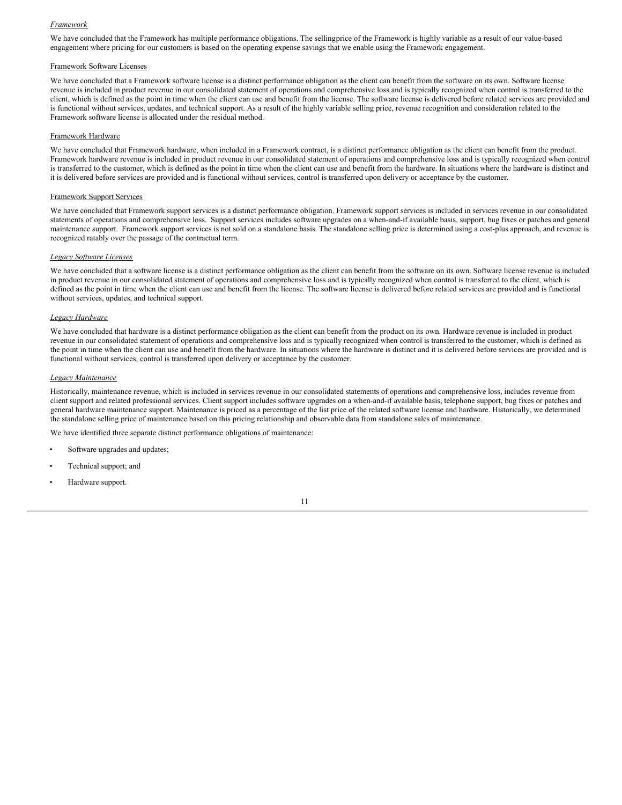#### *Framework*

We have concluded that the Framework has multiple performance obligations. The sellingprice of the Framework is highly variable as a result of our value-based engagement where pricing for our customers is based on the operating expense savings that we enable using the Framework engagement.

#### Framework Software Licenses

We have concluded that a Framework software license is a distinct performance obligation as the client can benefit from the software on its own. Software license revenue is included in product revenue in our consolidated statement of operations and comprehensive loss and is typically recognized when control is transferred to the client, which is defined as the point in time when the client can use and benefit from the license. The software license is delivered before related services are provided and is functional without services, updates, and technical support. As a result of the highly variable selling price, revenue recognition and consideration related to the Framework software license is allocated under the residual method.

#### Framework Hardware

We have concluded that Framework hardware, when included in a Framework contract, is a distinct performance obligation as the client can benefit from the product. Framework hardware revenue is included in product revenue in our consolidated statement of operations and comprehensive loss and is typically recognized when control is transferred to the customer, which is defined as the point in time when the client can use and benefit from the hardware. In situations where the hardware is distinct and it is delivered before services are provided and is functional without services, control is transferred upon delivery or acceptance by the customer.

#### Framework Support Services

We have concluded that Framework support services is a distinct performance obligation. Framework support services is included in services revenue in our consolidated statements of operations and comprehensive loss. Support services includes software upgrades on a when-and-if available basis, support, bug fixes or patches and general maintenance support. Framework support services is not sold on a standalone basis. The standalone selling price is determined using a cost-plus approach, and revenue is recognized ratably over the passage of the contractual term.

#### *Legacy Software Licenses*

We have concluded that a software license is a distinct performance obligation as the client can benefit from the software on its own. Software license revenue is included in product revenue in our consolidated statement of operations and comprehensive loss and is typically recognized when control is transferred to the client, which is defined as the point in time when the client can use and benefit from the license. The software license is delivered before related services are provided and is functional without services, updates, and technical support.

#### *Legacy Hardware*

We have concluded that hardware is a distinct performance obligation as the client can benefit from the product on its own. Hardware revenue is included in product revenue in our consolidated statement of operations and comprehensive loss and is typically recognized when control is transferred to the customer, which is defined as the point in time when the client can use and benefit from the hardware. In situations where the hardware is distinct and it is delivered before services are provided and is functional without services, control is transferred upon delivery or acceptance by the customer.

#### *Legacy Maintenance*

Historically, maintenance revenue, which is included in services revenue in our consolidated statements of operations and comprehensive loss, includes revenue from client support and related professional services. Client support includes software upgrades on a when-and-if available basis, telephone support, bug fixes or patches and general hardware maintenance support. Maintenance is priced as a percentage of the list price of the related software license and hardware. Historically, we determined the standalone selling price of maintenance based on this pricing relationship and observable data from standalone sales of maintenance.

We have identified three separate distinct performance obligations of maintenance:

- Software upgrades and updates;
- Technical support; and
- Hardware support.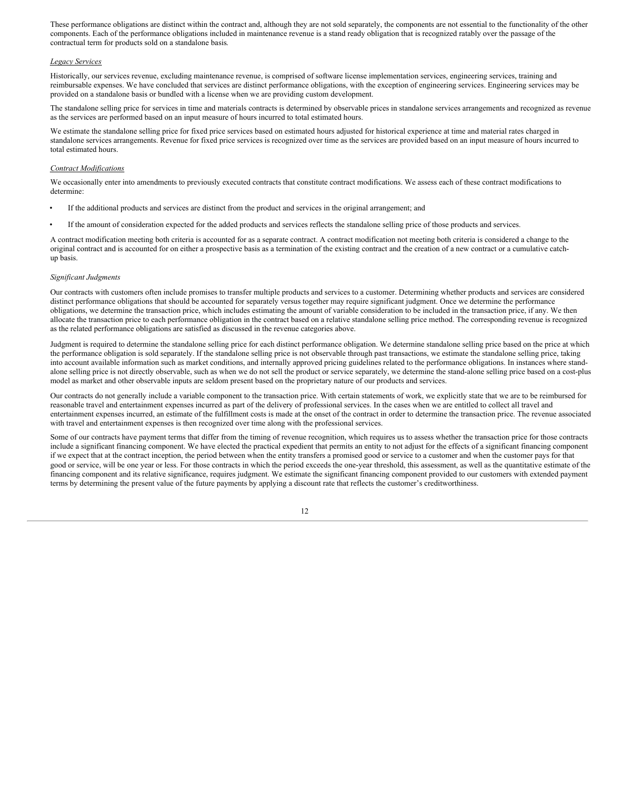These performance obligations are distinct within the contract and, although they are not sold separately, the components are not essential to the functionality of the other components. Each of the performance obligations included in maintenance revenue is a stand ready obligation that is recognized ratably over the passage of the contractual term for products sold on a standalone basis.

#### *Legacy Services*

Historically, our services revenue, excluding maintenance revenue, is comprised of software license implementation services, engineering services, training and reimbursable expenses. We have concluded that services are distinct performance obligations, with the exception of engineering services. Engineering services may be provided on a standalone basis or bundled with a license when we are providing custom development.

The standalone selling price for services in time and materials contracts is determined by observable prices in standalone services arrangements and recognized as revenue as the services are performed based on an input measure of hours incurred to total estimated hours.

We estimate the standalone selling price for fixed price services based on estimated hours adjusted for historical experience at time and material rates charged in standalone services arrangements. Revenue for fixed price services is recognized over time as the services are provided based on an input measure of hours incurred to total estimated hours.

#### *Contract Modifications*

We occasionally enter into amendments to previously executed contracts that constitute contract modifications. We assess each of these contract modifications to determine:

- If the additional products and services are distinct from the product and services in the original arrangement; and
- If the amount of consideration expected for the added products and services reflects the standalone selling price of those products and services.

A contract modification meeting both criteria is accounted for as a separate contract. A contract modification not meeting both criteria is considered a change to the original contract and is accounted for on either a prospective basis as a termination of the existing contract and the creation of a new contract or a cumulative catchup basis.

#### *Significant Judgments*

Our contracts with customers often include promises to transfer multiple products and services to a customer. Determining whether products and services are considered distinct performance obligations that should be accounted for separately versus together may require significant judgment. Once we determine the performance obligations, we determine the transaction price, which includes estimating the amount of variable consideration to be included in the transaction price, if any. We then allocate the transaction price to each performance obligation in the contract based on a relative standalone selling price method. The corresponding revenue is recognized as the related performance obligations are satisfied as discussed in the revenue categories above.

Judgment is required to determine the standalone selling price for each distinct performance obligation. We determine standalone selling price based on the price at which the performance obligation is sold separately. If the standalone selling price is not observable through past transactions, we estimate the standalone selling price, taking into account available information such as market conditions, and internally approved pricing guidelines related to the performance obligations. In instances where standalone selling price is not directly observable, such as when we do not sell the product or service separately, we determine the stand-alone selling price based on a cost-plus model as market and other observable inputs are seldom present based on the proprietary nature of our products and services.

Our contracts do not generally include a variable component to the transaction price. With certain statements of work, we explicitly state that we are to be reimbursed for reasonable travel and entertainment expenses incurred as part of the delivery of professional services. In the cases when we are entitled to collect all travel and entertainment expenses incurred, an estimate of the fulfillment costs is made at the onset of the contract in order to determine the transaction price. The revenue associated with travel and entertainment expenses is then recognized over time along with the professional services.

Some of our contracts have payment terms that differ from the timing of revenue recognition, which requires us to assess whether the transaction price for those contracts include a significant financing component. We have elected the practical expedient that permits an entity to not adjust for the effects of a significant financing component if we expect that at the contract inception, the period between when the entity transfers a promised good or service to a customer and when the customer pays for that good or service, will be one year or less. For those contracts in which the period exceeds the one-year threshold, this assessment, as well as the quantitative estimate of the financing component and its relative significance, requires judgment. We estimate the significant financing component provided to our customers with extended payment terms by determining the present value of the future payments by applying a discount rate that reflects the customer's creditworthiness.

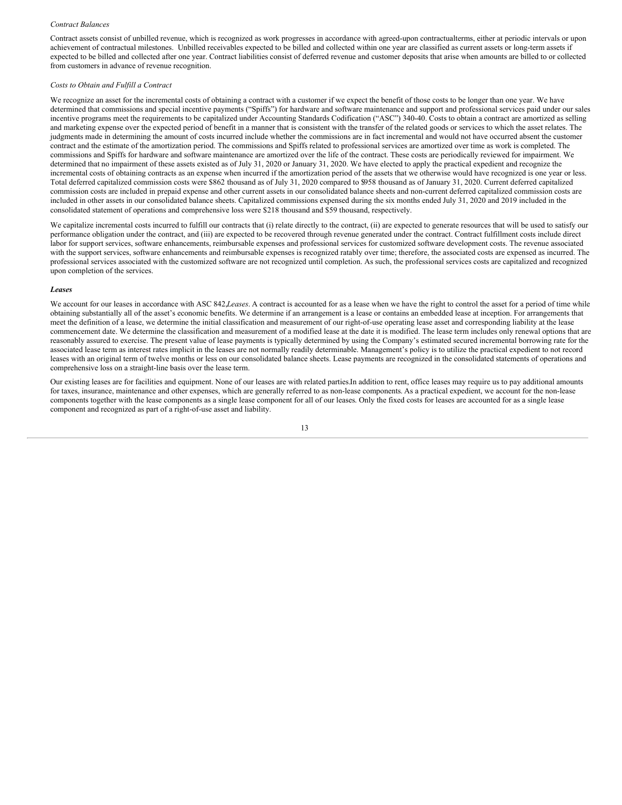#### *Contract Balances*

Contract assets consist of unbilled revenue, which is recognized as work progresses in accordance with agreed-upon contractualterms, either at periodic intervals or upon achievement of contractual milestones. Unbilled receivables expected to be billed and collected within one year are classified as current assets or long-term assets if expected to be billed and collected after one year. Contract liabilities consist of deferred revenue and customer deposits that arise when amounts are billed to or collected from customers in advance of revenue recognition.

#### *Costs to Obtain and Fulfill a Contract*

We recognize an asset for the incremental costs of obtaining a contract with a customer if we expect the benefit of those costs to be longer than one year. We have determined that commissions and special incentive payments ("Spiffs") for hardware and software maintenance and support and professional services paid under our sales incentive programs meet the requirements to be capitalized under Accounting Standards Codification ("ASC") 340-40. Costs to obtain a contract are amortized as selling and marketing expense over the expected period of benefit in a manner that is consistent with the transfer of the related goods or services to which the asset relates. The judgments made in determining the amount of costs incurred include whether the commissions are in fact incremental and would not have occurred absent the customer contract and the estimate of the amortization period. The commissions and Spiffs related to professional services are amortized over time as work is completed. The commissions and Spiffs for hardware and software maintenance are amortized over the life of the contract. These costs are periodically reviewed for impairment. We determined that no impairment of these assets existed as of July 31, 2020 or January 31, 2020. We have elected to apply the practical expedient and recognize the incremental costs of obtaining contracts as an expense when incurred if the amortization period of the assets that we otherwise would have recognized is one year or less. Total deferred capitalized commission costs were \$862 thousand as of July 31, 2020 compared to \$958 thousand as of January 31, 2020. Current deferred capitalized commission costs are included in prepaid expense and other current assets in our consolidated balance sheets and non-current deferred capitalized commission costs are included in other assets in our consolidated balance sheets. Capitalized commissions expensed during the six months ended July 31, 2020 and 2019 included in the consolidated statement of operations and comprehensive loss were \$218 thousand and \$59 thousand, respectively.

We capitalize incremental costs incurred to fulfill our contracts that (i) relate directly to the contract, (ii) are expected to generate resources that will be used to satisfy our performance obligation under the contract, and (iii) are expected to be recovered through revenue generated under the contract. Contract fulfillment costs include direct labor for support services, software enhancements, reimbursable expenses and professional services for customized software development costs. The revenue associated with the support services, software enhancements and reimbursable expenses is recognized ratably over time; therefore, the associated costs are expensed as incurred. The professional services associated with the customized software are not recognized until completion. As such, the professional services costs are capitalized and recognized upon completion of the services.

#### *Leases*

We account for our leases in accordance with ASC 842,*Leases*. A contract is accounted for as a lease when we have the right to control the asset for a period of time while obtaining substantially all of the asset's economic benefits. We determine if an arrangement is a lease or contains an embedded lease at inception. For arrangements that meet the definition of a lease, we determine the initial classification and measurement of our right-of-use operating lease asset and corresponding liability at the lease commencement date. We determine the classification and measurement of a modified lease at the date it is modified. The lease term includes only renewal options that are reasonably assured to exercise. The present value of lease payments is typically determined by using the Company's estimated secured incremental borrowing rate for the associated lease term as interest rates implicit in the leases are not normally readily determinable. Management's policy is to utilize the practical expedient to not record leases with an original term of twelve months or less on our consolidated balance sheets. Lease payments are recognized in the consolidated statements of operations and comprehensive loss on a straight-line basis over the lease term.

Our existing leases are for facilities and equipment. None of our leases are with related parties.In addition to rent, office leases may require us to pay additional amounts for taxes, insurance, maintenance and other expenses, which are generally referred to as non-lease components. As a practical expedient, we account for the non-lease components together with the lease components as a single lease component for all of our leases. Only the fixed costs for leases are accounted for as a single lease component and recognized as part of a right-of-use asset and liability.

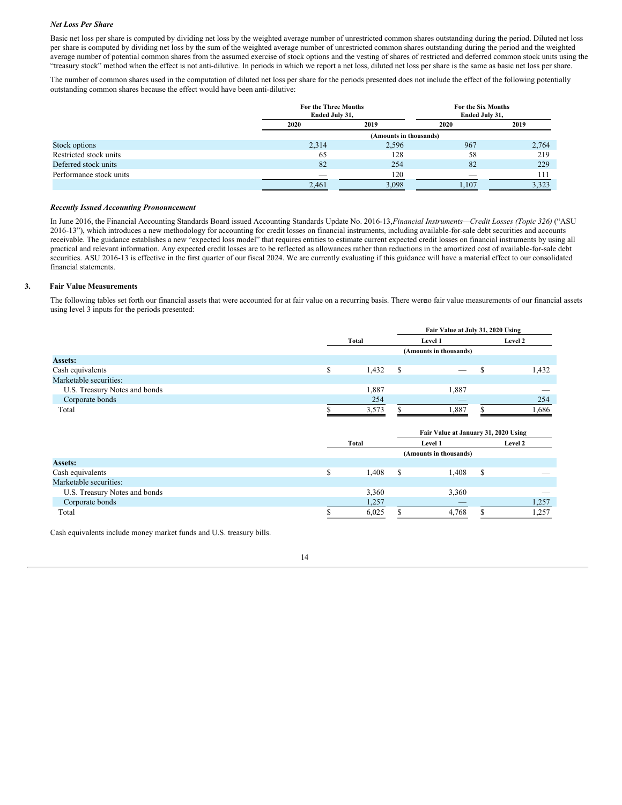#### *Net Loss Per Share*

Basic net loss per share is computed by dividing net loss by the weighted average number of unrestricted common shares outstanding during the period. Diluted net loss per share is computed by dividing net loss by the sum of the weighted average number of unrestricted common shares outstanding during the period and the weighted average number of potential common shares from the assumed exercise of stock options and the vesting of shares of restricted and deferred common stock units using the "treasury stock" method when the effect is not anti-dilutive. In periods in which we report a net loss, diluted net loss per share is the same as basic net loss per share.

The number of common shares used in the computation of diluted net loss per share for the periods presented does not include the effect of the following potentially outstanding common shares because the effect would have been anti-dilutive:

|                         | For the Three Months<br>Ended July 31, |                        | For the Six Months<br>Ended July 31, |       |  |  |  |  |  |  |
|-------------------------|----------------------------------------|------------------------|--------------------------------------|-------|--|--|--|--|--|--|
|                         | 2020                                   | 2019                   | 2020                                 | 2019  |  |  |  |  |  |  |
|                         |                                        | (Amounts in thousands) |                                      |       |  |  |  |  |  |  |
| Stock options           | 2,314                                  | 2,596                  | 967                                  | 2,764 |  |  |  |  |  |  |
| Restricted stock units  | 65                                     | 128                    | 58                                   | 219   |  |  |  |  |  |  |
| Deferred stock units    | 82                                     | 254                    | 82                                   | 229   |  |  |  |  |  |  |
| Performance stock units | $\overline{\phantom{a}}$               | 120                    | $\overline{\phantom{a}}$             |       |  |  |  |  |  |  |
|                         | 2,461                                  | 3,098                  | 1,107                                | 3,323 |  |  |  |  |  |  |

#### *Recently Issued Accounting Pronouncement*

In June 2016, the Financial Accounting Standards Board issued Accounting Standards Update No. 2016-13,*Financial Instruments—Credit Losses (Topic 326)* ("ASU 2016-13"), which introduces a new methodology for accounting for credit losses on financial instruments, including available-for-sale debt securities and accounts receivable. The guidance establishes a new "expected loss model" that requires entities to estimate current expected credit losses on financial instruments by using all practical and relevant information. Any expected credit losses are to be reflected as allowances rather than reductions in the amortized cost of available-for-sale debt securities. ASU 2016-13 is effective in the first quarter of our fiscal 2024. We are currently evaluating if this guidance will have a material effect to our consolidated financial statements.

#### **3. Fair Value Measurements**

The following tables set forth our financial assets that were accounted for at fair value on a recurring basis. There werno fair value measurements of our financial assets using level 3 inputs for the periods presented:

|                               |                        |    | Fair Value at July 31, 2020 Using |  |                          |  |  |  |
|-------------------------------|------------------------|----|-----------------------------------|--|--------------------------|--|--|--|
|                               | Total                  |    | Level 1                           |  | Level 2                  |  |  |  |
|                               | (Amounts in thousands) |    |                                   |  |                          |  |  |  |
| <b>Assets:</b>                |                        |    |                                   |  |                          |  |  |  |
| Cash equivalents              | 1,432                  | -S | $\overline{\phantom{a}}$          |  | 1,432                    |  |  |  |
| Marketable securities:        |                        |    |                                   |  |                          |  |  |  |
| U.S. Treasury Notes and bonds | 1,887                  |    | 1,887                             |  | $\overline{\phantom{a}}$ |  |  |  |
| Corporate bonds               | 254                    |    | $\overline{\phantom{a}}$          |  | 254                      |  |  |  |
| Total                         | 3,573                  |    | 1,887                             |  | 1.686                    |  |  |  |

|                               |              |    | Fair Value at January 31, 2020 Using |    |         |
|-------------------------------|--------------|----|--------------------------------------|----|---------|
|                               | <b>Total</b> |    | Level 1                              |    | Level 2 |
|                               |              |    | (Amounts in thousands)               |    |         |
| <b>Assets:</b>                |              |    |                                      |    |         |
| Cash equivalents              | 1,408        | -S | 1.408                                | -S |         |
| Marketable securities:        |              |    |                                      |    |         |
| U.S. Treasury Notes and bonds | 3,360        |    | 3,360                                |    |         |
| Corporate bonds               | 1,257        |    | $-$                                  |    | 1,257   |
| Total                         | 6,025        |    | 4,768                                |    | 1,257   |

Cash equivalents include money market funds and U.S. treasury bills.

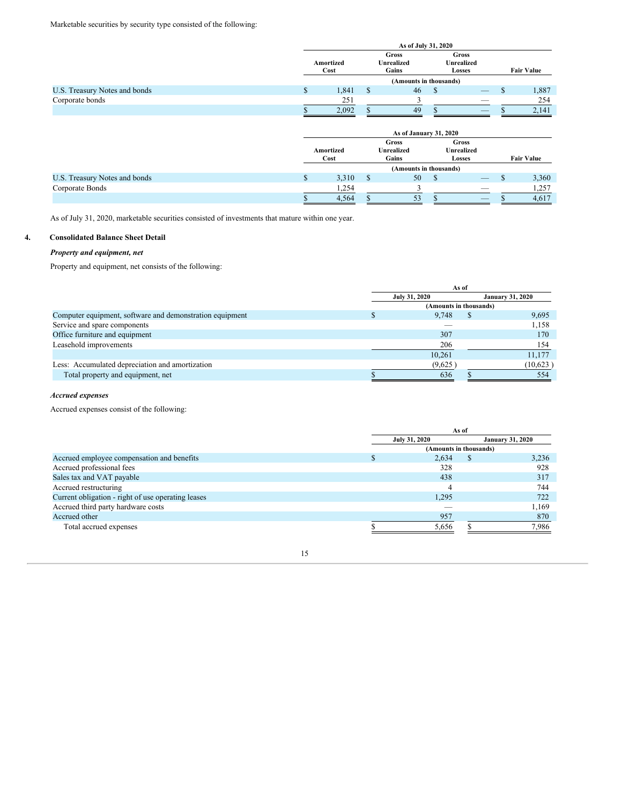|                               | As of July 31, 2020 |                   |  |                                     |  |                                             |  |                   |
|-------------------------------|---------------------|-------------------|--|-------------------------------------|--|---------------------------------------------|--|-------------------|
|                               |                     | Amortized<br>Cost |  | Gross<br><b>Unrealized</b><br>Gains |  | Gross<br><b>Unrealized</b><br><b>Losses</b> |  | <b>Fair Value</b> |
|                               |                     |                   |  | (Amounts in thousands)              |  |                                             |  |                   |
| U.S. Treasury Notes and bonds |                     | 1,841             |  | 46                                  |  | $\qquad \qquad - \qquad$                    |  | 1,887             |
| Corporate bonds               |                     | 251               |  |                                     |  | $\overline{\phantom{a}}$                    |  | 254               |
|                               |                     | 2,092             |  | 49                                  |  | $\overline{\phantom{a}}$                    |  | 2,141             |

|                               |    | As of January 31, 2020                            |  |                        |                                      |                                 |  |                   |  |
|-------------------------------|----|---------------------------------------------------|--|------------------------|--------------------------------------|---------------------------------|--|-------------------|--|
|                               |    | Gross<br>Unrealized<br>Amortized<br>Gains<br>Cost |  |                        | Gross<br><b>Unrealized</b><br>Losses |                                 |  | <b>Fair Value</b> |  |
|                               |    |                                                   |  | (Amounts in thousands) |                                      |                                 |  |                   |  |
| U.S. Treasury Notes and bonds | P. | 3,310                                             |  | 50                     |                                      | $-$                             |  | 3,360             |  |
| Corporate Bonds               |    | 1,254                                             |  |                        |                                      | $\overline{\phantom{a}}$        |  | 1,257             |  |
|                               |    | 4,564                                             |  | 53                     |                                      | $\hspace{0.1mm}-\hspace{0.1mm}$ |  | 4,617             |  |

As of July 31, 2020, marketable securities consisted of investments that mature within one year.

# **4. Consolidated Balance Sheet Detail**

# *Property and equipment, net*

Property and equipment, net consists of the following:

|                                                          | As of         |                        |  |                         |  |
|----------------------------------------------------------|---------------|------------------------|--|-------------------------|--|
|                                                          | July 31, 2020 |                        |  | <b>January 31, 2020</b> |  |
|                                                          |               | (Amounts in thousands) |  |                         |  |
| Computer equipment, software and demonstration equipment |               | 9.748                  |  | 9,695                   |  |
| Service and spare components                             |               |                        |  | 1,158                   |  |
| Office furniture and equipment                           |               | 307                    |  | 170                     |  |
| Leasehold improvements                                   |               | 206                    |  | 154                     |  |
|                                                          |               | 10,261                 |  | 11.177                  |  |
| Less: Accumulated depreciation and amortization          |               | (9,625)                |  | (10,623)                |  |
| Total property and equipment, net                        |               | 636                    |  | 554                     |  |

# *Accrued expenses*

Accrued expenses consist of the following:

|                                                    | As of         |                        |   |                         |  |
|----------------------------------------------------|---------------|------------------------|---|-------------------------|--|
|                                                    | July 31, 2020 |                        |   | <b>January 31, 2020</b> |  |
|                                                    |               | (Amounts in thousands) |   |                         |  |
| Accrued employee compensation and benefits         |               | 2,634                  | S | 3,236                   |  |
| Accrued professional fees                          |               | 328                    |   | 928                     |  |
| Sales tax and VAT payable                          |               | 438                    |   | 317                     |  |
| Accrued restructuring                              |               |                        |   | 744                     |  |
| Current obligation - right of use operating leases |               | 1,295                  |   | 722                     |  |
| Accrued third party hardware costs                 |               |                        |   | 1,169                   |  |
| Accrued other                                      |               | 957                    |   | 870                     |  |
| Total accrued expenses                             |               | 5.656                  |   | 7,986                   |  |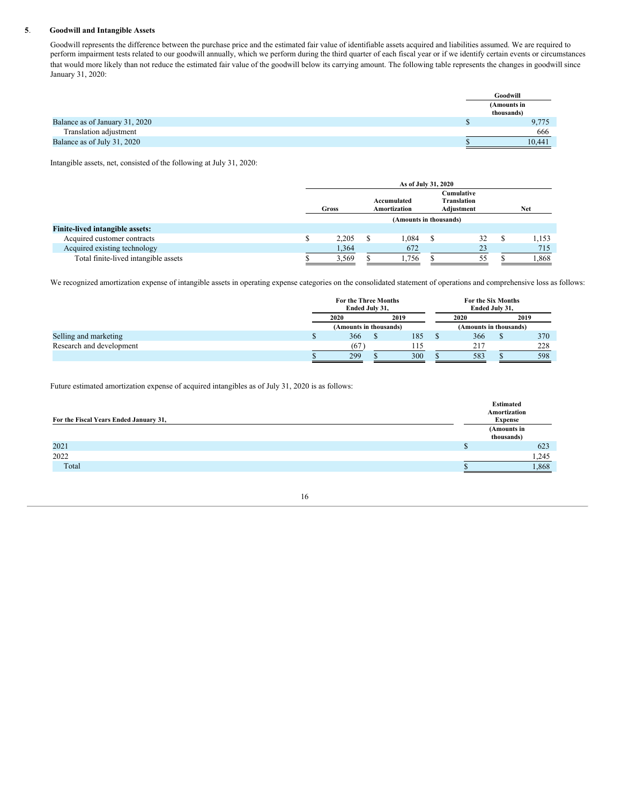#### **5**. **Goodwill and Intangible Assets**

Goodwill represents the difference between the purchase price and the estimated fair value of identifiable assets acquired and liabilities assumed. We are required to perform impairment tests related to our goodwill annually, which we perform during the third quarter of each fiscal year or if we identify certain events or circumstances that would more likely than not reduce the estimated fair value of the goodwill below its carrying amount. The following table represents the changes in goodwill since January 31, 2020:

|                                | Goodwill                  |
|--------------------------------|---------------------------|
|                                | (Amounts in<br>thousands) |
| Balance as of January 31, 2020 | 9.775                     |
| Translation adjustment         | 666                       |
| Balance as of July 31, 2020    | 10.441                    |

Intangible assets, net, consisted of the following at July 31, 2020:

|                                        | As of July 31, 2020                                               |                        |  |      |  |            |   |            |  |
|----------------------------------------|-------------------------------------------------------------------|------------------------|--|------|--|------------|---|------------|--|
|                                        |                                                                   |                        |  |      |  | Cumulative |   |            |  |
|                                        | Translation<br>Accumulated<br>Adjustment<br>Amortization<br>Gross |                        |  |      |  |            |   | <b>Net</b> |  |
|                                        |                                                                   | (Amounts in thousands) |  |      |  |            |   |            |  |
| <b>Finite-lived intangible assets:</b> |                                                                   |                        |  |      |  |            |   |            |  |
| Acquired customer contracts            |                                                                   | 2,205                  |  | .084 |  | 32         | S | 1.153      |  |
| Acquired existing technology           |                                                                   | 1,364                  |  | 672  |  | 23         |   | 715        |  |
| Total finite-lived intangible assets   |                                                                   | 3,569                  |  | .756 |  | 55         |   | .868       |  |

We recognized amortization expense of intangible assets in operating expense categories on the consolidated statement of operations and comprehensive loss as follows:

|                          | <b>For the Three Months</b><br>Ended July 31, |  |      | For the Six Months<br>Ended July 31, |      |  |     |
|--------------------------|-----------------------------------------------|--|------|--------------------------------------|------|--|-----|
|                          | 2020<br>2019                                  |  | 2020 |                                      | 2019 |  |     |
|                          | (Amounts in thousands)                        |  |      | (Amounts in thousands)               |      |  |     |
| Selling and marketing    | 366                                           |  | 185  |                                      | 366  |  | 370 |
| Research and development | (67)<br>115                                   |  | 217  |                                      | 228  |  |     |
|                          | 299                                           |  | 300  |                                      | 583  |  | 598 |

Future estimated amortization expense of acquired intangibles as of July 31, 2020 is as follows:

|                                        |   | <b>Estimated</b>          |
|----------------------------------------|---|---------------------------|
|                                        |   | Amortization              |
| For the Fiscal Years Ended January 31, |   | <b>Expense</b>            |
|                                        |   | (Amounts in<br>thousands) |
| 2021                                   | D | 623                       |
| 2022                                   |   | 1,245                     |
| Total                                  |   | 1,868                     |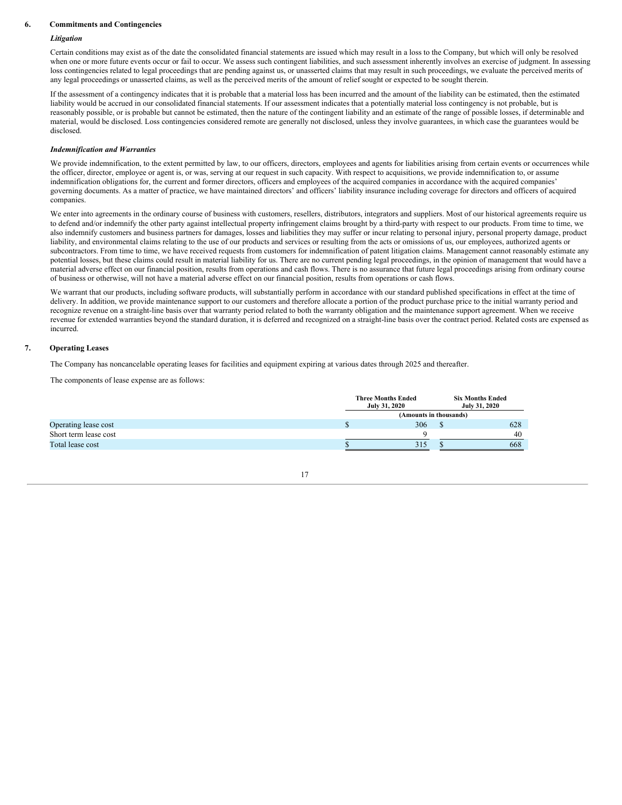#### **6. Commitments and Contingencies**

#### *Litigation*

Certain conditions may exist as of the date the consolidated financial statements are issued which may result in a loss to the Company, but which will only be resolved when one or more future events occur or fail to occur. We assess such contingent liabilities, and such assessment inherently involves an exercise of judgment. In assessing loss contingencies related to legal proceedings that are pending against us, or unasserted claims that may result in such proceedings, we evaluate the perceived merits of any legal proceedings or unasserted claims, as well as the perceived merits of the amount of relief sought or expected to be sought therein.

If the assessment of a contingency indicates that it is probable that a material loss has been incurred and the amount of the liability can be estimated, then the estimated liability would be accrued in our consolidated financial statements. If our assessment indicates that a potentially material loss contingency is not probable, but is reasonably possible, or is probable but cannot be estimated, then the nature of the contingent liability and an estimate of the range of possible losses, if determinable and material, would be disclosed. Loss contingencies considered remote are generally not disclosed, unless they involve guarantees, in which case the guarantees would be disclosed.

#### *Indemnification and Warranties*

We provide indemnification, to the extent permitted by law, to our officers, directors, employees and agents for liabilities arising from certain events or occurrences while the officer, director, employee or agent is, or was, serving at our request in such capacity. With respect to acquisitions, we provide indemnification to, or assume indemnification obligations for, the current and former directors, officers and employees of the acquired companies in accordance with the acquired companies' governing documents. As a matter of practice, we have maintained directors' and officers' liability insurance including coverage for directors and officers of acquired companies.

We enter into agreements in the ordinary course of business with customers, resellers, distributors, integrators and suppliers. Most of our historical agreements require us to defend and/or indemnify the other party against intellectual property infringement claims brought by a third-party with respect to our products. From time to time, we also indemnify customers and business partners for damages, losses and liabilities they may suffer or incur relating to personal injury, personal property damage, product liability, and environmental claims relating to the use of our products and services or resulting from the acts or omissions of us, our employees, authorized agents or subcontractors. From time to time, we have received requests from customers for indemnification of patent litigation claims. Management cannot reasonably estimate any potential losses, but these claims could result in material liability for us. There are no current pending legal proceedings, in the opinion of management that would have a material adverse effect on our financial position, results from operations and cash flows. There is no assurance that future legal proceedings arising from ordinary course of business or otherwise, will not have a material adverse effect on our financial position, results from operations or cash flows.

We warrant that our products, including software products, will substantially perform in accordance with our standard published specifications in effect at the time of delivery. In addition, we provide maintenance support to our customers and therefore allocate a portion of the product purchase price to the initial warranty period and recognize revenue on a straight-line basis over that warranty period related to both the warranty obligation and the maintenance support agreement. When we receive revenue for extended warranties beyond the standard duration, it is deferred and recognized on a straight-line basis over the contract period. Related costs are expensed as incurred.

#### **7. Operating Leases**

The Company has noncancelable operating leases for facilities and equipment expiring at various dates through 2025 and thereafter.

The components of lease expense are as follows:

|                       | <b>Three Months Ended</b><br><b>July 31, 2020</b> |  | <b>Six Months Ended</b><br>July 31, 2020 |  |  |
|-----------------------|---------------------------------------------------|--|------------------------------------------|--|--|
|                       | (Amounts in thousands)                            |  |                                          |  |  |
| Operating lease cost  | 306                                               |  | 628                                      |  |  |
| Short term lease cost |                                                   |  |                                          |  |  |
| Total lease cost      | 315                                               |  | 668                                      |  |  |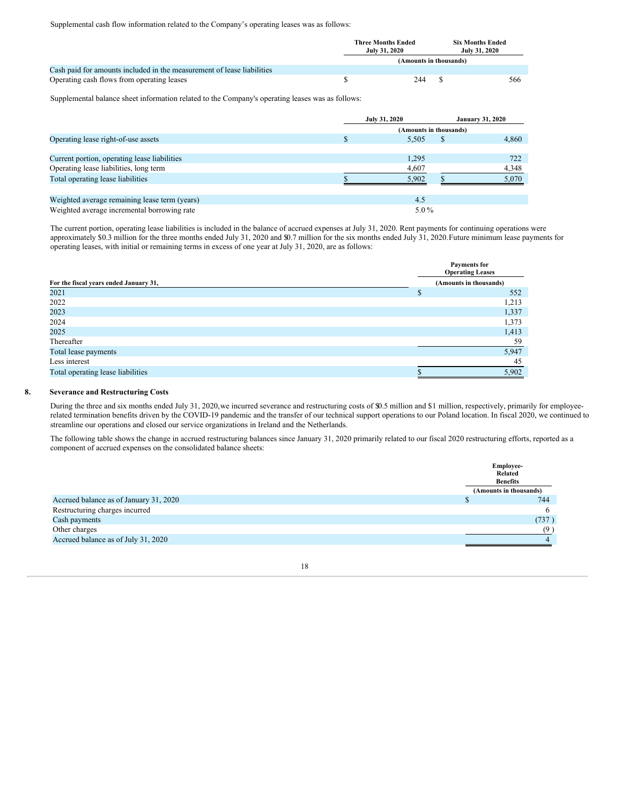Supplemental cash flow information related to the Company's operating leases was as follows:

|                                                                        | <b>Three Months Ended</b><br>July 31, 2020 |     | <b>Six Months Ended</b><br>July 31, 2020 |      |  |
|------------------------------------------------------------------------|--------------------------------------------|-----|------------------------------------------|------|--|
|                                                                        | (Amounts in thousands)                     |     |                                          |      |  |
| Cash paid for amounts included in the measurement of lease liabilities |                                            |     |                                          |      |  |
| Operating cash flows from operating leases                             |                                            | 244 | -S                                       | 566. |  |

Supplemental balance sheet information related to the Company's operating leases was as follows:

|                                               | July 31, 2020 |                        | <b>January 31, 2020</b> |       |  |  |
|-----------------------------------------------|---------------|------------------------|-------------------------|-------|--|--|
|                                               |               | (Amounts in thousands) |                         |       |  |  |
| Operating lease right-of-use assets           |               | 5.505                  | S                       | 4,860 |  |  |
|                                               |               |                        |                         |       |  |  |
| Current portion, operating lease liabilities  |               | 1,295                  |                         | 722   |  |  |
| Operating lease liabilities, long term        |               | 4,607                  |                         | 4,348 |  |  |
| Total operating lease liabilities             |               | 5.902                  |                         | 5.070 |  |  |
|                                               |               |                        |                         |       |  |  |
| Weighted average remaining lease term (years) |               | 4.5                    |                         |       |  |  |
| Weighted average incremental borrowing rate   |               | $5.0\%$                |                         |       |  |  |

The current portion, operating lease liabilities is included in the balance of accrued expenses at July 31, 2020. Rent payments for continuing operations were approximately \$0.3 million for the three months ended July 31, 2020 and \$0.7 million for the six months ended July 31, 2020. Future minimum lease payments for operating leases, with initial or remaining terms in excess of one year at July 31, 2020, are as follows:

|                                        | <b>Payments</b> for<br><b>Operating Leases</b> |                        |  |  |  |  |  |
|----------------------------------------|------------------------------------------------|------------------------|--|--|--|--|--|
| For the fiscal years ended January 31, |                                                | (Amounts in thousands) |  |  |  |  |  |
| 2021                                   | ъ                                              | 552                    |  |  |  |  |  |
| 2022                                   |                                                | 1,213                  |  |  |  |  |  |
| 2023                                   |                                                | 1,337                  |  |  |  |  |  |
| 2024                                   |                                                | 1,373                  |  |  |  |  |  |
| 2025                                   |                                                | 1,413                  |  |  |  |  |  |
| Thereafter                             |                                                | 59                     |  |  |  |  |  |
| Total lease payments                   |                                                | 5,947                  |  |  |  |  |  |
| Less interest                          |                                                | 45                     |  |  |  |  |  |
| Total operating lease liabilities      |                                                | 5,902                  |  |  |  |  |  |

## **8. Severance and Restructuring Costs**

During the three and six months ended July 31, 2020, we incurred severance and restructuring costs of \$0.5 million and \$1 million, respectively, primarily for employeerelated termination benefits driven by the COVID-19 pandemic and the transfer of our technical support operations to our Poland location. In fiscal 2020, we continued to streamline our operations and closed our service organizations in Ireland and the Netherlands.

The following table shows the change in accrued restructuring balances since January 31, 2020 primarily related to our fiscal 2020 restructuring efforts, reported as a component of accrued expenses on the consolidated balance sheets:

|                                        | <b>Employee-</b>       |
|----------------------------------------|------------------------|
|                                        | Related                |
|                                        | <b>Benefits</b>        |
|                                        | (Amounts in thousands) |
| Accrued balance as of January 31, 2020 | 744                    |
| Restructuring charges incurred         |                        |
| Cash payments                          | (737)                  |
| Other charges                          |                        |
| Accrued balance as of July 31, 2020    |                        |
|                                        |                        |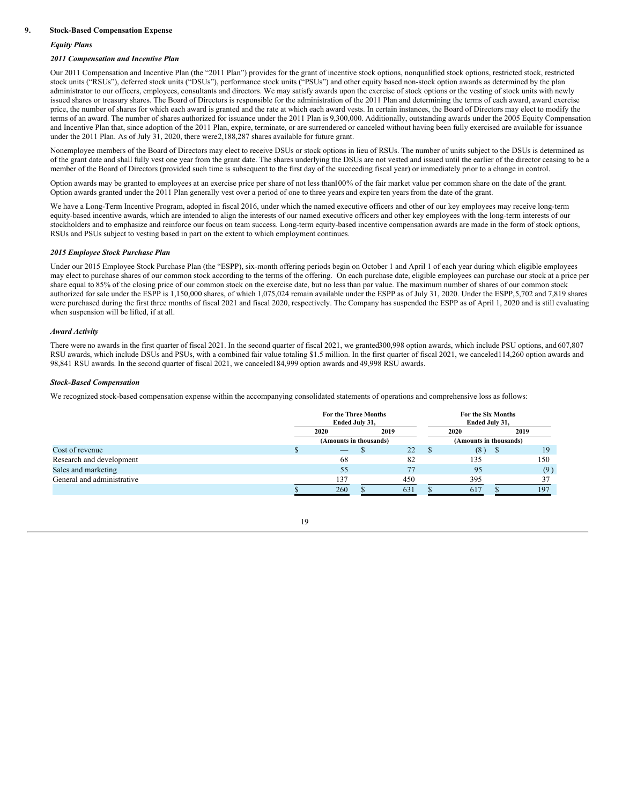#### **9. Stock-Based Compensation Expense**

#### *Equity Plans*

#### *2011 Compensation and Incentive Plan*

Our 2011 Compensation and Incentive Plan (the "2011 Plan") provides for the grant of incentive stock options, nonqualified stock options, restricted stock, restricted stock units ("RSUs"), deferred stock units ("DSUs"), performance stock units ("PSUs") and other equity based non-stock option awards as determined by the plan administrator to our officers, employees, consultants and directors. We may satisfy awards upon the exercise of stock options or the vesting of stock units with newly issued shares or treasury shares. The Board of Directors is responsible for the administration of the 2011 Plan and determining the terms of each award, award exercise price, the number of shares for which each award is granted and the rate at which each award vests. In certain instances, the Board of Directors may elect to modify the terms of an award. The number of shares authorized for issuance under the 2011 Plan is 9,300,000. Additionally, outstanding awards under the 2005 Equity Compensation and Incentive Plan that, since adoption of the 2011 Plan, expire, terminate, or are surrendered or canceled without having been fully exercised are available for issuance under the 2011 Plan. As of July 31, 2020, there were2,188,287 shares available for future grant.

Nonemployee members of the Board of Directors may elect to receive DSUs or stock options in lieu of RSUs. The number of units subject to the DSUs is determined as of the grant date and shall fully vest one year from the grant date. The shares underlying the DSUs are not vested and issued until the earlier of the director ceasing to be a member of the Board of Directors (provided such time is subsequent to the first day of the succeeding fiscal year) or immediately prior to a change in control.

Option awards may be granted to employees at an exercise price per share of not less than100% of the fair market value per common share on the date of the grant. Option awards granted under the 2011 Plan generally vest over a period of one to three years and expire ten years from the date of the grant.

We have a Long-Term Incentive Program, adopted in fiscal 2016, under which the named executive officers and other of our key employees may receive long-term equity-based incentive awards, which are intended to align the interests of our named executive officers and other key employees with the long-term interests of our stockholders and to emphasize and reinforce our focus on team success. Long-term equity-based incentive compensation awards are made in the form of stock options, RSUs and PSUs subject to vesting based in part on the extent to which employment continues.

#### *2015 Employee Stock Purchase Plan*

Under our 2015 Employee Stock Purchase Plan (the "ESPP), six-month offering periods begin on October 1 and April 1 of each year during which eligible employees may elect to purchase shares of our common stock according to the terms of the offering. On each purchase date, eligible employees can purchase our stock at a price per share equal to 85% of the closing price of our common stock on the exercise date, but no less than par value. The maximum number of shares of our common stock authorized for sale under the ESPP is 1,150,000 shares, of which 1,075,024 remain available under the ESPP as of July 31, 2020. Under the ESPP,5,702 and 7,819 shares were purchased during the first three months of fiscal 2021 and fiscal 2020, respectively. The Company has suspended the ESPP as of April 1, 2020 and is still evaluating when suspension will be lifted, if at all.

#### *Award Activity*

There were no awards in the first quarter of fiscal 2021. In the second quarter of fiscal 2021, we granted300,998 option awards, which include PSU options, and 607,807 RSU awards, which include DSUs and PSUs, with a combined fair value totaling \$1.5 million. In the first quarter of fiscal 2021, we canceled114,260 option awards and 98,841 RSU awards. In the second quarter of fiscal 2021, we canceled184,999 option awards and 49,998 RSU awards.

#### *Stock-Based Compensation*

We recognized stock-based compensation expense within the accompanying consolidated statements of operations and comprehensive loss as follows:

|                            |                        | For the Three Months<br>Ended July 31, |  |      |   |                        |   |      |
|----------------------------|------------------------|----------------------------------------|--|------|---|------------------------|---|------|
|                            | 2020                   |                                        |  | 2019 |   | 2020                   |   | 2019 |
|                            | (Amounts in thousands) |                                        |  |      |   | (Amounts in thousands) |   |      |
| Cost of revenue            |                        | $-$                                    |  | 22   | S | (8)                    | D | 19   |
| Research and development   |                        | 68                                     |  | 82   |   | 135                    |   | 150  |
| Sales and marketing        |                        | 55                                     |  | 77   |   | 95                     |   | (9)  |
| General and administrative |                        | 137                                    |  | 450  |   | 395                    |   |      |
|                            |                        | 260                                    |  | 631  |   | 617                    |   | 197  |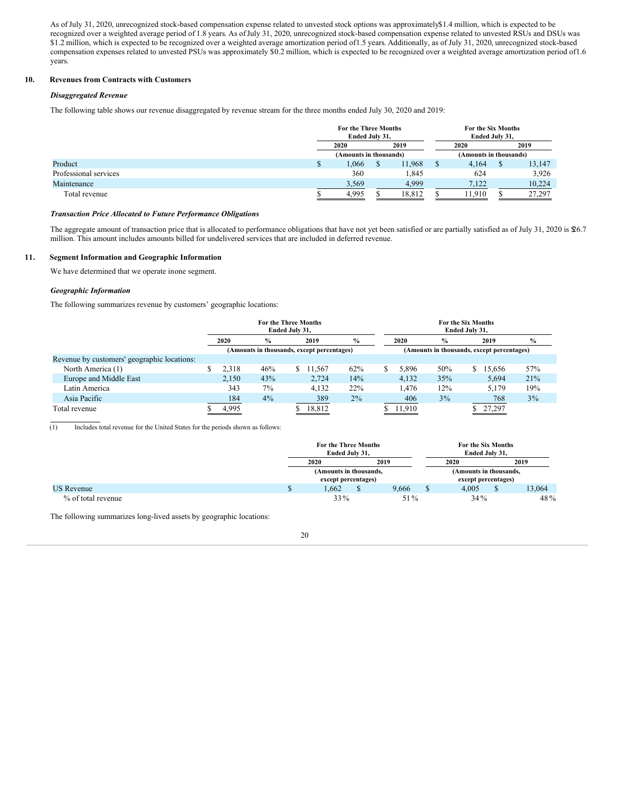As of July 31, 2020, unrecognized stock-based compensation expense related to unvested stock options was approximately\$1.4 million, which is expected to be recognized over a weighted average period of 1.8 years. As ofJuly 31, 2020, unrecognized stock-based compensation expense related to unvested RSUs and DSUs was \$1.2 million, which is expected to be recognized over a weighted average amortization period of1.5 years. Additionally, as of July 31, 2020, unrecognized stock-based compensation expenses related to unvested PSUs was approximately \$0.2 million, which is expected to be recognized over a weighted average amortization period of1.6 years.

#### **10. Revenues from Contracts with Customers**

# *Disaggregated Revenue*

The following table shows our revenue disaggregated by revenue stream for the three months ended July 30, 2020 and 2019:

|                       | <b>For the Three Months</b><br>Ended July 31. |  |        | For the Six Months<br>Ended July 31, |        |                        |        |  |
|-----------------------|-----------------------------------------------|--|--------|--------------------------------------|--------|------------------------|--------|--|
|                       | 2019<br>2020                                  |  |        |                                      | 2020   | 2019                   |        |  |
|                       | (Amounts in thousands)                        |  |        |                                      |        | (Amounts in thousands) |        |  |
| Product               | 1,066                                         |  | 1.968  |                                      | 4,164  | D                      | 13,147 |  |
| Professional services | 360                                           |  | 1,845  |                                      | 624    |                        | 3,926  |  |
| Maintenance           | 3,569                                         |  | 4,999  |                                      | 7,122  |                        | 10,224 |  |
| Total revenue         | 4,995                                         |  | 18,812 |                                      | 11,910 |                        | 27,297 |  |

#### *Transaction Price Allocated to Future Performance Obligations*

The aggregate amount of transaction price that is allocated to performance obligations that have not yet been satisfied or are partially satisfied as of July 31, 2020 is \$6.7 million. This amount includes amounts billed for undelivered services that are included in deferred revenue.

#### **11. Segment Information and Geographic Information**

We have determined that we operate inone segment.

#### *Geographic Information*

The following summarizes revenue by customers' geographic locations:

|                                             |                                                                                          |                                                | <b>For the Three Months</b><br>Ended July 31. |    |        |       | <b>For the Six Months</b><br>Ended July 31. |        |               |    |        |               |  |  |
|---------------------------------------------|------------------------------------------------------------------------------------------|------------------------------------------------|-----------------------------------------------|----|--------|-------|---------------------------------------------|--------|---------------|----|--------|---------------|--|--|
|                                             |                                                                                          | 2020<br>$\frac{6}{6}$<br>2019<br>$\frac{0}{0}$ |                                               |    |        |       |                                             | 2020   | $\frac{0}{0}$ |    | 2019   | $\frac{6}{9}$ |  |  |
|                                             | (Amounts in thousands, except percentages)<br>(Amounts in thousands, except percentages) |                                                |                                               |    |        |       |                                             |        |               |    |        |               |  |  |
| Revenue by customers' geographic locations: |                                                                                          |                                                |                                               |    |        |       |                                             |        |               |    |        |               |  |  |
| North America (1)                           |                                                                                          | 2.318                                          | 46%                                           | S. | 11,567 | 62%   | S.                                          | 5.896  | 50%           | S. | 15,656 | 57%           |  |  |
| Europe and Middle East                      |                                                                                          | 2.150                                          | 43%                                           |    | 2.724  | 14%   |                                             | 4.132  | 35%           |    | 5.694  | 21%           |  |  |
| Latin America                               |                                                                                          | 343                                            | $7\%$                                         |    | 4,132  | 22%   |                                             | 1.476  | 12%           |    | 5,179  | 19%           |  |  |
| Asia Pacific                                |                                                                                          | 184                                            | $4\%$                                         |    | 389    | $2\%$ |                                             | 406    | 3%            |    | 768    | 3%            |  |  |
| Total revenue                               |                                                                                          | 4.995                                          |                                               |    | 18,812 |       |                                             | 11.910 |               |    | 27,297 |               |  |  |

(1) Includes total revenue for the United States for the periods shown as follows:

|                    | For the Three Months<br>Ended July 31,        |  | For the Six Months<br>Ended July 31, |  |                                               |   |        |  |
|--------------------|-----------------------------------------------|--|--------------------------------------|--|-----------------------------------------------|---|--------|--|
|                    | 2020<br>2019                                  |  |                                      |  | 2020                                          |   | 2019   |  |
|                    | (Amounts in thousands,<br>except percentages) |  |                                      |  | (Amounts in thousands.<br>except percentages) |   |        |  |
| <b>US Revenue</b>  | .662                                          |  | 9.666                                |  | 4.005                                         | Φ | 13,064 |  |
| % of total revenue | 33 %                                          |  | 51%                                  |  | 34%                                           |   | 48%    |  |

The following summarizes long-lived assets by geographic locations: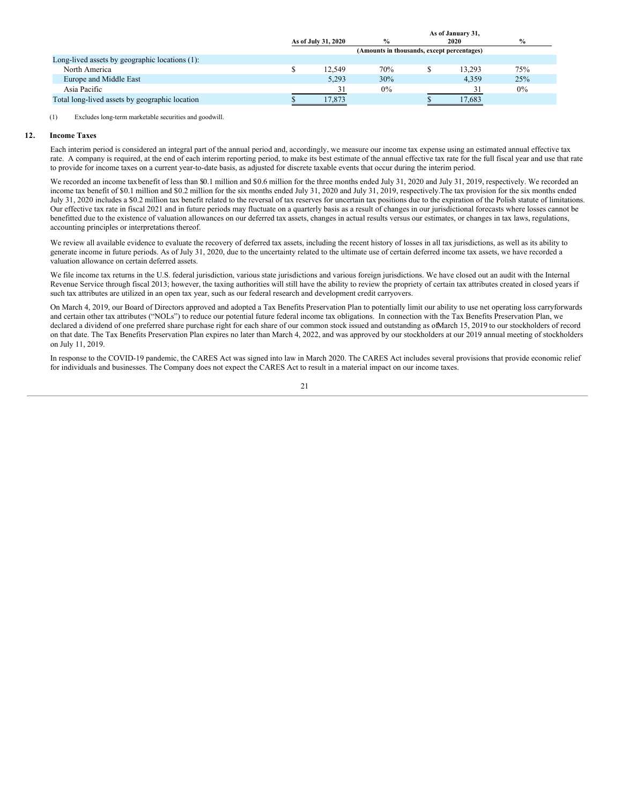|                                                | As of July 31, 2020 | $\frac{0}{0}$                              |  | 2020   | $\frac{6}{9}$ |  |
|------------------------------------------------|---------------------|--------------------------------------------|--|--------|---------------|--|
|                                                |                     | (Amounts in thousands, except percentages) |  |        |               |  |
| Long-lived assets by geographic locations (1): |                     |                                            |  |        |               |  |
| North America                                  | 12.549              | 70%                                        |  | 13.293 | 75%           |  |
| Europe and Middle East                         | 5.293               | 30%                                        |  | 4.359  | 25%           |  |
| Asia Pacific                                   | 31                  | 0%                                         |  |        | $0\%$         |  |
| Total long-lived assets by geographic location | 17,873              |                                            |  | 17,683 |               |  |

**As of January 31,**

(1) Excludes long-term marketable securities and goodwill.

#### **12. Income Taxes**

Each interim period is considered an integral part of the annual period and, accordingly, we measure our income tax expense using an estimated annual effective tax rate. A company is required, at the end of each interim reporting period, to make its best estimate of the annual effective tax rate for the full fiscal year and use that rate to provide for income taxes on a current year-to-date basis, as adjusted for discrete taxable events that occur during the interim period.

We recorded an income taxbenefit of less than \$0.1 million and \$0.6 million for the three months ended July 31, 2020 and July 31, 2019, respectively. We recorded an income tax benefit of \$0.1 million and \$0.2 million for the six months ended July 31, 2020 and July 31, 2019, respectively.The tax provision for the six months ended July 31, 2020 includes a \$0.2 million tax benefit related to the reversal of tax reserves for uncertain tax positions due to the expiration of the Polish statute of limitations. Our effective tax rate in fiscal 2021 and in future periods may fluctuate on a quarterly basis as a result of changes in our jurisdictional forecasts where losses cannot be benefitted due to the existence of valuation allowances on our deferred tax assets, changes in actual results versus our estimates, or changes in tax laws, regulations, accounting principles or interpretations thereof.

We review all available evidence to evaluate the recovery of deferred tax assets, including the recent history of losses in all tax jurisdictions, as well as its ability to generate income in future periods. As of July 31, 2020, due to the uncertainty related to the ultimate use of certain deferred income tax assets, we have recorded a valuation allowance on certain deferred assets.

We file income tax returns in the U.S. federal jurisdiction, various state jurisdictions and various foreign jurisdictions. We have closed out an audit with the Internal Revenue Service through fiscal 2013; however, the taxing authorities will still have the ability to review the propriety of certain tax attributes created in closed years if such tax attributes are utilized in an open tax year, such as our federal research and development credit carryovers.

On March 4, 2019, our Board of Directors approved and adopted a Tax Benefits Preservation Plan to potentially limit our ability to use net operating loss carryforwards and certain other tax attributes ("NOLs") to reduce our potential future federal income tax obligations. In connection with the Tax Benefits Preservation Plan, we declared a dividend of one preferred share purchase right for each share of our common stock issued and outstanding as ofMarch 15, 2019 to our stockholders of record on that date. The Tax Benefits Preservation Plan expires no later than March 4, 2022, and was approved by our stockholders at our 2019 annual meeting of stockholders on July 11, 2019.

In response to the COVID-19 pandemic, the CARES Act was signed into law in March 2020. The CARES Act includes several provisions that provide economic relief for individuals and businesses. The Company does not expect the CARES Act to result in a material impact on our income taxes.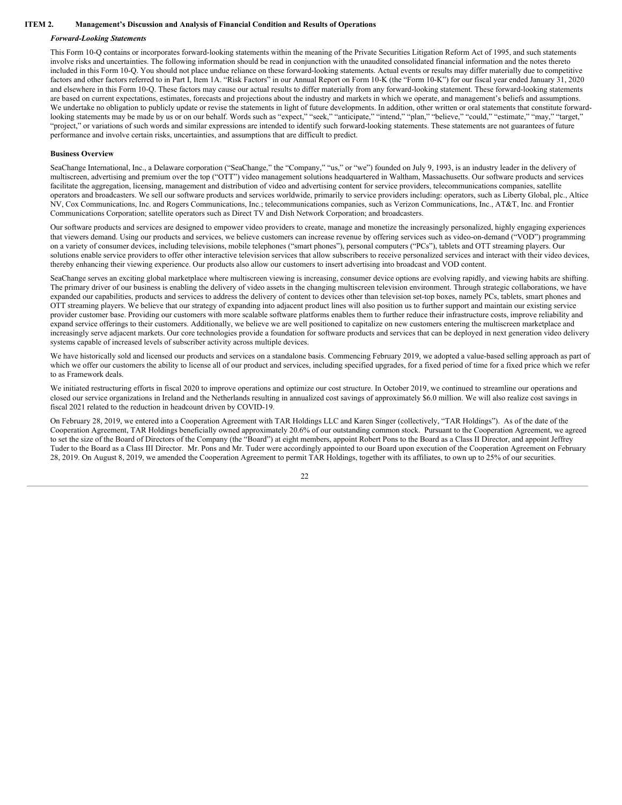#### **ITEM 2. Management's Discussion and Analysis of Financial Condition and Results of Operations**

#### <span id="page-22-0"></span>*Forward-Looking Statements*

This Form 10-Q contains or incorporates forward-looking statements within the meaning of the Private Securities Litigation Reform Act of 1995, and such statements involve risks and uncertainties. The following information should be read in conjunction with the unaudited consolidated financial information and the notes thereto included in this Form 10-Q. You should not place undue reliance on these forward-looking statements. Actual events or results may differ materially due to competitive factors and other factors referred to in Part I, Item 1A. "Risk Factors" in our Annual Report on Form 10-K (the "Form 10-K") for our fiscal year ended January 31, 2020 and elsewhere in this Form 10-Q. These factors may cause our actual results to differ materially from any forward-looking statement. These forward-looking statements are based on current expectations, estimates, forecasts and projections about the industry and markets in which we operate, and management's beliefs and assumptions. We undertake no obligation to publicly update or revise the statements in light of future developments. In addition, other written or oral statements that constitute forwardlooking statements may be made by us or on our behalf. Words such as "expect," "seek," "anticipate," "intend," "plan," "believe," "could," "estimate," "may," "target," "project," or variations of such words and similar expressions are intended to identify such forward-looking statements. These statements are not guarantees of future performance and involve certain risks, uncertainties, and assumptions that are difficult to predict.

#### **Business Overview**

SeaChange International, Inc., a Delaware corporation ("SeaChange," the "Company," "us," or "we") founded on July 9, 1993, is an industry leader in the delivery of multiscreen, advertising and premium over the top ("OTT") video management solutions headquartered in Waltham, Massachusetts. Our software products and services facilitate the aggregation, licensing, management and distribution of video and advertising content for service providers, telecommunications companies, satellite operators and broadcasters. We sell our software products and services worldwide, primarily to service providers including: operators, such as Liberty Global, plc., Altice NV, Cox Communications, Inc. and Rogers Communications, Inc.; telecommunications companies, such as Verizon Communications, Inc., AT&T, Inc. and Frontier Communications Corporation; satellite operators such as Direct TV and Dish Network Corporation; and broadcasters.

Our software products and services are designed to empower video providers to create, manage and monetize the increasingly personalized, highly engaging experiences that viewers demand. Using our products and services, we believe customers can increase revenue by offering services such as video-on-demand ("VOD") programming on a variety of consumer devices, including televisions, mobile telephones ("smart phones"), personal computers ("PCs"), tablets and OTT streaming players. Our solutions enable service providers to offer other interactive television services that allow subscribers to receive personalized services and interact with their video devices, thereby enhancing their viewing experience. Our products also allow our customers to insert advertising into broadcast and VOD content.

SeaChange serves an exciting global marketplace where multiscreen viewing is increasing, consumer device options are evolving rapidly, and viewing habits are shifting. The primary driver of our business is enabling the delivery of video assets in the changing multiscreen television environment. Through strategic collaborations, we have expanded our capabilities, products and services to address the delivery of content to devices other than television set-top boxes, namely PCs, tablets, smart phones and OTT streaming players. We believe that our strategy of expanding into adjacent product lines will also position us to further support and maintain our existing service provider customer base. Providing our customers with more scalable software platforms enables them to further reduce their infrastructure costs, improve reliability and expand service offerings to their customers. Additionally, we believe we are well positioned to capitalize on new customers entering the multiscreen marketplace and increasingly serve adjacent markets. Our core technologies provide a foundation for software products and services that can be deployed in next generation video delivery systems capable of increased levels of subscriber activity across multiple devices.

We have historically sold and licensed our products and services on a standalone basis. Commencing February 2019, we adopted a value-based selling approach as part of which we offer our customers the ability to license all of our product and services, including specified upgrades, for a fixed period of time for a fixed price which we refer to as Framework deals.

We initiated restructuring efforts in fiscal 2020 to improve operations and optimize our cost structure. In October 2019, we continued to streamline our operations and closed our service organizations in Ireland and the Netherlands resulting in annualized cost savings of approximately \$6.0 million. We will also realize cost savings in fiscal 2021 related to the reduction in headcount driven by COVID-19.

On February 28, 2019, we entered into a Cooperation Agreement with TAR Holdings LLC and Karen Singer (collectively, "TAR Holdings"). As of the date of the Cooperation Agreement, TAR Holdings beneficially owned approximately 20.6% of our outstanding common stock. Pursuant to the Cooperation Agreement, we agreed to set the size of the Board of Directors of the Company (the "Board") at eight members, appoint Robert Pons to the Board as a Class II Director, and appoint Jeffrey Tuder to the Board as a Class III Director. Mr. Pons and Mr. Tuder were accordingly appointed to our Board upon execution of the Cooperation Agreement on February 28, 2019. On August 8, 2019, we amended the Cooperation Agreement to permit TAR Holdings, together with its affiliates, to own up to 25% of our securities.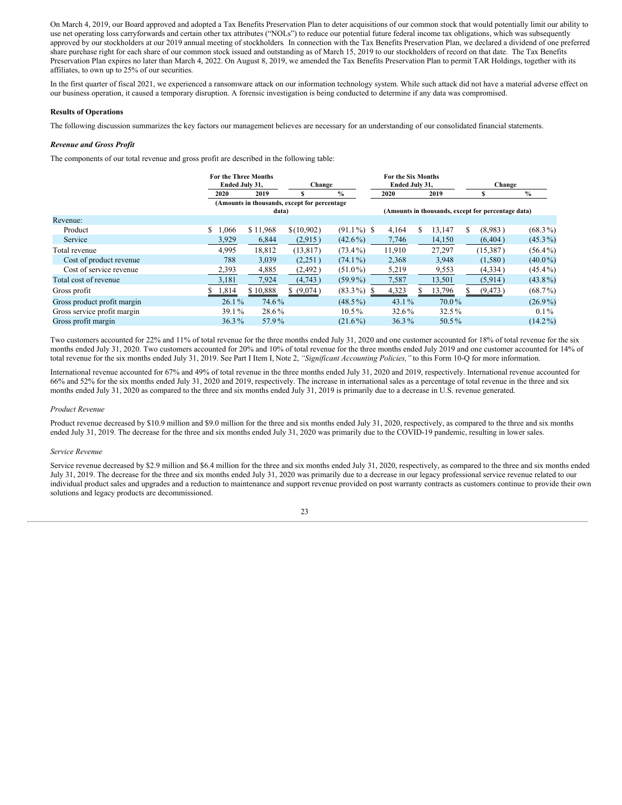On March 4, 2019, our Board approved and adopted a Tax Benefits Preservation Plan to deter acquisitions of our common stock that would potentially limit our ability to use net operating loss carryforwards and certain other tax attributes ("NOLs") to reduce our potential future federal income tax obligations, which was subsequently approved by our stockholders at our 2019 annual meeting of stockholders. In connection with the Tax Benefits Preservation Plan, we declared a dividend of one preferred share purchase right for each share of our common stock issued and outstanding as of March 15, 2019 to our stockholders of record on that date. The Tax Benefits Preservation Plan expires no later than March 4, 2022. On August 8, 2019, we amended the Tax Benefits Preservation Plan to permit TAR Holdings, together with its affiliates, to own up to 25% of our securities.

In the first quarter of fiscal 2021, we experienced a ransomware attack on our information technology system. While such attack did not have a material adverse effect on our business operation, it caused a temporary disruption. A forensic investigation is being conducted to determine if any data was compromised.

#### **Results of Operations**

The following discussion summarizes the key factors our management believes are necessary for an understanding of our consolidated financial statements.

#### *Revenue and Gross Profit*

The components of our total revenue and gross profit are described in the following table:

|                             | <b>For the Three Months</b><br>Ended July 31, |          | Change                                        |               | For the Six Months<br>Ended July 31,               |   |          |     | Change   |               |  |  |
|-----------------------------|-----------------------------------------------|----------|-----------------------------------------------|---------------|----------------------------------------------------|---|----------|-----|----------|---------------|--|--|
|                             | 2020                                          | 2019     |                                               | $\frac{0}{0}$ | 2020                                               |   | 2019     |     |          | $\frac{0}{0}$ |  |  |
|                             |                                               |          | (Amounts in thousands, except for percentage) |               |                                                    |   |          |     |          |               |  |  |
|                             |                                               | data)    |                                               |               | (Amounts in thousands, except for percentage data) |   |          |     |          |               |  |  |
| Revenue:                    |                                               |          |                                               |               |                                                    |   |          |     |          |               |  |  |
| Product                     | 1.066<br>S.                                   | \$11,968 | \$(10,902)                                    | $(91.1\%)$ \$ | 4,164                                              | S | 13,147   | \$. | (8,983)  | $(68.3\%)$    |  |  |
| Service                     | 3,929                                         | 6,844    | (2,915)                                       | $(42.6\%)$    | 7,746                                              |   | 14,150   |     | (6, 404) | $(45.3\%)$    |  |  |
| Total revenue               | 4.995                                         | 18,812   | (13, 817)                                     | $(73.4\%)$    | 11.910                                             |   | 27,297   |     | (15,387) | $(56.4\%)$    |  |  |
| Cost of product revenue     | 788                                           | 3,039    | (2,251)                                       | $(74.1\%)$    | 2,368                                              |   | 3,948    |     | (1,580)  | $(40.0\%)$    |  |  |
| Cost of service revenue     | 2,393                                         | 4,885    | (2,492)                                       | $(51.0\%)$    | 5,219                                              |   | 9,553    |     | (4,334)  | $(45.4\%)$    |  |  |
| Total cost of revenue       | 3,181                                         | 7,924    | (4,743)                                       | $(59.9\%)$    | 7,587                                              |   | 13,501   |     | (5,914)  | $(43.8\%)$    |  |  |
| Gross profit                | 1,814                                         | \$10,888 | \$ (9,074)                                    | $(83.3\%)$    | 4,323                                              |   | 13,796   |     | (9, 473) | $(68.7\%)$    |  |  |
| Gross product profit margin | $26.1\%$                                      | 74.6%    |                                               | $(48.5\%)$    | $43.1\%$                                           |   | 70.0%    |     |          | $(26.9\%)$    |  |  |
| Gross service profit margin | $39.1\%$                                      | 28.6%    |                                               | $10.5\%$      | 32.6%                                              |   | $32.5\%$ |     |          | $0.1\%$       |  |  |
| Gross profit margin         | $36.3\%$                                      | 57.9%    |                                               | $(21.6\%)$    | $36.3\%$                                           |   | 50.5%    |     |          | $(14.2\%)$    |  |  |

Two customers accounted for 22% and 11% of total revenue for the three months ended July 31, 2020 and one customer accounted for 18% of total revenue for the six months ended July 31, 2020. Two customers accounted for 20% and 10% of total revenue for the three months ended July 2019 and one customer accounted for 14% of total revenue for the six months ended July 31, 2019. See Part I Item I, Note 2, *"Significant Accounting Policies,"* to this Form 10-Q for more information.

International revenue accounted for 67% and 49% of total revenue in the three months ended July 31, 2020 and 2019, respectively. International revenue accounted for 66% and 52% for the six months ended July 31, 2020 and 2019, respectively. The increase in international sales as a percentage of total revenue in the three and six months ended July 31, 2020 as compared to the three and six months ended July 31, 2019 is primarily due to a decrease in U.S. revenue generated.

#### *Product Revenue*

Product revenue decreased by \$10.9 million and \$9.0 million for the three and six months ended July 31, 2020, respectively, as compared to the three and six months ended July 31, 2019. The decrease for the three and six months ended July 31, 2020 was primarily due to the COVID-19 pandemic, resulting in lower sales.

#### *Service Revenue*

Service revenue decreased by \$2.9 million and \$6.4 million for the three and six months ended July 31, 2020, respectively, as compared to the three and six months ended July 31, 2019. The decrease for the three and six months ended July 31, 2020 was primarily due to a decrease in our legacy professional service revenue related to our individual product sales and upgrades and a reduction to maintenance and support revenue provided on post warranty contracts as customers continue to provide their own solutions and legacy products are decommissioned.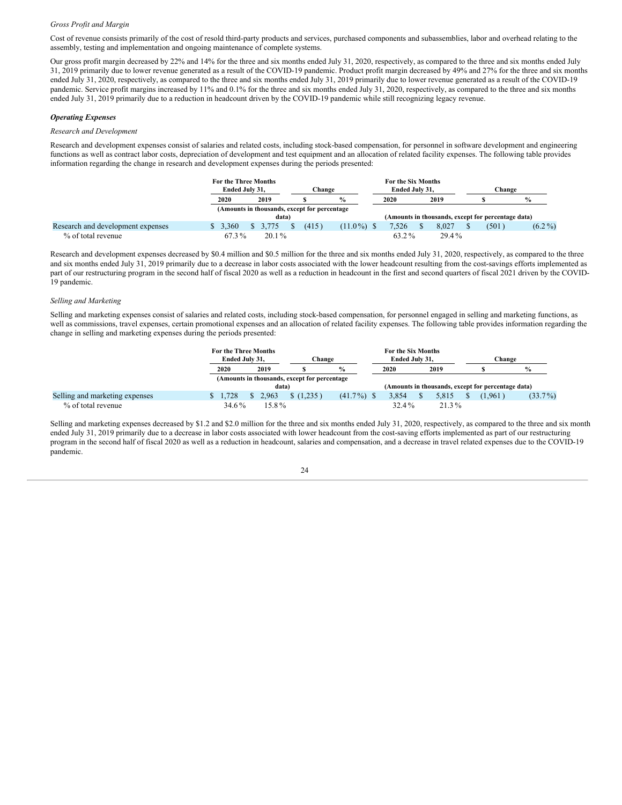#### *Gross Profit and Margin*

Cost of revenue consists primarily of the cost of resold third-party products and services, purchased components and subassemblies, labor and overhead relating to the assembly, testing and implementation and ongoing maintenance of complete systems.

Our gross profit margin decreased by 22% and 14% for the three and six months ended July 31, 2020, respectively, as compared to the three and six months ended July 31, 2019 primarily due to lower revenue generated as a result of the COVID-19 pandemic. Product profit margin decreased by 49% and 27% for the three and six months ended July 31, 2020, respectively, as compared to the three and six months ended July 31, 2019 primarily due to lower revenue generated as a result of the COVID-19 pandemic. Service profit margins increased by 11% and 0.1% for the three and six months ended July 31, 2020, respectively, as compared to the three and six months ended July 31, 2019 primarily due to a reduction in headcount driven by the COVID-19 pandemic while still recognizing legacy revenue.

#### *Operating Expenses*

#### *Research and Development*

Research and development expenses consist of salaries and related costs, including stock-based compensation, for personnel in software development and engineering functions as well as contract labor costs, depreciation of development and test equipment and an allocation of related facility expenses. The following table provides information regarding the change in research and development expenses during the periods presented:

|                                   |                                               | For the Three Months<br>Ended July 31. |  |       | Change                                             | For the Six Months | Ended July 31, |          | Change |               |
|-----------------------------------|-----------------------------------------------|----------------------------------------|--|-------|----------------------------------------------------|--------------------|----------------|----------|--------|---------------|
|                                   | 2020                                          | 2019                                   |  |       | $\frac{0}{0}$                                      | 2020               |                | 2019     |        | $\frac{0}{0}$ |
|                                   | (Amounts in thousands, except for percentage) |                                        |  |       | (Amounts in thousands, except for percentage data) |                    |                |          |        |               |
| Research and development expenses | \$3,360                                       | 3.775                                  |  | (415) | $(11.0\%)$ \$                                      | 7.526              |                | 8.027    | (501)  | $(6.2\%)$     |
| % of total revenue                | 67.3%                                         | $20.1\%$                               |  |       |                                                    | 63.2%              |                | $29.4\%$ |        |               |

Research and development expenses decreased by \$0.4 million and \$0.5 million for the three and six months ended July 31, 2020, respectively, as compared to the three and six months ended July 31, 2019 primarily due to a decrease in labor costs associated with the lower headcount resulting from the cost-savings efforts implemented as part of our restructuring program in the second half of fiscal 2020 as well as a reduction in headcount in the first and second quarters of fiscal 2021 driven by the COVID-19 pandemic.

#### *Selling and Marketing*

Selling and marketing expenses consist of salaries and related costs, including stock-based compensation, for personnel engaged in selling and marketing functions, as well as commissions, travel expenses, certain promotional expenses and an allocation of related facility expenses. The following table provides information regarding the change in selling and marketing expenses during the periods presented:

|                                |             | <b>For the Three Months</b><br>Ended July 31, |                                                        | Change        | For the Six Months<br>Ended July 31, |          | Change                                             |               |
|--------------------------------|-------------|-----------------------------------------------|--------------------------------------------------------|---------------|--------------------------------------|----------|----------------------------------------------------|---------------|
|                                | <b>2020</b> | 2019                                          |                                                        | $\frac{0}{0}$ | 2020                                 | 2019     |                                                    | $\frac{0}{0}$ |
|                                |             |                                               | (Amounts in thousands, except for percentage)<br>data) |               |                                      |          | (Amounts in thousands, except for percentage data) |               |
| Selling and marketing expenses | \$1.728     | 2,963                                         | \$(1.235)                                              | $(41.7\%)$ \$ | 3.854                                | 5.815    | (1.961)                                            | $(33.7\%)$    |
| % of total revenue             | 34.6%       |                                               | 15.8%                                                  |               | 32.4%                                | $21.3\%$ |                                                    |               |

Selling and marketing expenses decreased by \$1.2 and \$2.0 million for the three and six months ended July 31, 2020, respectively, as compared to the three and six month ended July 31, 2019 primarily due to a decrease in labor costs associated with lower headcount from the cost-saving efforts implemented as part of our restructuring program in the second half of fiscal 2020 as well as a reduction in headcount, salaries and compensation, and a decrease in travel related expenses due to the COVID-19 pandemic.

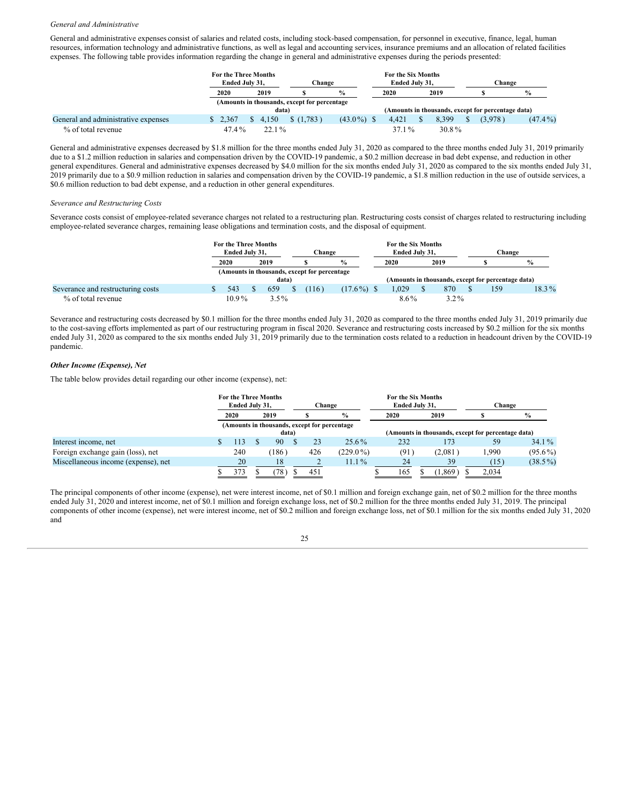#### *General and Administrative*

General and administrative expenses consist of salaries and related costs, including stock-based compensation, for personnel in executive, finance, legal, human resources, information technology and administrative functions, as well as legal and accounting services, insurance premiums and an allocation of related facilities expenses. The following table provides information regarding the change in general and administrative expenses during the periods presented:

|                                                                                                     | For the Three Months | Ended July 31. |                    | Change        |  | For the Six Months<br>Ended July 31. |  |       |  | Change  |               |  |
|-----------------------------------------------------------------------------------------------------|----------------------|----------------|--------------------|---------------|--|--------------------------------------|--|-------|--|---------|---------------|--|
|                                                                                                     | 2020                 | 2019           |                    | $\frac{0}{0}$ |  | 2020                                 |  | 2019  |  |         | $\frac{0}{0}$ |  |
| (Amounts in thousands, except for percentage)<br>(Amounts in thousands, except for percentage data) |                      |                |                    |               |  |                                      |  |       |  |         |               |  |
|                                                                                                     |                      |                | data)              |               |  |                                      |  |       |  |         |               |  |
| General and administrative expenses                                                                 | \$2.367              |                | \$(1.783)<br>4.150 | $(43.0\%)$ \$ |  | 4.421                                |  | 8.399 |  | (3.978) | $(47.4\%)$    |  |
| % of total revenue                                                                                  | $47.4\%$             |                | $22.1\%$           |               |  | 37.1 %                               |  | 30.8% |  |         |               |  |

General and administrative expenses decreased by \$1.8 million for the three months ended July 31, 2020 as compared to the three months ended July 31, 2019 primarily due to a \$1.2 million reduction in salaries and compensation driven by the COVID-19 pandemic, a \$0.2 million decrease in bad debt expense, and reduction in other general expenditures. General and administrative expenses decreased by \$4.0 million for the six months ended July 31, 2020 as compared to the six months ended July 31, 2019 primarily due to a \$0.9 million reduction in salaries and compensation driven by the COVID-19 pandemic, a \$1.8 million reduction in the use of outside services, a \$0.6 million reduction to bad debt expense, and a reduction in other general expenditures.

#### *Severance and Restructuring Costs*

Severance costs consist of employee-related severance charges not related to a restructuring plan. Restructuring costs consist of charges related to restructuring including employee-related severance charges, remaining lease obligations and termination costs, and the disposal of equipment.

|                                   | <b>For the Three Months</b><br>Ended July 31, |         | Change                                       |               | For the Six Months<br>Ended July 31, |  |         |  | Change                                             |               |
|-----------------------------------|-----------------------------------------------|---------|----------------------------------------------|---------------|--------------------------------------|--|---------|--|----------------------------------------------------|---------------|
|                                   | 2020                                          | 2019    |                                              | $\frac{0}{0}$ | 2020                                 |  | 2019    |  |                                                    | $\frac{0}{0}$ |
|                                   |                                               | data)   | (Amounts in thousands, except for percentage |               |                                      |  |         |  | (Amounts in thousands, except for percentage data) |               |
| Severance and restructuring costs | 543                                           | 659     | (116)                                        | $(17.6\%)$ \$ | .029                                 |  | 870     |  | 159                                                | $18.3\%$      |
| % of total revenue                | $10.9\%$                                      | $3.5\%$ |                                              |               | $8.6\%$                              |  | $3.2\%$ |  |                                                    |               |

Severance and restructuring costs decreased by \$0.1 million for the three months ended July 31, 2020 as compared to the three months ended July 31, 2019 primarily due to the cost-saving efforts implemented as part of our restructuring program in fiscal 2020. Severance and restructuring costs increased by \$0.2 million for the six months ended July 31, 2020 as compared to the six months ended July 31, 2019 primarily due to the termination costs related to a reduction in headcount driven by the COVID-19 pandemic.

#### *Other Income (Expense), Net*

The table below provides detail regarding our other income (expense), net:

|                                              |  | <b>For the Three Months</b><br>Ended July 31. |  |      | Change |                                                    |               | For the Six Months<br>Ended July 31. |  |         | Change |       |               |
|----------------------------------------------|--|-----------------------------------------------|--|------|--------|----------------------------------------------------|---------------|--------------------------------------|--|---------|--------|-------|---------------|
|                                              |  | 2020                                          |  | 2019 |        |                                                    | $\frac{0}{0}$ | 2020                                 |  | 2019    |        |       | $\frac{0}{0}$ |
| (Amounts in thousands, except for percentage |  |                                               |  |      |        |                                                    |               |                                      |  |         |        |       |               |
|                                              |  | data)                                         |  |      |        | (Amounts in thousands, except for percentage data) |               |                                      |  |         |        |       |               |
| Interest income, net                         |  | 13                                            |  | 90   |        | 23                                                 | $25.6\%$      | 232                                  |  | 173     |        | 59    | $34.1\%$      |
| Foreign exchange gain (loss), net            |  | 240                                           |  | 186) |        | 426                                                | $(229.0\%)$   | (91)                                 |  | (2.081  |        | .990  | $(95.6\%)$    |
| Miscellaneous income (expense), net          |  | 20                                            |  | 18   |        |                                                    | $11.1\%$      | 24                                   |  | 39      |        | (15)  | $(38.5\%)$    |
|                                              |  | 373                                           |  | 78)  |        | 451                                                |               | 165                                  |  | (1.869) |        | 2.034 |               |

The principal components of other income (expense), net were interest income, net of \$0.1 million and foreign exchange gain, net of \$0.2 million for the three months ended July 31, 2020 and interest income, net of \$0.1 million and foreign exchange loss, net of \$0.2 million for the three months ended July 31, 2019. The principal components of other income (expense), net were interest income, net of \$0.2 million and foreign exchange loss, net of \$0.1 million for the six months ended July 31, 2020 and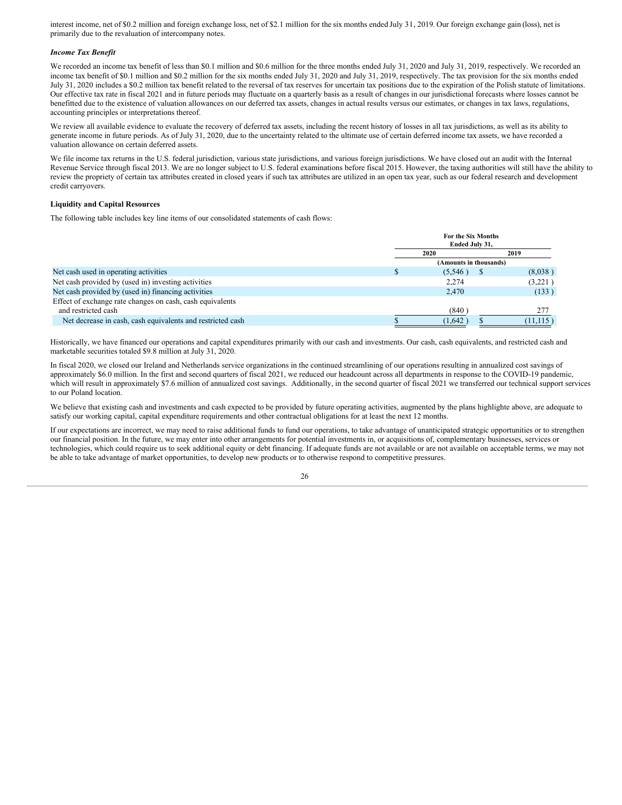interest income, net of \$0.2 million and foreign exchange loss, net of \$2.1 million for the six months ended July 31, 2019. Our foreign exchange gain (loss), net is primarily due to the revaluation of intercompany notes.

#### *Income Tax Benefit*

We recorded an income tax benefit of less than \$0.1 million and \$0.6 million for the three months ended July 31, 2020 and July 31, 2019, respectively. We recorded an income tax benefit of \$0.1 million and \$0.2 million for the six months ended July 31, 2020 and July 31, 2019, respectively. The tax provision for the six months ended July 31, 2020 includes a \$0.2 million tax benefit related to the reversal of tax reserves for uncertain tax positions due to the expiration of the Polish statute of limitations. Our effective tax rate in fiscal 2021 and in future periods may fluctuate on a quarterly basis as a result of changes in our jurisdictional forecasts where losses cannot be benefitted due to the existence of valuation allowances on our deferred tax assets, changes in actual results versus our estimates, or changes in tax laws, regulations, accounting principles or interpretations thereof.

We review all available evidence to evaluate the recovery of deferred tax assets, including the recent history of losses in all tax jurisdictions, as well as its ability to generate income in future periods. As of July 31, 2020, due to the uncertainty related to the ultimate use of certain deferred income tax assets, we have recorded a valuation allowance on certain deferred assets.

We file income tax returns in the U.S. federal jurisdiction, various state jurisdictions, and various foreign jurisdictions. We have closed out an audit with the Internal Revenue Service through fiscal 2013. We are no longer subject to U.S. federal examinations before fiscal 2015. However, the taxing authorities will still have the ability to review the propriety of certain tax attributes created in closed years if such tax attributes are utilized in an open tax year, such as our federal research and development credit carryovers.

#### **Liquidity and Capital Resources**

The following table includes key line items of our consolidated statements of cash flows:

|                                                            | For the Six Months<br>Ended July 31, |           |  |  |  |
|------------------------------------------------------------|--------------------------------------|-----------|--|--|--|
|                                                            | 2019<br>2020                         |           |  |  |  |
|                                                            | (Amounts in thousands)               |           |  |  |  |
| Net cash used in operating activities                      | (5, 546)                             | (8,038)   |  |  |  |
| Net cash provided by (used in) investing activities        | 2,274                                | (3,221)   |  |  |  |
| Net cash provided by (used in) financing activities        | 2.470                                | (133)     |  |  |  |
| Effect of exchange rate changes on cash, cash equivalents  |                                      |           |  |  |  |
| and restricted cash                                        | (840)                                | 277       |  |  |  |
| Net decrease in cash, cash equivalents and restricted cash | (1,642)                              | (11, 115) |  |  |  |

Historically, we have financed our operations and capital expenditures primarily with our cash and investments. Our cash, cash equivalents, and restricted cash and marketable securities totaled \$9.8 million at July 31, 2020.

In fiscal 2020, we closed our Ireland and Netherlands service organizations in the continued streamlining of our operations resulting in annualized cost savings of approximately \$6.0 million. In the first and second quarters of fiscal 2021, we reduced our headcount across all departments in response to the COVID-19 pandemic, which will result in approximately \$7.6 million of annualized cost savings. Additionally, in the second quarter of fiscal 2021 we transferred our technical support services to our Poland location.

We believe that existing cash and investments and cash expected to be provided by future operating activities, augmented by the plans highlighte above, are adequate to satisfy our working capital, capital expenditure requirements and other contractual obligations for at least the next 12 months.

If our expectations are incorrect, we may need to raise additional funds to fund our operations, to take advantage of unanticipated strategic opportunities or to strengthen our financial position. In the future, we may enter into other arrangements for potential investments in, or acquisitions of, complementary businesses, services or technologies, which could require us to seek additional equity or debt financing. If adequate funds are not available or are not available on acceptable terms, we may not be able to take advantage of market opportunities, to develop new products or to otherwise respond to competitive pressures.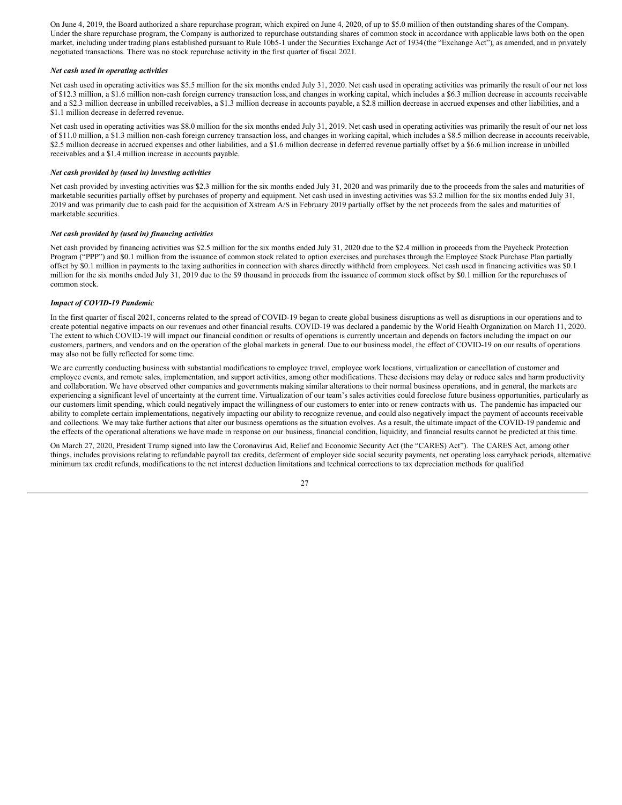On June 4, 2019, the Board authorized a share repurchase program, which expired on June 4, 2020, of up to \$5.0 million of then outstanding shares of the Company. Under the share repurchase program, the Company is authorized to repurchase outstanding shares of common stock in accordance with applicable laws both on the open market, including under trading plans established pursuant to Rule 10b5-1 under the Securities Exchange Act of 1934(the "Exchange Act"), as amended, and in privately negotiated transactions. There was no stock repurchase activity in the first quarter of fiscal 2021.

#### *Net cash used in operating activities*

Net cash used in operating activities was \$5.5 million for the six months ended July 31, 2020. Net cash used in operating activities was primarily the result of our net loss of \$12.3 million, a \$1.6 million non-cash foreign currency transaction loss, and changes in working capital, which includes a \$6.3 million decrease in accounts receivable and a \$2.3 million decrease in unbilled receivables, a \$1.3 million decrease in accounts payable, a \$2.8 million decrease in accrued expenses and other liabilities, and a \$1.1 million decrease in deferred revenue.

Net cash used in operating activities was \$8.0 million for the six months ended July 31, 2019. Net cash used in operating activities was primarily the result of our net loss of \$11.0 million, a \$1.3 million non-cash foreign currency transaction loss, and changes in working capital, which includes a \$8.5 million decrease in accounts receivable, \$2.5 million decrease in accrued expenses and other liabilities, and a \$1.6 million decrease in deferred revenue partially offset by a \$6.6 million increase in unbilled receivables and a \$1.4 million increase in accounts payable.

#### *Net cash provided by (used in) investing activities*

Net cash provided by investing activities was \$2.3 million for the six months ended July 31, 2020 and was primarily due to the proceeds from the sales and maturities of marketable securities partially offset by purchases of property and equipment. Net cash used in investing activities was \$3.2 million for the six months ended July 31, 2019 and was primarily due to cash paid for the acquisition of Xstream A/S in February 2019 partially offset by the net proceeds from the sales and maturities of marketable securities.

#### *Net cash provided by (used in) financing activities*

Net cash provided by financing activities was \$2.5 million for the six months ended July 31, 2020 due to the \$2.4 million in proceeds from the Paycheck Protection Program ("PPP") and \$0.1 million from the issuance of common stock related to option exercises and purchases through the Employee Stock Purchase Plan partially offset by \$0.1 million in payments to the taxing authorities in connection with shares directly withheld from employees. Net cash used in financing activities was \$0.1 million for the six months ended July 31, 2019 due to the \$9 thousand in proceeds from the issuance of common stock offset by \$0.1 million for the repurchases of common stock.

#### *Impact of COVID-19 Pandemic*

In the first quarter of fiscal 2021, concerns related to the spread of COVID-19 began to create global business disruptions as well as disruptions in our operations and to create potential negative impacts on our revenues and other financial results. COVID-19 was declared a pandemic by the World Health Organization on March 11, 2020. The extent to which COVID-19 will impact our financial condition or results of operations is currently uncertain and depends on factors including the impact on our customers, partners, and vendors and on the operation of the global markets in general. Due to our business model, the effect of COVID-19 on our results of operations may also not be fully reflected for some time.

We are currently conducting business with substantial modifications to employee travel, employee work locations, virtualization or cancellation of customer and employee events, and remote sales, implementation, and support activities, among other modifications. These decisions may delay or reduce sales and harm productivity and collaboration. We have observed other companies and governments making similar alterations to their normal business operations, and in general, the markets are experiencing a significant level of uncertainty at the current time. Virtualization of our team's sales activities could foreclose future business opportunities, particularly as our customers limit spending, which could negatively impact the willingness of our customers to enter into or renew contracts with us. The pandemic has impacted our ability to complete certain implementations, negatively impacting our ability to recognize revenue, and could also negatively impact the payment of accounts receivable and collections. We may take further actions that alter our business operations as the situation evolves. As a result, the ultimate impact of the COVID-19 pandemic and the effects of the operational alterations we have made in response on our business, financial condition, liquidity, and financial results cannot be predicted at this time.

On March 27, 2020, President Trump signed into law the Coronavirus Aid, Relief and Economic Security Act (the "CARES) Act"). The CARES Act, among other things, includes provisions relating to refundable payroll tax credits, deferment of employer side social security payments, net operating loss carryback periods, alternative minimum tax credit refunds, modifications to the net interest deduction limitations and technical corrections to tax depreciation methods for qualified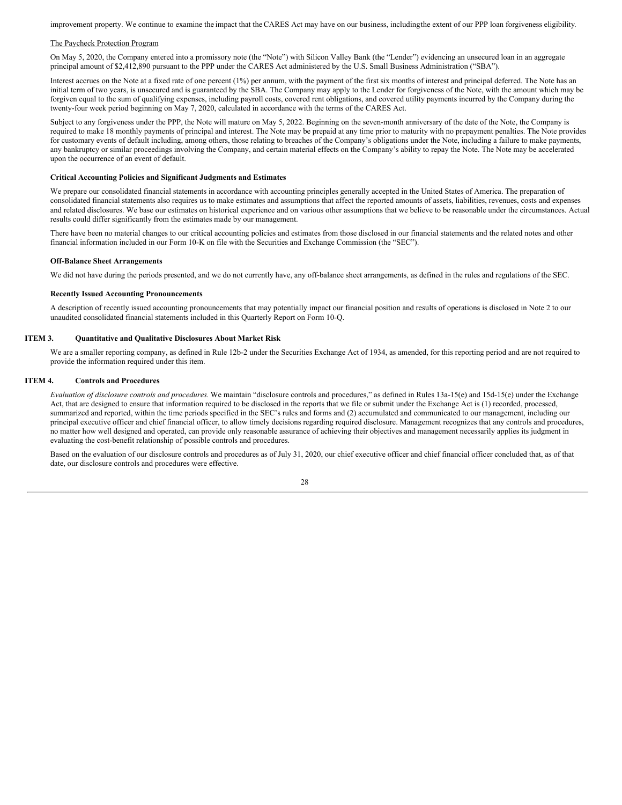improvement property. We continue to examine the impact that theCARES Act may have on our business, includingthe extent of our PPP loan forgiveness eligibility.

#### The Paycheck Protection Program

On May 5, 2020, the Company entered into a promissory note (the "Note") with Silicon Valley Bank (the "Lender") evidencing an unsecured loan in an aggregate principal amount of \$2,412,890 pursuant to the PPP under the CARES Act administered by the U.S. Small Business Administration ("SBA").

Interest accrues on the Note at a fixed rate of one percent (1%) per annum, with the payment of the first six months of interest and principal deferred. The Note has an initial term of two years, is unsecured and is guaranteed by the SBA. The Company may apply to the Lender for forgiveness of the Note, with the amount which may be forgiven equal to the sum of qualifying expenses, including payroll costs, covered rent obligations, and covered utility payments incurred by the Company during the twenty-four week period beginning on May 7, 2020, calculated in accordance with the terms of the CARES Act.

Subject to any forgiveness under the PPP, the Note will mature on May 5, 2022. Beginning on the seven-month anniversary of the date of the Note, the Company is required to make 18 monthly payments of principal and interest. The Note may be prepaid at any time prior to maturity with no prepayment penalties. The Note provides for customary events of default including, among others, those relating to breaches of the Company's obligations under the Note, including a failure to make payments, any bankruptcy or similar proceedings involving the Company, and certain material effects on the Company's ability to repay the Note. The Note may be accelerated upon the occurrence of an event of default.

#### **Critical Accounting Policies and Significant Judgments and Estimates**

We prepare our consolidated financial statements in accordance with accounting principles generally accepted in the United States of America. The preparation of consolidated financial statements also requires us to make estimates and assumptions that affect the reported amounts of assets, liabilities, revenues, costs and expenses and related disclosures. We base our estimates on historical experience and on various other assumptions that we believe to be reasonable under the circumstances. Actual results could differ significantly from the estimates made by our management.

There have been no material changes to our critical accounting policies and estimates from those disclosed in our financial statements and the related notes and other financial information included in our Form 10-K on file with the Securities and Exchange Commission (the "SEC").

#### **Off-Balance Sheet Arrangements**

We did not have during the periods presented, and we do not currently have, any off-balance sheet arrangements, as defined in the rules and regulations of the SEC.

#### **Recently Issued Accounting Pronouncements**

A description of recently issued accounting pronouncements that may potentially impact our financial position and results of operations is disclosed in Note 2 to our unaudited consolidated financial statements included in this Quarterly Report on Form 10-Q.

#### **ITEM 3. Quantitative and Qualitative Disclosures About Market Risk**

<span id="page-28-0"></span>We are a smaller reporting company, as defined in Rule 12b-2 under the Securities Exchange Act of 1934, as amended, for this reporting period and are not required to provide the information required under this item.

#### **ITEM 4. Controls and Procedures**

<span id="page-28-1"></span>*Evaluation of disclosure controls and procedures.* We maintain "disclosure controls and procedures," as defined in Rules 13a‑15(e) and 15d‑15(e) under the Exchange Act, that are designed to ensure that information required to be disclosed in the reports that we file or submit under the Exchange Act is (1) recorded, processed, summarized and reported, within the time periods specified in the SEC's rules and forms and (2) accumulated and communicated to our management, including our principal executive officer and chief financial officer, to allow timely decisions regarding required disclosure. Management recognizes that any controls and procedures, no matter how well designed and operated, can provide only reasonable assurance of achieving their objectives and management necessarily applies its judgment in evaluating the cost-benefit relationship of possible controls and procedures.

Based on the evaluation of our disclosure controls and procedures as of July 31, 2020, our chief executive officer and chief financial officer concluded that, as of that date, our disclosure controls and procedures were effective.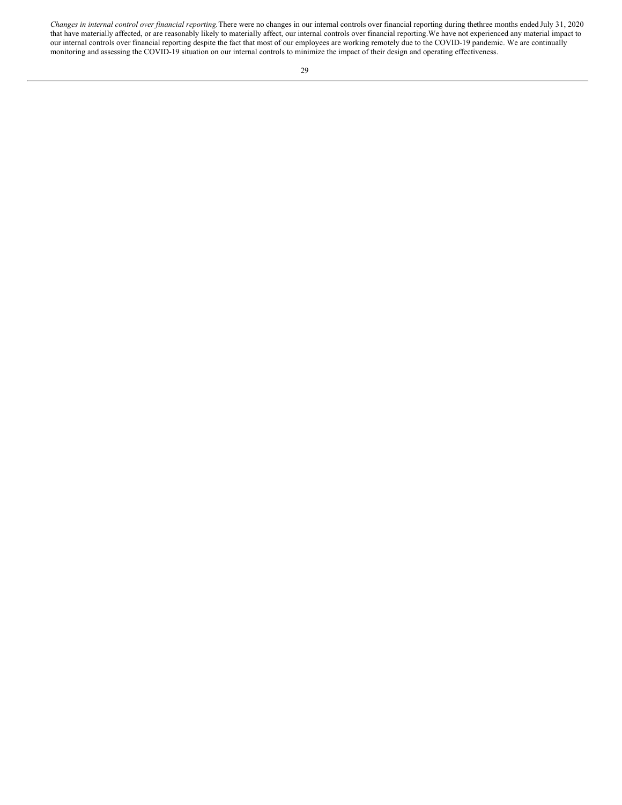*Changes in internal control over financial reporting.*There were no changes in our internal controls over financial reporting during thethree months ended July 31, 2020 that have materially affected, or are reasonably likely to materially affect, our internal controls over financial reporting.We have not experienced any material impact to our internal controls over financial reporting despite the fact that most of our employees are working remotely due to the COVID-19 pandemic. We are continually monitoring and assessing the COVID-19 situation on our internal controls to minimize the impact of their design and operating effectiveness.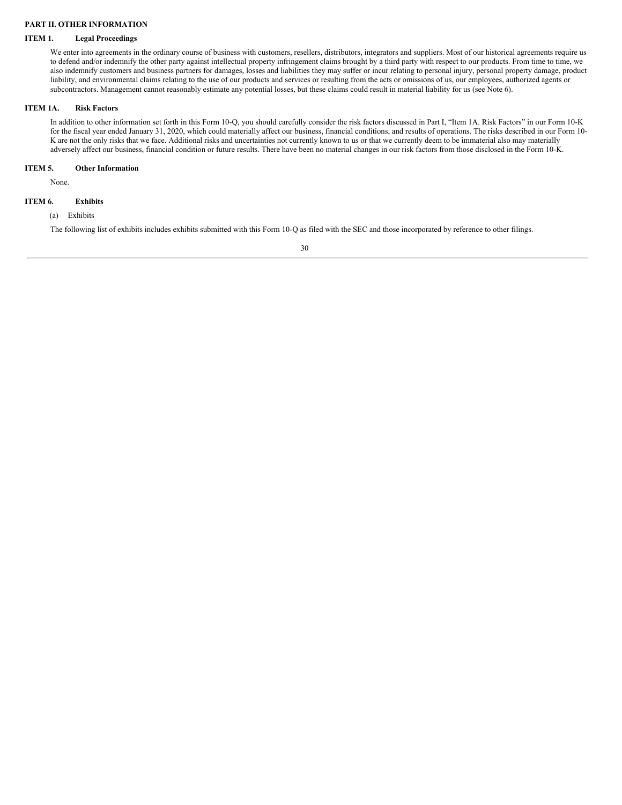#### <span id="page-30-0"></span>**PART II. OTHER INFORMATION**

# **ITEM 1. Legal Proceedings**

<span id="page-30-1"></span>We enter into agreements in the ordinary course of business with customers, resellers, distributors, integrators and suppliers. Most of our historical agreements require us to defend and/or indemnify the other party against intellectual property infringement claims brought by a third party with respect to our products. From time to time, we also indemnify customers and business partners for damages, losses and liabilities they may suffer or incur relating to personal injury, personal property damage, product liability, and environmental claims relating to the use of our products and services or resulting from the acts or omissions of us, our employees, authorized agents or subcontractors. Management cannot reasonably estimate any potential losses, but these claims could result in material liability for us (see Note 6).

#### **ITEM 1A. Risk Factors**

<span id="page-30-2"></span>In addition to other information set forth in this Form 10-Q, you should carefully consider the risk factors discussed in Part I, "Item 1A. Risk Factors" in our Form 10-K for the fiscal year ended January 31, 2020, which could materially affect our business, financial conditions, and results of operations. The risks described in our Form 10- K are not the only risks that we face. Additional risks and uncertainties not currently known to us or that we currently deem to be immaterial also may materially adversely affect our business, financial condition or future results. There have been no material changes in our risk factors from those disclosed in the Form 10-K.

#### **ITEM 5. Other Information**

<span id="page-30-3"></span>None.

# **ITEM 6. Exhibits**

# <span id="page-30-4"></span>(a) Exhibits

The following list of exhibits includes exhibits submitted with this Form 10-Q as filed with the SEC and those incorporated by reference to other filings.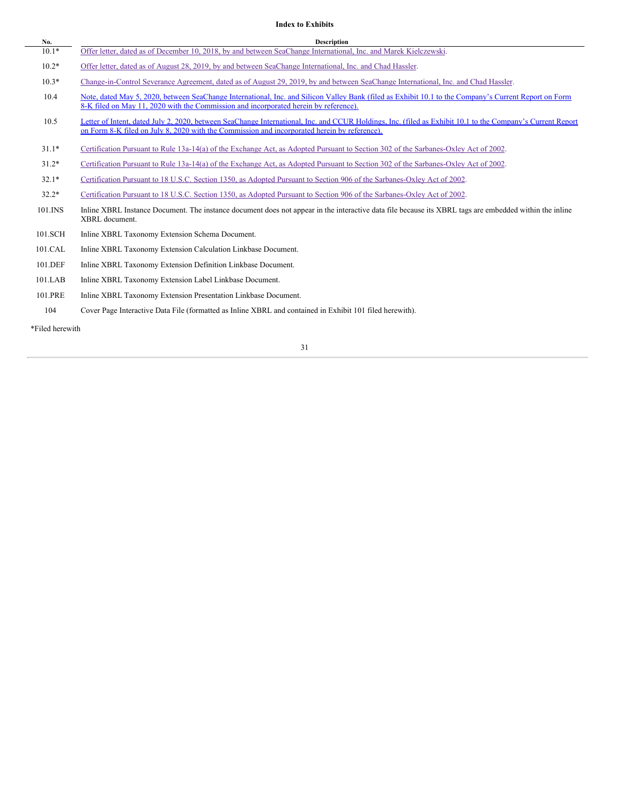#### **Index to Exhibits**

| No.             | <b>Description</b>                                                                                                                                                                                                                                         |
|-----------------|------------------------------------------------------------------------------------------------------------------------------------------------------------------------------------------------------------------------------------------------------------|
| $10.1*$         | Offer letter, dated as of December 10, 2018, by and between SeaChange International, Inc. and Marek Kielczewski.                                                                                                                                           |
| $10.2*$         | Offer letter, dated as of August 28, 2019, by and between SeaChange International, Inc. and Chad Hassler.                                                                                                                                                  |
| $10.3*$         | Change-in-Control Severance Agreement, dated as of August 29, 2019, by and between SeaChange International, Inc. and Chad Hassler.                                                                                                                         |
| 10.4            | Note, dated May 5, 2020, between SeaChange International, Inc. and Silicon Valley Bank (filed as Exhibit 10.1 to the Company's Current Report on Form<br>8-K filed on May 11, 2020 with the Commission and incorporated herein by reference).              |
| 10.5            | Letter of Intent, dated July 2, 2020, between SeaChange International, Inc. and CCUR Holdings, Inc. (filed as Exhibit 10.1 to the Company's Current Report<br>on Form 8-K filed on July 8, 2020 with the Commission and incorporated herein by reference). |
| $31.1*$         | Certification Pursuant to Rule 13a-14(a) of the Exchange Act, as Adopted Pursuant to Section 302 of the Sarbanes-Oxley Act of 2002.                                                                                                                        |
| $31.2*$         | Certification Pursuant to Rule 13a-14(a) of the Exchange Act, as Adopted Pursuant to Section 302 of the Sarbanes-Oxley Act of 2002.                                                                                                                        |
| $32.1*$         | Certification Pursuant to 18 U.S.C. Section 1350, as Adopted Pursuant to Section 906 of the Sarbanes-Oxley Act of 2002.                                                                                                                                    |
| $32.2*$         | Certification Pursuant to 18 U.S.C. Section 1350, as Adopted Pursuant to Section 906 of the Sarbanes-Oxley Act of 2002.                                                                                                                                    |
| 101.INS         | Inline XBRL Instance Document. The instance document does not appear in the interactive data file because its XBRL tags are embedded within the inline<br>XBRL document.                                                                                   |
| 101.SCH         | Inline XBRL Taxonomy Extension Schema Document.                                                                                                                                                                                                            |
| 101.CAL         | Inline XBRL Taxonomy Extension Calculation Linkbase Document.                                                                                                                                                                                              |
| 101.DEF         | Inline XBRL Taxonomy Extension Definition Linkbase Document.                                                                                                                                                                                               |
| 101.LAB         | Inline XBRL Taxonomy Extension Label Linkbase Document.                                                                                                                                                                                                    |
| 101.PRE         | Inline XBRL Taxonomy Extension Presentation Linkbase Document.                                                                                                                                                                                             |
| 104             | Cover Page Interactive Data File (formatted as Inline XBRL and contained in Exhibit 101 filed herewith).                                                                                                                                                   |
| *Filed herewith |                                                                                                                                                                                                                                                            |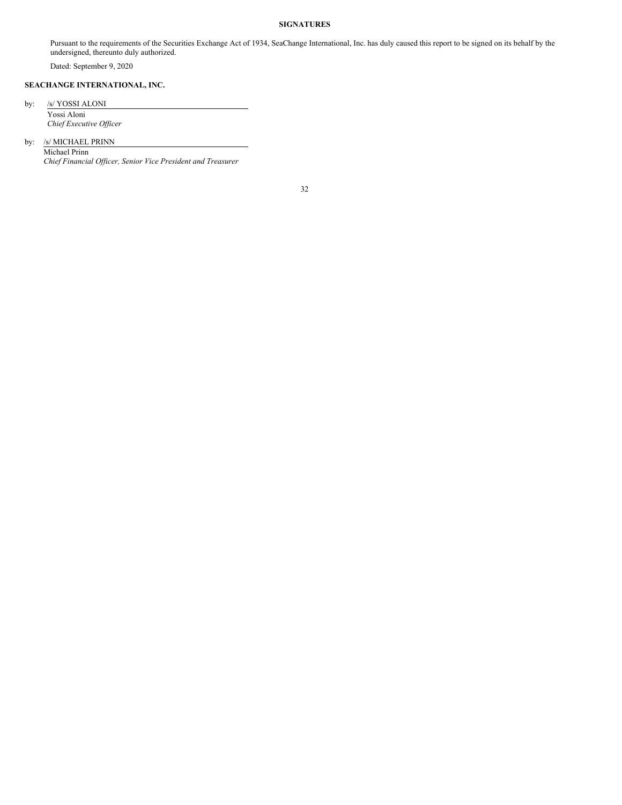#### **SIGNATURES**

<span id="page-32-0"></span>Pursuant to the requirements of the Securities Exchange Act of 1934, SeaChange International, Inc. has duly caused this report to be signed on its behalf by the undersigned, thereunto duly authorized.

Dated: September 9, 2020

# **SEACHANGE INTERNATIONAL, INC.**

by: /s/ YOSSI ALONI

Yossi Aloni *Chief Executive Of icer*

by: /s/ MICHAEL PRINN

Michael Prinn *Chief Financial Of icer, Senior Vice President and Treasurer*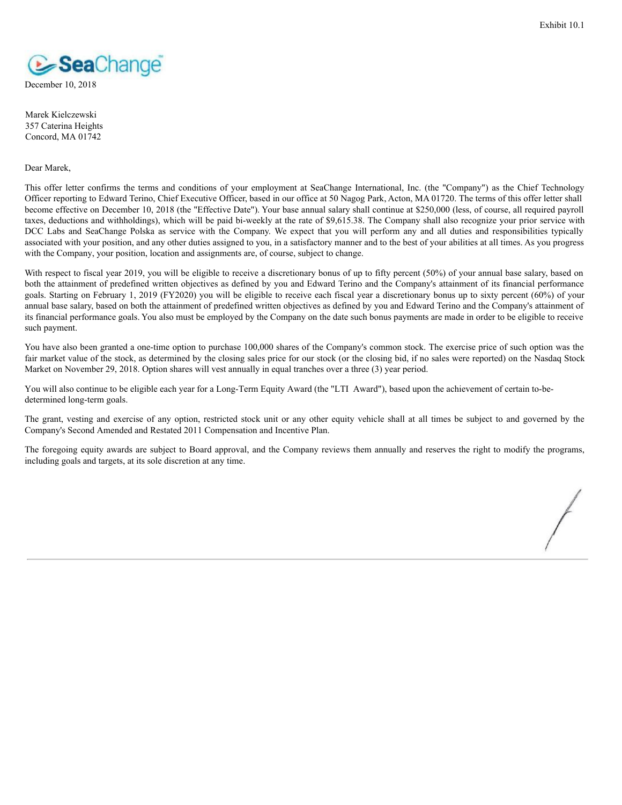

December 10, 2018

Marek Kielczewski 357 Caterina Heights Concord, MA 01742

Dear Marek,

This offer letter confirms the terms and conditions of your employment at SeaChange International, Inc. (the "Company") as the Chief Technology Officer reporting to Edward Terino, Chief Executive Officer, based in our office at 50 Nagog Park, Acton, MA 01720. The terms of this offer letter shall become effective on December 10, 2018 (the "Effective Date"). Your base annual salary shall continue at \$250,000 (less, of course, all required payroll taxes, deductions and withholdings), which will be paid bi-weekly at the rate of \$9,615.38. The Company shall also recognize your prior service with DCC Labs and SeaChange Polska as service with the Company. We expect that you will perform any and all duties and responsibilities typically associated with your position, and any other duties assigned to you, in a satisfactory manner and to the best of your abilities at all times. As you progress with the Company, your position, location and assignments are, of course, subject to change.

With respect to fiscal year 2019, you will be eligible to receive a discretionary bonus of up to fifty percent (50%) of your annual base salary, based on both the attainment of predefined written objectives as defined by you and Edward Terino and the Company's attainment of its financial performance goals. Starting on February 1, 2019 (FY2020) you will be eligible to receive each fiscal year a discretionary bonus up to sixty percent (60%) of your annual base salary, based on both the attainment of predefined written objectives as defined by you and Edward Terino and the Company's attainment of its financial performance goals. You also must be employed by the Company on the date such bonus payments are made in order to be eligible to receive such payment.

You have also been granted a one-time option to purchase 100,000 shares of the Company's common stock. The exercise price of such option was the fair market value of the stock, as determined by the closing sales price for our stock (or the closing bid, if no sales were reported) on the Nasdaq Stock Market on November 29, 2018. Option shares will vest annually in equal tranches over a three (3) year period.

You will also continue to be eligible each year for a Long-Term Equity Award (the "LTI Award"), based upon the achievement of certain to-bedetermined long-term goals.

The grant, vesting and exercise of any option, restricted stock unit or any other equity vehicle shall at all times be subject to and governed by the Company's Second Amended and Restated 2011 Compensation and Incentive Plan.

The foregoing equity awards are subject to Board approval, and the Company reviews them annually and reserves the right to modify the programs, including goals and targets, at its sole discretion at any time.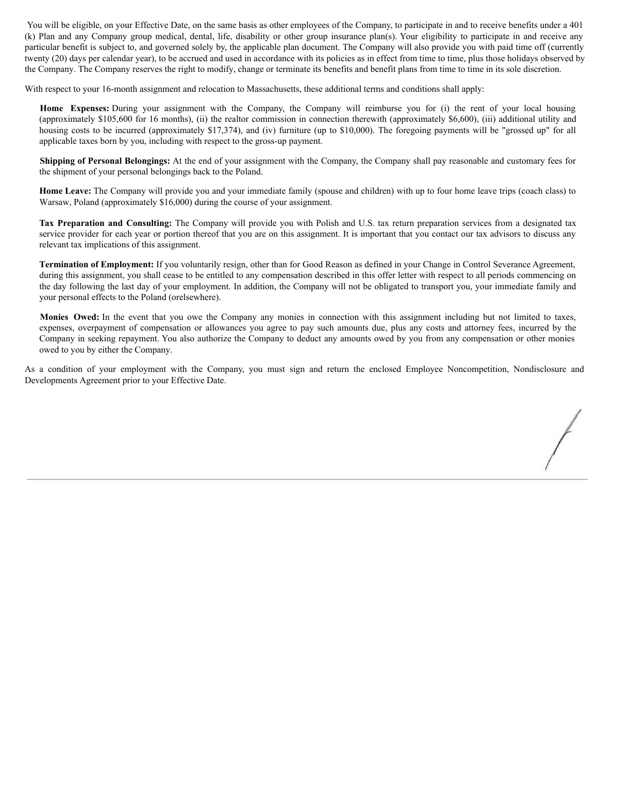<span id="page-34-0"></span>You will be eligible, on your Effective Date, on the same basis as other employees of the Company, to participate in and to receive benefits under a 401 (k) Plan and any Company group medical, dental, life, disability or other group insurance plan(s). Your eligibility to participate in and receive any particular benefit is subject to, and governed solely by, the applicable plan document. The Company will also provide you with paid time off (currently twenty (20) days per calendar year), to be accrued and used in accordance with its policies as in effect from time to time, plus those holidays observed by the Company. The Company reserves the right to modify, change or terminate its benefits and benefit plans from time to time in its sole discretion.

With respect to your 16-month assignment and relocation to Massachusetts, these additional terms and conditions shall apply:

**Home Expenses:** During your assignment with the Company, the Company will reimburse you for (i) the rent of your local housing (approximately \$105,600 for 16 months), (ii) the realtor commission in connection therewith (approximately \$6,600), (iii) additional utility and housing costs to be incurred (approximately \$17,374), and (iv) furniture (up to \$10,000). The foregoing payments will be "grossed up" for all applicable taxes born by you, including with respect to the gross-up payment.

**Shipping of Personal Belongings:** At the end of your assignment with the Company, the Company shall pay reasonable and customary fees for the shipment of your personal belongings back to the Poland.

**Home Leave:** The Company will provide you and your immediate family (spouse and children) with up to four home leave trips (coach class) to Warsaw, Poland (approximately \$16,000) during the course of your assignment.

**Tax Preparation and Consulting:** The Company will provide you with Polish and U.S. tax return preparation services from a designated tax service provider for each year or portion thereof that you are on this assignment. It is important that you contact our tax advisors to discuss any relevant tax implications of this assignment.

**Termination of Employment:** If you voluntarily resign, other than for Good Reason as defined in your Change in Control Severance Agreement, during this assignment, you shall cease to be entitled to any compensation described in this offer letter with respect to all periods commencing on the day following the last day of your employment. In addition, the Company will not be obligated to transport you, your immediate family and your personal effects to the Poland (orelsewhere).

**Monies Owed:** In the event that you owe the Company any monies in connection with this assignment including but not limited to taxes, expenses, overpayment of compensation or allowances you agree to pay such amounts due, plus any costs and attorney fees, incurred by the Company in seeking repayment. You also authorize the Company to deduct any amounts owed by you from any compensation or other monies owed to you by either the Company.

As a condition of your employment with the Company, you must sign and return the enclosed Employee Noncompetition, Nondisclosure and Developments Agreement prior to your Effective Date.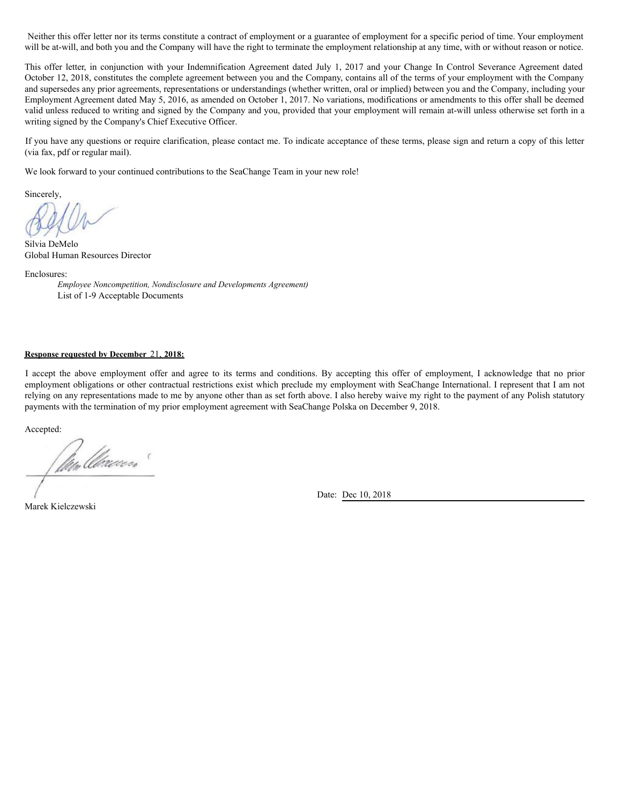Neither this offer letter nor its terms constitute a contract of employment or a guarantee of employment for a specific period of time. Your employment will be at-will, and both you and the Company will have the right to terminate the employment relationship at any time, with or without reason or notice.

This offer letter, in conjunction with your Indemnification Agreement dated July 1, 2017 and your Change In Control Severance Agreement dated October 12, 2018, constitutes the complete agreement between you and the Company, contains all of the terms of your employment with the Company and supersedes any prior agreements, representations or understandings (whether written, oral or implied) between you and the Company, including your Employment Agreement dated May 5, 2016, as amended on October 1, 2017. No variations, modifications or amendments to this offer shall be deemed valid unless reduced to writing and signed by the Company and you, provided that your employment will remain at-will unless otherwise set forth in a writing signed by the Company's Chief Executive Officer.

If you have any questions or require clarification, please contact me. To indicate acceptance of these terms, please sign and return a copy of this letter (via fax, pdf or regular mail).

We look forward to your continued contributions to the SeaChange Team in your new role!

Sincerely,

Silvia DeMelo Global Human Resources Director

Enclosures: *Employee Noncompetition, Nondisclosure and Developments Agreement)* List of 1-9 Acceptable Documents

#### **Response requested by December** 21, **2018:**

I accept the above employment offer and agree to its terms and conditions. By accepting this offer of employment, I acknowledge that no prior employment obligations or other contractual restrictions exist which preclude my employment with SeaChange International. I represent that I am not relying on any representations made to me by anyone other than as set forth above. I also hereby waive my right to the payment of any Polish statutory payments with the termination of my prior employment agreement with SeaChange Polska on December 9, 2018.

Accepted:

fter Alexan

Marek Kielczewski

Date: Dec 10, 2018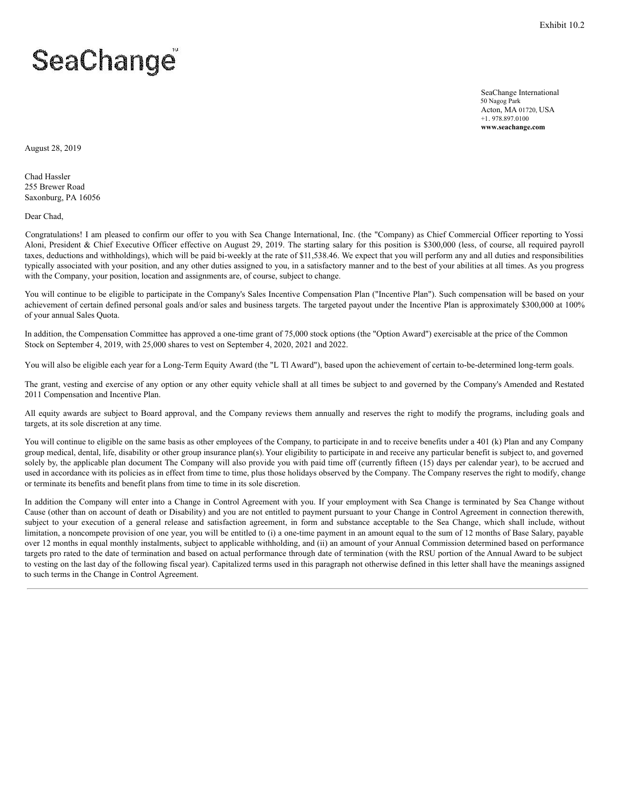SeaChange International 50 Nagog Park Acton, MA 01720, USA +1. 978.897.0100 **www.seachange.com**

# <span id="page-36-0"></span>**SeaChange**

August 28, 2019

Chad Hassler 255 Brewer Road Saxonburg, PA 16056

Dear Chad,

Congratulations! I am pleased to confirm our offer to you with Sea Change International, Inc. (the "Company) as Chief Commercial Officer reporting to Yossi Aloni, President & Chief Executive Officer effective on August 29, 2019. The starting salary for this position is \$300,000 (less, of course, all required payroll taxes, deductions and withholdings), which will be paid bi-weekly at the rate of \$11,538.46. We expect that you will perform any and all duties and responsibilities typically associated with your position, and any other duties assigned to you, in a satisfactory manner and to the best of your abilities at all times. As you progress with the Company, your position, location and assignments are, of course, subject to change.

You will continue to be eligible to participate in the Company's Sales Incentive Compensation Plan ("Incentive Plan"). Such compensation will be based on your achievement of certain defined personal goals and/or sales and business targets. The targeted payout under the Incentive Plan is approximately \$300,000 at 100% of your annual Sales Quota.

In addition, the Compensation Committee has approved a one-time grant of 75,000 stock options (the "Option Award") exercisable at the price of the Common Stock on September 4, 2019, with 25,000 shares to vest on September 4, 2020, 2021 and 2022.

You will also be eligible each year for a Long-Term Equity Award (the "L Tl Award"), based upon the achievement of certain to-be-determined long-term goals.

The grant, vesting and exercise of any option or any other equity vehicle shall at all times be subject to and governed by the Company's Amended and Restated 2011 Compensation and Incentive Plan.

All equity awards are subject to Board approval, and the Company reviews them annually and reserves the right to modify the programs, including goals and targets, at its sole discretion at any time.

You will continue to eligible on the same basis as other employees of the Company, to participate in and to receive benefits under a 401 (k) Plan and any Company group medical, dental, life, disability or other group insurance plan(s). Your eligibility to participate in and receive any particular benefit is subject to, and governed solely by, the applicable plan document The Company will also provide you with paid time off (currently fifteen (15) days per calendar year), to be accrued and used in accordance with its policies as in effect from time to time, plus those holidays observed by the Company. The Company reserves the right to modify, change or terminate its benefits and benefit plans from time to time in its sole discretion.

In addition the Company will enter into a Change in Control Agreement with you. If your employment with Sea Change is terminated by Sea Change without Cause (other than on account of death or Disability) and you are not entitled to payment pursuant to your Change in Control Agreement in connection therewith, subject to your execution of a general release and satisfaction agreement, in form and substance acceptable to the Sea Change, which shall include, without limitation, a noncompete provision of one year, you will be entitled to (i) a one-time payment in an amount equal to the sum of 12 months of Base Salary, payable over 12 months in equal monthly instalments, subject to applicable withholding, and (ii) an amount of your Annual Commission determined based on performance targets pro rated to the date of termination and based on actual performance through date of termination (with the RSU portion of the Annual Award to be subject to vesting on the last day of the following fiscal year). Capitalized terms used in this paragraph not otherwise defined in this letter shall have the meanings assigned to such terms in the Change in Control Agreement.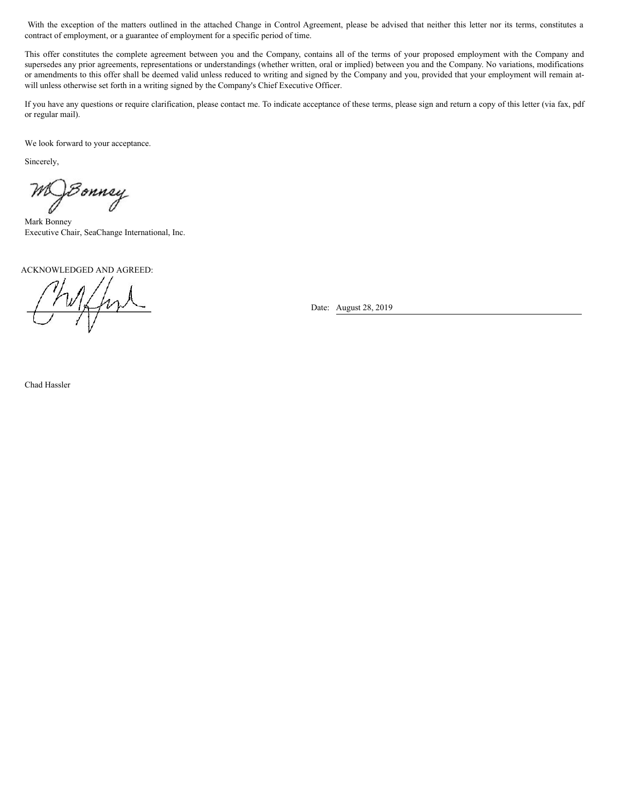With the exception of the matters outlined in the attached Change in Control Agreement, please be advised that neither this letter nor its terms, constitutes a contract of employment, or a guarantee of employment for a specific period of time.

This offer constitutes the complete agreement between you and the Company, contains all of the terms of your proposed employment with the Company and supersedes any prior agreements, representations or understandings (whether written, oral or implied) between you and the Company. No variations, modifications or amendments to this offer shall be deemed valid unless reduced to writing and signed by the Company and you, provided that your employment will remain atwill unless otherwise set forth in a writing signed by the Company's Chief Executive Officer.

If you have any questions or require clarification, please contact me. To indicate acceptance of these terms, please sign and return a copy of this letter (via fax, pdf or regular mail).

We look forward to your acceptance.

Sincerely,

JBonney WB

Mark Bonney Executive Chair, SeaChange International, Inc.

ACKNOWLEDGED AND AGREED:

Within

Date: August 28, 2019

Chad Hassler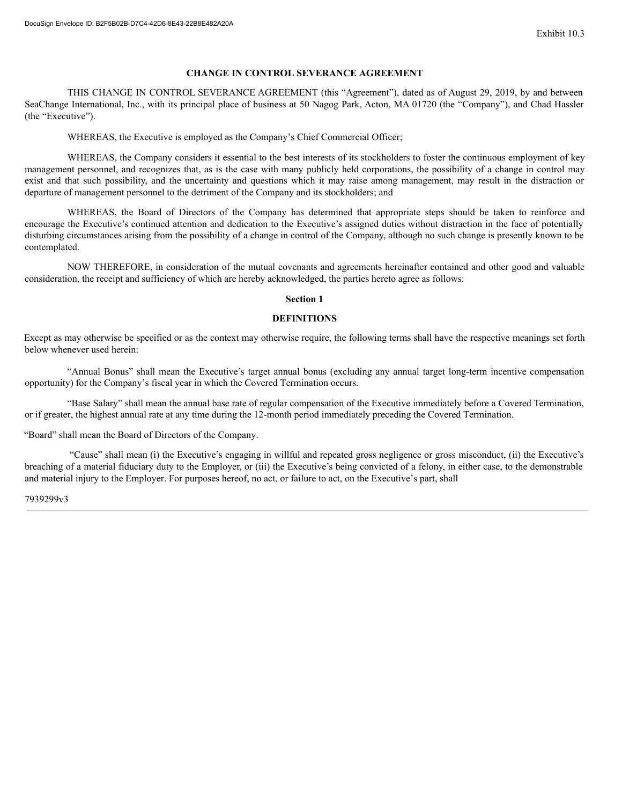# **CHANGE IN CONTROL SEVERANCE AGREEMENT**

THIS CHANGE IN CONTROL SEVERANCE AGREEMENT (this "Agreement"), dated as of August 29, 2019, by and between SeaChange International, Inc., with its principal place of business at 50 Nagog Park, Acton, MA 01720 (the "Company"), and Chad Hassler (the "Executive").

WHEREAS, the Executive is employed as the Company's Chief Commercial Officer;

WHEREAS, the Company considers it essential to the best interests of its stockholders to foster the continuous employment of key management personnel, and recognizes that, as is the case with many publicly held corporations, the possibility of a change in control may exist and that such possibility, and the uncertainty and questions which it may raise among management, may result in the distraction or departure of management personnel to the detriment of the Company and its stockholders; and

WHEREAS, the Board of Directors of the Company has determined that appropriate steps should be taken to reinforce and encourage the Executive's continued attention and dedication to the Executive's assigned duties without distraction in the face of potentially disturbing circumstances arising from the possibility of a change in control of the Company, although no such change is presently known to be contemplated.

NOW THEREFORE, in consideration of the mutual covenants and agreements hereinafter contained and other good and valuable consideration, the receipt and sufficiency of which are hereby acknowledged, the parties hereto agree as follows:

## **Section 1**

# **DEFINITIONS**

Except as may otherwise be specified or as the context may otherwise require, the following terms shall have the respective meanings set forth below whenever used herein:

"Annual Bonus" shall mean the Executive's target annual bonus (excluding any annual target long-term incentive compensation opportunity) for the Company's fiscal year in which the Covered Termination occurs.

"Base Salary" shall mean the annual base rate of regular compensation of the Executive immediately before a Covered Termination, or if greater, the highest annual rate at any time during the 12-month period immediately preceding the Covered Termination.

"Board" shall mean the Board of Directors of the Company.

"Cause" shall mean (i) the Executive's engaging in willful and repeated gross negligence or gross misconduct, (ii) the Executive's breaching of a material fiduciary duty to the Employer, or (iii) the Executive's being convicted of a felony, in either case, to the demonstrable and material injury to the Employer. For purposes hereof, no act, or failure to act, on the Executive's part, shall

7939299v3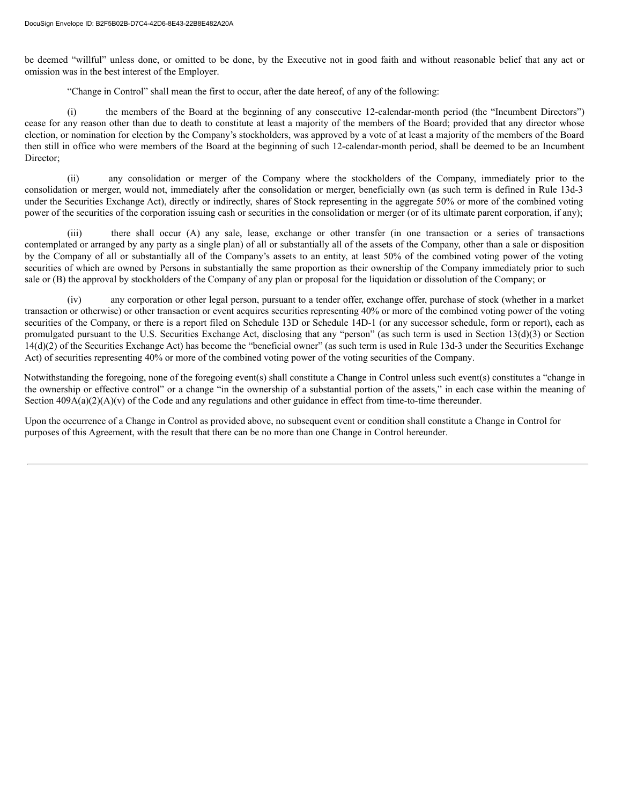be deemed "willful" unless done, or omitted to be done, by the Executive not in good faith and without reasonable belief that any act or omission was in the best interest of the Employer.

"Change in Control" shall mean the first to occur, after the date hereof, of any of the following:

(i) the members of the Board at the beginning of any consecutive 12-calendar-month period (the "Incumbent Directors") cease for any reason other than due to death to constitute at least a majority of the members of the Board; provided that any director whose election, or nomination for election by the Company's stockholders, was approved by a vote of at least a majority of the members of the Board then still in office who were members of the Board at the beginning of such 12-calendar-month period, shall be deemed to be an Incumbent Director;

(ii) any consolidation or merger of the Company where the stockholders of the Company, immediately prior to the consolidation or merger, would not, immediately after the consolidation or merger, beneficially own (as such term is defined in Rule 13d-3 under the Securities Exchange Act), directly or indirectly, shares of Stock representing in the aggregate 50% or more of the combined voting power of the securities of the corporation issuing cash or securities in the consolidation or merger (or of its ultimate parent corporation, if any);

there shall occur (A) any sale, lease, exchange or other transfer (in one transaction or a series of transactions contemplated or arranged by any party as a single plan) of all or substantially all of the assets of the Company, other than a sale or disposition by the Company of all or substantially all of the Company's assets to an entity, at least 50% of the combined voting power of the voting securities of which are owned by Persons in substantially the same proportion as their ownership of the Company immediately prior to such sale or (B) the approval by stockholders of the Company of any plan or proposal for the liquidation or dissolution of the Company; or

(iv) any corporation or other legal person, pursuant to a tender offer, exchange offer, purchase of stock (whether in a market transaction or otherwise) or other transaction or event acquires securities representing 40% or more of the combined voting power of the voting securities of the Company, or there is a report filed on Schedule 13D or Schedule 14D-1 (or any successor schedule, form or report), each as promulgated pursuant to the U.S. Securities Exchange Act, disclosing that any "person" (as such term is used in Section 13(d)(3) or Section 14(d)(2) of the Securities Exchange Act) has become the "beneficial owner" (as such term is used in Rule 13d-3 under the Securities Exchange Act) of securities representing 40% or more of the combined voting power of the voting securities of the Company.

Notwithstanding the foregoing, none of the foregoing event(s) shall constitute a Change in Control unless such event(s) constitutes a "change in the ownership or effective control" or a change "in the ownership of a substantial portion of the assets," in each case within the meaning of Section  $409A(a)(2)(A)(v)$  of the Code and any regulations and other guidance in effect from time-to-time thereunder.

Upon the occurrence of a Change in Control as provided above, no subsequent event or condition shall constitute a Change in Control for purposes of this Agreement, with the result that there can be no more than one Change in Control hereunder.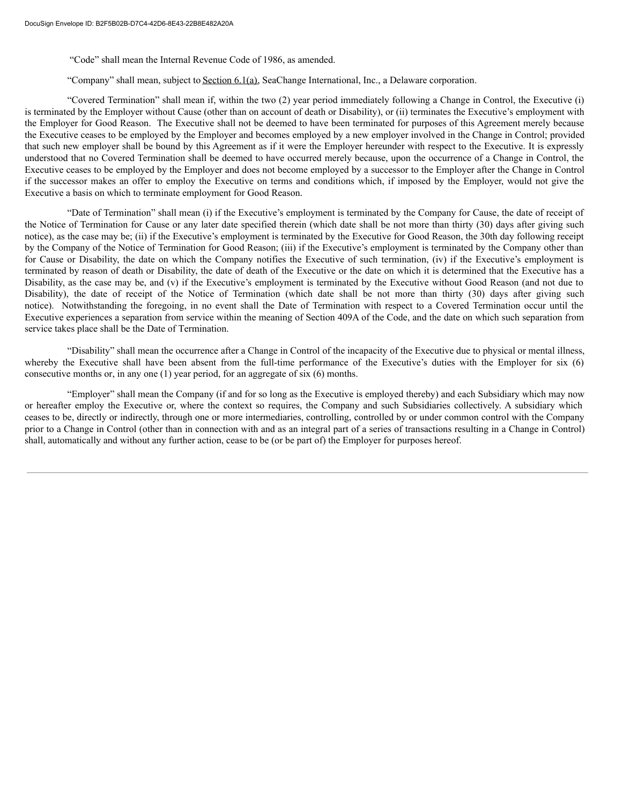"Code" shall mean the Internal Revenue Code of 1986, as amended.

"Company" shall mean, subject to Section 6.1(a), SeaChange International, Inc., a Delaware corporation.

"Covered Termination" shall mean if, within the two (2) year period immediately following a Change in Control, the Executive (i) is terminated by the Employer without Cause (other than on account of death or Disability), or (ii) terminates the Executive's employment with the Employer for Good Reason. The Executive shall not be deemed to have been terminated for purposes of this Agreement merely because the Executive ceases to be employed by the Employer and becomes employed by a new employer involved in the Change in Control; provided that such new employer shall be bound by this Agreement as if it were the Employer hereunder with respect to the Executive. It is expressly understood that no Covered Termination shall be deemed to have occurred merely because, upon the occurrence of a Change in Control, the Executive ceases to be employed by the Employer and does not become employed by a successor to the Employer after the Change in Control if the successor makes an offer to employ the Executive on terms and conditions which, if imposed by the Employer, would not give the Executive a basis on which to terminate employment for Good Reason.

"Date of Termination" shall mean (i) if the Executive's employment is terminated by the Company for Cause, the date of receipt of the Notice of Termination for Cause or any later date specified therein (which date shall be not more than thirty (30) days after giving such notice), as the case may be; (ii) if the Executive's employment is terminated by the Executive for Good Reason, the 30th day following receipt by the Company of the Notice of Termination for Good Reason; (iii) if the Executive's employment is terminated by the Company other than for Cause or Disability, the date on which the Company notifies the Executive of such termination, (iv) if the Executive's employment is terminated by reason of death or Disability, the date of death of the Executive or the date on which it is determined that the Executive has a Disability, as the case may be, and (v) if the Executive's employment is terminated by the Executive without Good Reason (and not due to Disability), the date of receipt of the Notice of Termination (which date shall be not more than thirty (30) days after giving such notice). Notwithstanding the foregoing, in no event shall the Date of Termination with respect to a Covered Termination occur until the Executive experiences a separation from service within the meaning of Section 409A of the Code, and the date on which such separation from service takes place shall be the Date of Termination.

"Disability" shall mean the occurrence after a Change in Control of the incapacity of the Executive due to physical or mental illness, whereby the Executive shall have been absent from the full-time performance of the Executive's duties with the Employer for six (6) consecutive months or, in any one (1) year period, for an aggregate of six (6) months.

"Employer" shall mean the Company (if and for so long as the Executive is employed thereby) and each Subsidiary which may now or hereafter employ the Executive or, where the context so requires, the Company and such Subsidiaries collectively. A subsidiary which ceases to be, directly or indirectly, through one or more intermediaries, controlling, controlled by or under common control with the Company prior to a Change in Control (other than in connection with and as an integral part of a series of transactions resulting in a Change in Control) shall, automatically and without any further action, cease to be (or be part of) the Employer for purposes hereof.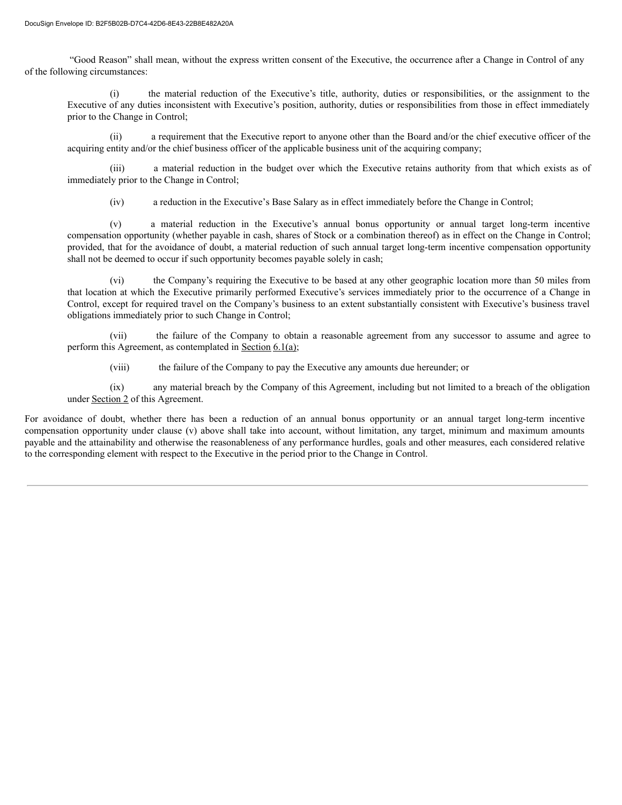"Good Reason" shall mean, without the express written consent of the Executive, the occurrence after a Change in Control of any of the following circumstances:

(i) the material reduction of the Executive's title, authority, duties or responsibilities, or the assignment to the Executive of any duties inconsistent with Executive's position, authority, duties or responsibilities from those in effect immediately prior to the Change in Control;

(ii) a requirement that the Executive report to anyone other than the Board and/or the chief executive officer of the acquiring entity and/or the chief business officer of the applicable business unit of the acquiring company;

(iii) a material reduction in the budget over which the Executive retains authority from that which exists as of immediately prior to the Change in Control;

(iv) a reduction in the Executive's Base Salary as in effect immediately before the Change in Control;

(v) a material reduction in the Executive's annual bonus opportunity or annual target long-term incentive compensation opportunity (whether payable in cash, shares of Stock or a combination thereof) as in effect on the Change in Control; provided, that for the avoidance of doubt, a material reduction of such annual target long-term incentive compensation opportunity shall not be deemed to occur if such opportunity becomes payable solely in cash;

(vi) the Company's requiring the Executive to be based at any other geographic location more than 50 miles from that location at which the Executive primarily performed Executive's services immediately prior to the occurrence of a Change in Control, except for required travel on the Company's business to an extent substantially consistent with Executive's business travel obligations immediately prior to such Change in Control;

(vii) the failure of the Company to obtain a reasonable agreement from any successor to assume and agree to perform this Agreement, as contemplated in Section 6.1(a);

(viii) the failure of the Company to pay the Executive any amounts due hereunder; or

(ix) any material breach by the Company of this Agreement, including but not limited to a breach of the obligation under Section 2 of this Agreement.

For avoidance of doubt, whether there has been a reduction of an annual bonus opportunity or an annual target long-term incentive compensation opportunity under clause (v) above shall take into account, without limitation, any target, minimum and maximum amounts payable and the attainability and otherwise the reasonableness of any performance hurdles, goals and other measures, each considered relative to the corresponding element with respect to the Executive in the period prior to the Change in Control.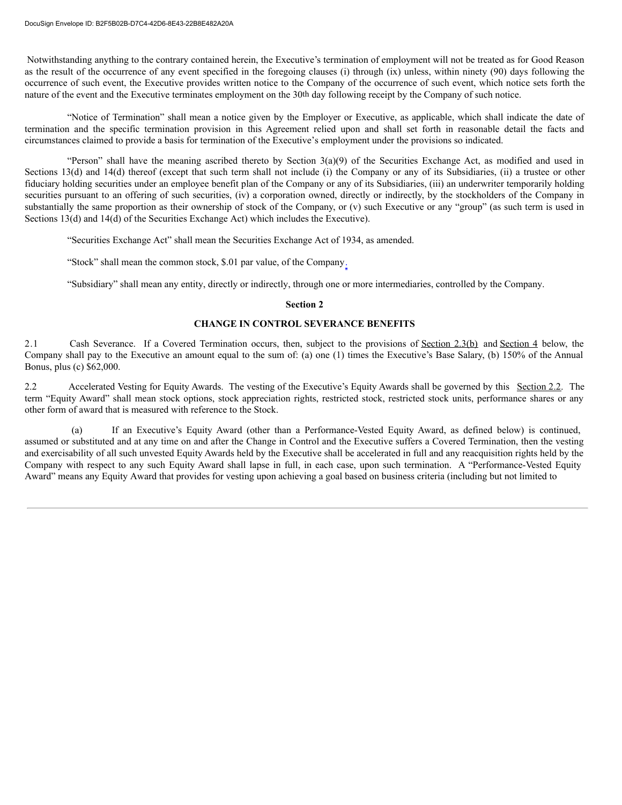Notwithstanding anything to the contrary contained herein, the Executive's termination of employment will not be treated as for Good Reason as the result of the occurrence of any event specified in the foregoing clauses (i) through (ix) unless, within ninety (90) days following the occurrence of such event, the Executive provides written notice to the Company of the occurrence of such event, which notice sets forth the nature of the event and the Executive terminates employment on the 30th day following receipt by the Company of such notice.

"Notice of Termination" shall mean a notice given by the Employer or Executive, as applicable, which shall indicate the date of termination and the specific termination provision in this Agreement relied upon and shall set forth in reasonable detail the facts and circumstances claimed to provide a basis for termination of the Executive's employment under the provisions so indicated.

"Person" shall have the meaning ascribed thereto by Section  $3(a)(9)$  of the Securities Exchange Act, as modified and used in Sections 13(d) and 14(d) thereof (except that such term shall not include (i) the Company or any of its Subsidiaries, (ii) a trustee or other fiduciary holding securities under an employee benefit plan of the Company or any of its Subsidiaries, (iii) an underwriter temporarily holding securities pursuant to an offering of such securities, (iv) a corporation owned, directly or indirectly, by the stockholders of the Company in substantially the same proportion as their ownership of stock of the Company, or (v) such Executive or any "group" (as such term is used in Sections 13(d) and 14(d) of the Securities Exchange Act) which includes the Executive).

"Securities Exchange Act" shall mean the Securities Exchange Act of 1934, as amended.

"Stock" shall mean the common stock, \$.01 par value, of the Company.

"Subsidiary" shall mean any entity, directly or indirectly, through one or more intermediaries, controlled by the Company.

# **Section 2**

# **CHANGE IN CONTROL SEVERANCE BENEFITS**

2.1 Cash Severance. If a Covered Termination occurs, then, subject to the provisions of Section 2.3(b) and Section 4 below, the Company shall pay to the Executive an amount equal to the sum of: (a) one (1) times the Executive's Base Salary, (b) 150% of the Annual Bonus, plus (c) \$62,000.

2.2 Accelerated Vesting for Equity Awards. The vesting of the Executive's Equity Awards shall be governed by this Section 2.2. The term "Equity Award" shall mean stock options, stock appreciation rights, restricted stock, restricted stock units, performance shares or any other form of award that is measured with reference to the Stock.

(a) If an Executive's Equity Award (other than a Performance-Vested Equity Award, as defined below) is continued, assumed or substituted and at any time on and after the Change in Control and the Executive suffers a Covered Termination, then the vesting and exercisability of all such unvested Equity Awards held by the Executive shall be accelerated in full and any reacquisition rights held by the Company with respect to any such Equity Award shall lapse in full, in each case, upon such termination. A "Performance-Vested Equity Award" means any Equity Award that provides for vesting upon achieving a goal based on business criteria (including but not limited to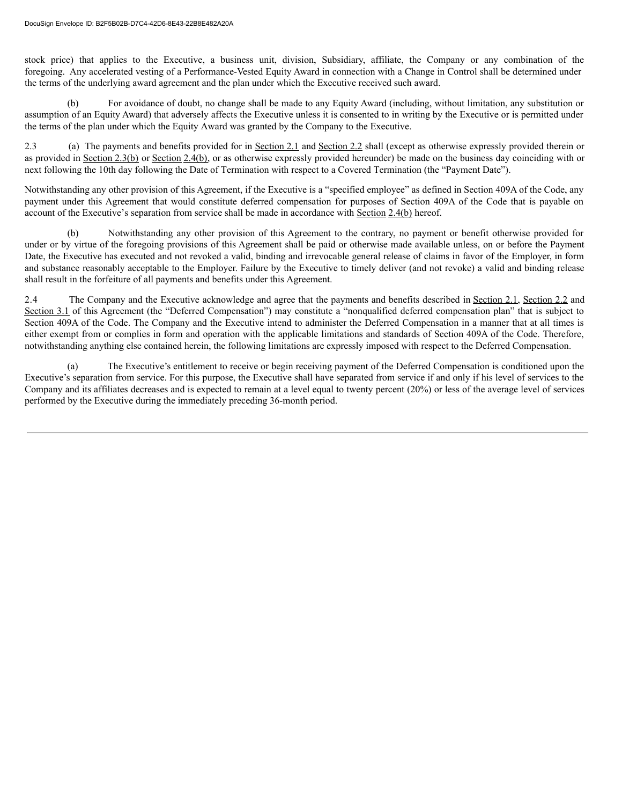stock price) that applies to the Executive, a business unit, division, Subsidiary, affiliate, the Company or any combination of the foregoing. Any accelerated vesting of a Performance-Vested Equity Award in connection with a Change in Control shall be determined under the terms of the underlying award agreement and the plan under which the Executive received such award.

(b) For avoidance of doubt, no change shall be made to any Equity Award (including, without limitation, any substitution or assumption of an Equity Award) that adversely affects the Executive unless it is consented to in writing by the Executive or is permitted under the terms of the plan under which the Equity Award was granted by the Company to the Executive.

2.3 (a) The payments and benefits provided for in Section 2.1 and Section 2.2 shall (except as otherwise expressly provided therein or as provided in Section 2.3(b) or Section 2.4(b), or as otherwise expressly provided hereunder) be made on the business day coinciding with or next following the 10th day following the Date of Termination with respect to a Covered Termination (the "Payment Date").

Notwithstanding any other provision of this Agreement, if the Executive is a "specified employee" as defined in Section 409A of the Code, any payment under this Agreement that would constitute deferred compensation for purposes of Section 409A of the Code that is payable on account of the Executive's separation from service shall be made in accordance with Section 2.4(b) hereof.

Notwithstanding any other provision of this Agreement to the contrary, no payment or benefit otherwise provided for under or by virtue of the foregoing provisions of this Agreement shall be paid or otherwise made available unless, on or before the Payment Date, the Executive has executed and not revoked a valid, binding and irrevocable general release of claims in favor of the Employer, in form and substance reasonably acceptable to the Employer. Failure by the Executive to timely deliver (and not revoke) a valid and binding release shall result in the forfeiture of all payments and benefits under this Agreement.

2.4 The Company and the Executive acknowledge and agree that the payments and benefits described in Section 2.1, Section 2.2 and Section 3.1 of this Agreement (the "Deferred Compensation") may constitute a "nonqualified deferred compensation plan" that is subject to Section 409A of the Code. The Company and the Executive intend to administer the Deferred Compensation in a manner that at all times is either exempt from or complies in form and operation with the applicable limitations and standards of Section 409A of the Code. Therefore, notwithstanding anything else contained herein, the following limitations are expressly imposed with respect to the Deferred Compensation.

(a) The Executive's entitlement to receive or begin receiving payment of the Deferred Compensation is conditioned upon the Executive's separation from service. For this purpose, the Executive shall have separated from service if and only if his level of services to the Company and its affiliates decreases and is expected to remain at a level equal to twenty percent (20%) or less of the average level of services performed by the Executive during the immediately preceding 36-month period.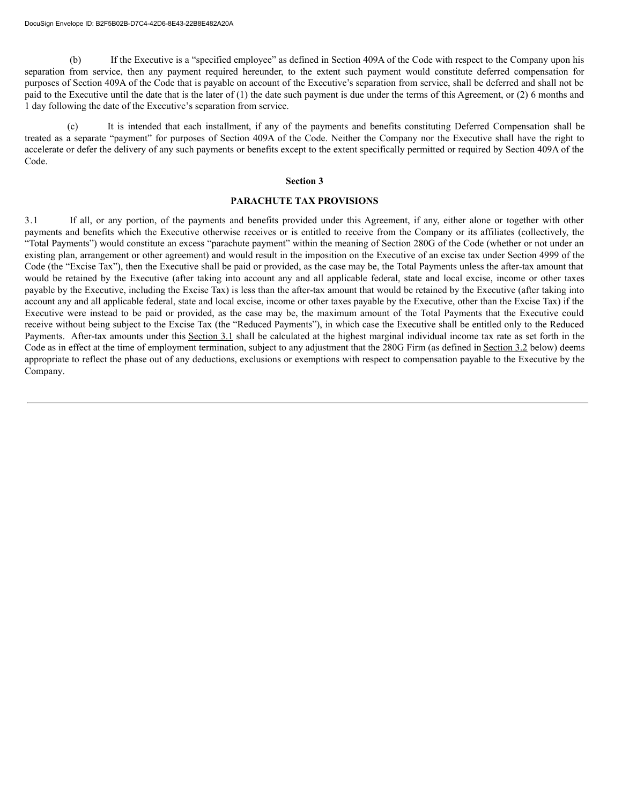<span id="page-44-0"></span>(b) If the Executive is a "specified employee" as defined in Section 409A of the Code with respect to the Company upon his separation from service, then any payment required hereunder, to the extent such payment would constitute deferred compensation for purposes of Section 409A of the Code that is payable on account of the Executive's separation from service, shall be deferred and shall not be paid to the Executive until the date that is the later of (1) the date such payment is due under the terms of this Agreement, or (2) 6 months and 1 day following the date of the Executive's separation from service.

It is intended that each installment, if any of the payments and benefits constituting Deferred Compensation shall be treated as a separate "payment" for purposes of Section 409A of the Code. Neither the Company nor the Executive shall have the right to accelerate or defer the delivery of any such payments or benefits except to the extent specifically permitted or required by Section 409A of the Code.

# **Section 3**

# **PARACHUTE TAX PROVISIONS**

3.1 If all, or any portion, of the payments and benefits provided under this Agreement, if any, either alone or together with other payments and benefits which the Executive otherwise receives or is entitled to receive from the Company or its affiliates (collectively, the "Total Payments") would constitute an excess "parachute payment" within the meaning of Section 280G of the Code (whether or not under an existing plan, arrangement or other agreement) and would result in the imposition on the Executive of an excise tax under Section 4999 of the Code (the "Excise Tax"), then the Executive shall be paid or provided, as the case may be, the Total Payments unless the after-tax amount that would be retained by the Executive (after taking into account any and all applicable federal, state and local excise, income or other taxes payable by the Executive, including the Excise Tax) is less than the after-tax amount that would be retained by the Executive (after taking into account any and all applicable federal, state and local excise, income or other taxes payable by the Executive, other than the Excise Tax) if the Executive were instead to be paid or provided, as the case may be, the maximum amount of the Total Payments that the Executive could receive without being subject to the Excise Tax (the "Reduced Payments"), in which case the Executive shall be entitled only to the Reduced Payments. After-tax amounts under this Section 3.1 shall be calculated at the highest marginal individual income tax rate as set forth in the Code as in effect at the time of employment termination, subject to any adjustment that the 280G Firm (as defined in Section 3.2 below) deems appropriate to reflect the phase out of any deductions, exclusions or exemptions with respect to compensation payable to the Executive by the Company.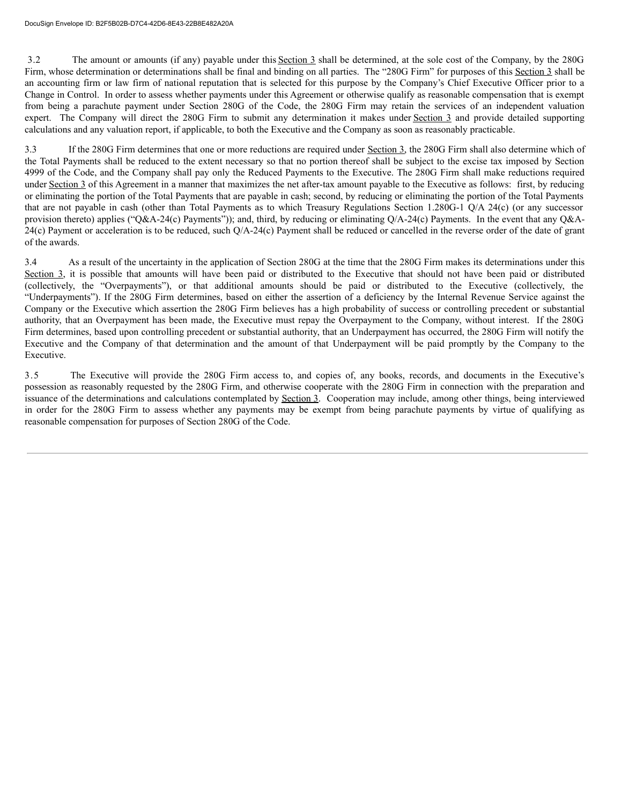3.2 The amount or amounts (if any) payable under this Section 3 shall be determined, at the sole cost of the Company, by the 280G Firm, whose determination or determinations shall be final and binding on all parties. The "280G Firm" for purposes of this Section 3 shall be an accounting firm or law firm of national reputation that is selected for this purpose by the Company's Chief Executive Officer prior to a Change in Control. In order to assess whether payments under this Agreement or otherwise qualify as reasonable compensation that is exempt from being a parachute payment under Section 280G of the Code, the 280G Firm may retain the services of an independent valuation expert. The Company will direct the 280G Firm to submit any determination it makes under Section 3 and provide detailed supporting calculations and any valuation report, if applicable, to both the Executive and the Company as soon as reasonably practicable.

3.3 If the 280G Firm determines that one or more reductions are required under Section 3, the 280G Firm shall also determine which of the Total Payments shall be reduced to the extent necessary so that no portion thereof shall be subject to the excise tax imposed by Section 4999 of the Code, and the Company shall pay only the Reduced Payments to the Executive. The 280G Firm shall make reductions required under Section 3 of this Agreement in a manner that maximizes the net after-tax amount payable to the Executive as follows: first, by reducing or eliminating the portion of the Total Payments that are payable in cash; second, by reducing or eliminating the portion of the Total Payments that are not payable in cash (other than Total Payments as to which Treasury Regulations Section 1.280G-1 Q/A 24(c) (or any successor provision thereto) applies ("Q&A-24(c) Payments")); and, third, by reducing or eliminating Q/A-24(c) Payments. In the event that any Q&A-24(c) Payment or acceleration is to be reduced, such Q/A-24(c) Payment shall be reduced or cancelled in the reverse order of the date of grant of the awards.

3.4 As a result of the uncertainty in the application of Section 280G at the time that the 280G Firm makes its determinations under this Section 3, it is possible that amounts will have been paid or distributed to the Executive that should not have been paid or distributed (collectively, the "Overpayments"), or that additional amounts should be paid or distributed to the Executive (collectively, the "Underpayments"). If the 280G Firm determines, based on either the assertion of a deficiency by the Internal Revenue Service against the Company or the Executive which assertion the 280G Firm believes has a high probability of success or controlling precedent or substantial authority, that an Overpayment has been made, the Executive must repay the Overpayment to the Company, without interest. If the 280G Firm determines, based upon controlling precedent or substantial authority, that an Underpayment has occurred, the 280G Firm will notify the Executive and the Company of that determination and the amount of that Underpayment will be paid promptly by the Company to the Executive.

3.5 The Executive will provide the 280G Firm access to, and copies of, any books, records, and documents in the Executive's possession as reasonably requested by the 280G Firm, and otherwise cooperate with the 280G Firm in connection with the preparation and issuance of the determinations and calculations contemplated by Section 3. Cooperation may include, among other things, being interviewed in order for the 280G Firm to assess whether any payments may be exempt from being parachute payments by virtue of qualifying as reasonable compensation for purposes of Section 280G of the Code.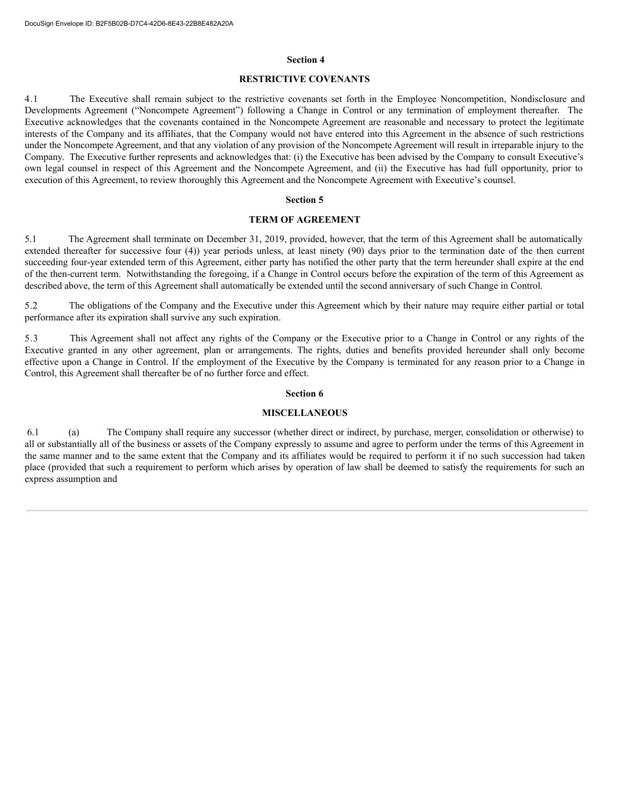#### **Section 4**

# **RESTRICTIVE COVENANTS**

4.1 The Executive shall remain subject to the restrictive covenants set forth in the Employee Noncompetition, Nondisclosure and Developments Agreement ("Noncompete Agreement") following a Change in Control or any termination of employment thereafter. The Executive acknowledges that the covenants contained in the Noncompete Agreement are reasonable and necessary to protect the legitimate interests of the Company and its affiliates, that the Company would not have entered into this Agreement in the absence of such restrictions under the Noncompete Agreement, and that any violation of any provision of the Noncompete Agreement will result in irreparable injury to the Company. The Executive further represents and acknowledges that: (i) the Executive has been advised by the Company to consult Executive's own legal counsel in respect of this Agreement and the Noncompete Agreement, and (ii) the Executive has had full opportunity, prior to execution of this Agreement, to review thoroughly this Agreement and the Noncompete Agreement with Executive's counsel.

# **Section 5**

# **TERM OF AGREEMENT**

5.1 The Agreement shall terminate on December 31, 2019, provided, however, that the term of this Agreement shall be automatically extended thereafter for successive four (4)) year periods unless, at least ninety (90) days prior to the termination date of the then current succeeding four-year extended term of this Agreement, either party has notified the other party that the term hereunder shall expire at the end of the then-current term. Notwithstanding the foregoing, if a Change in Control occurs before the expiration of the term of this Agreement as described above, the term of this Agreement shall automatically be extended until the second anniversary of such Change in Control.

5.2 The obligations of the Company and the Executive under this Agreement which by their nature may require either partial or total performance after its expiration shall survive any such expiration.

5.3 This Agreement shall not affect any rights of the Company or the Executive prior to a Change in Control or any rights of the Executive granted in any other agreement, plan or arrangements. The rights, duties and benefits provided hereunder shall only become effective upon a Change in Control. If the employment of the Executive by the Company is terminated for any reason prior to a Change in Control, this Agreement shall thereafter be of no further force and effect.

# **Section 6**

## **MISCELLANEOUS**

6.1 (a) The Company shall require any successor (whether direct or indirect, by purchase, merger, consolidation or otherwise) to all or substantially all of the business or assets of the Company expressly to assume and agree to perform under the terms of this Agreement in the same manner and to the same extent that the Company and its affiliates would be required to perform it if no such succession had taken place (provided that such a requirement to perform which arises by operation of law shall be deemed to satisfy the requirements for such an express assumption and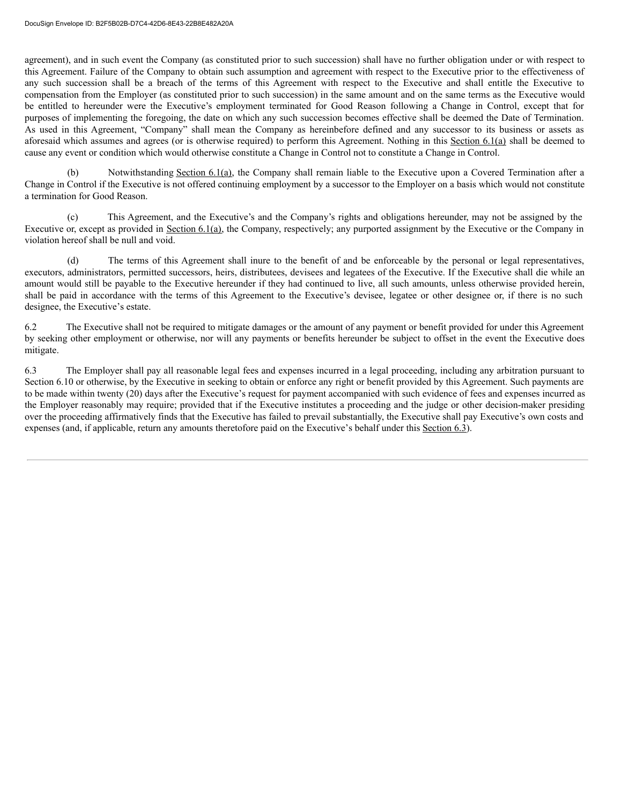agreement), and in such event the Company (as constituted prior to such succession) shall have no further obligation under or with respect to this Agreement. Failure of the Company to obtain such assumption and agreement with respect to the Executive prior to the effectiveness of any such succession shall be a breach of the terms of this Agreement with respect to the Executive and shall entitle the Executive to compensation from the Employer (as constituted prior to such succession) in the same amount and on the same terms as the Executive would be entitled to hereunder were the Executive's employment terminated for Good Reason following a Change in Control, except that for purposes of implementing the foregoing, the date on which any such succession becomes effective shall be deemed the Date of Termination. As used in this Agreement, "Company" shall mean the Company as hereinbefore defined and any successor to its business or assets as aforesaid which assumes and agrees (or is otherwise required) to perform this Agreement. Nothing in this Section 6.1(a) shall be deemed to cause any event or condition which would otherwise constitute a Change in Control not to constitute a Change in Control.

(b) Notwithstanding Section 6.1(a), the Company shall remain liable to the Executive upon a Covered Termination after a Change in Control if the Executive is not offered continuing employment by a successor to the Employer on a basis which would not constitute a termination for Good Reason.

(c) This Agreement, and the Executive's and the Company's rights and obligations hereunder, may not be assigned by the Executive or, except as provided in Section 6.1(a), the Company, respectively; any purported assignment by the Executive or the Company in violation hereof shall be null and void.

(d) The terms of this Agreement shall inure to the benefit of and be enforceable by the personal or legal representatives, executors, administrators, permitted successors, heirs, distributees, devisees and legatees of the Executive. If the Executive shall die while an amount would still be payable to the Executive hereunder if they had continued to live, all such amounts, unless otherwise provided herein, shall be paid in accordance with the terms of this Agreement to the Executive's devisee, legatee or other designee or, if there is no such designee, the Executive's estate.

6.2 The Executive shall not be required to mitigate damages or the amount of any payment or benefit provided for under this Agreement by seeking other employment or otherwise, nor will any payments or benefits hereunder be subject to offset in the event the Executive does mitigate.

6.3 The Employer shall pay all reasonable legal fees and expenses incurred in a legal proceeding, including any arbitration pursuant to Section 6.10 or otherwise, by the Executive in seeking to obtain or enforce any right or benefit provided by this Agreement. Such payments are to be made within twenty (20) days after the Executive's request for payment accompanied with such evidence of fees and expenses incurred as the Employer reasonably may require; provided that if the Executive institutes a proceeding and the judge or other decision-maker presiding over the proceeding affirmatively finds that the Executive has failed to prevail substantially, the Executive shall pay Executive's own costs and expenses (and, if applicable, return any amounts theretofore paid on the Executive's behalf under this Section 6.3).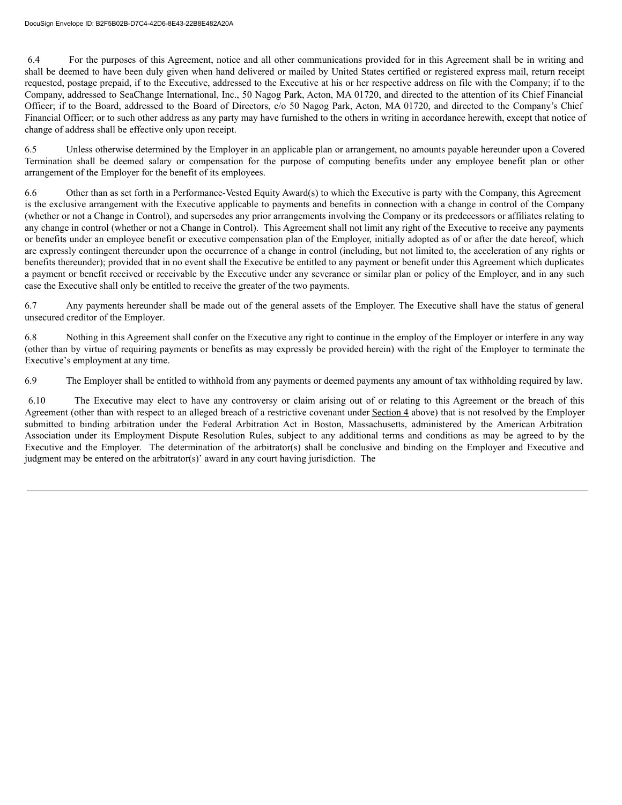6.4 For the purposes of this Agreement, notice and all other communications provided for in this Agreement shall be in writing and shall be deemed to have been duly given when hand delivered or mailed by United States certified or registered express mail, return receipt requested, postage prepaid, if to the Executive, addressed to the Executive at his or her respective address on file with the Company; if to the Company, addressed to SeaChange International, Inc., 50 Nagog Park, Acton, MA 01720, and directed to the attention of its Chief Financial Officer; if to the Board, addressed to the Board of Directors, c/o 50 Nagog Park, Acton, MA 01720, and directed to the Company's Chief Financial Officer; or to such other address as any party may have furnished to the others in writing in accordance herewith, except that notice of change of address shall be effective only upon receipt.

6.5 Unless otherwise determined by the Employer in an applicable plan or arrangement, no amounts payable hereunder upon a Covered Termination shall be deemed salary or compensation for the purpose of computing benefits under any employee benefit plan or other arrangement of the Employer for the benefit of its employees.

6.6 Other than as set forth in a Performance-Vested Equity Award(s) to which the Executive is party with the Company, this Agreement is the exclusive arrangement with the Executive applicable to payments and benefits in connection with a change in control of the Company (whether or not a Change in Control), and supersedes any prior arrangements involving the Company or its predecessors or affiliates relating to any change in control (whether or not a Change in Control). This Agreement shall not limit any right of the Executive to receive any payments or benefits under an employee benefit or executive compensation plan of the Employer, initially adopted as of or after the date hereof, which are expressly contingent thereunder upon the occurrence of a change in control (including, but not limited to, the acceleration of any rights or benefits thereunder); provided that in no event shall the Executive be entitled to any payment or benefit under this Agreement which duplicates a payment or benefit received or receivable by the Executive under any severance or similar plan or policy of the Employer, and in any such case the Executive shall only be entitled to receive the greater of the two payments.

6.7 Any payments hereunder shall be made out of the general assets of the Employer. The Executive shall have the status of general unsecured creditor of the Employer.

6.8 Nothing in this Agreement shall confer on the Executive any right to continue in the employ of the Employer or interfere in any way (other than by virtue of requiring payments or benefits as may expressly be provided herein) with the right of the Employer to terminate the Executive's employment at any time.

6.9 The Employer shall be entitled to withhold from any payments or deemed payments any amount of tax withholding required by law.

6.10 The Executive may elect to have any controversy or claim arising out of or relating to this Agreement or the breach of this Agreement (other than with respect to an alleged breach of a restrictive covenant under Section 4 above) that is not resolved by the Employer submitted to binding arbitration under the Federal Arbitration Act in Boston, Massachusetts, administered by the American Arbitration Association under its Employment Dispute Resolution Rules, subject to any additional terms and conditions as may be agreed to by the Executive and the Employer. The determination of the arbitrator(s) shall be conclusive and binding on the Employer and Executive and judgment may be entered on the arbitrator(s)' award in any court having jurisdiction. The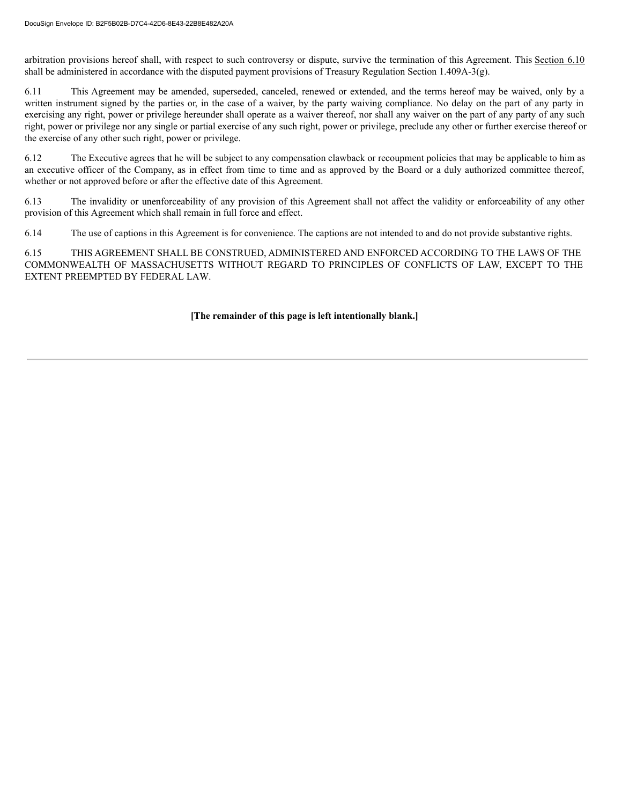arbitration provisions hereof shall, with respect to such controversy or dispute, survive the termination of this Agreement. This Section 6.10 shall be administered in accordance with the disputed payment provisions of Treasury Regulation Section 1.409A-3(g).

6.11 This Agreement may be amended, superseded, canceled, renewed or extended, and the terms hereof may be waived, only by a written instrument signed by the parties or, in the case of a waiver, by the party waiving compliance. No delay on the part of any party in exercising any right, power or privilege hereunder shall operate as a waiver thereof, nor shall any waiver on the part of any party of any such right, power or privilege nor any single or partial exercise of any such right, power or privilege, preclude any other or further exercise thereof or the exercise of any other such right, power or privilege.

6.12 The Executive agrees that he will be subject to any compensation clawback or recoupment policies that may be applicable to him as an executive officer of the Company, as in effect from time to time and as approved by the Board or a duly authorized committee thereof, whether or not approved before or after the effective date of this Agreement.

6.13 The invalidity or unenforceability of any provision of this Agreement shall not affect the validity or enforceability of any other provision of this Agreement which shall remain in full force and effect.

6.14 The use of captions in this Agreement is for convenience. The captions are not intended to and do not provide substantive rights.

6.15 THIS AGREEMENT SHALL BE CONSTRUED, ADMINISTERED AND ENFORCED ACCORDING TO THE LAWS OF THE COMMONWEALTH OF MASSACHUSETTS WITHOUT REGARD TO PRINCIPLES OF CONFLICTS OF LAW, EXCEPT TO THE EXTENT PREEMPTED BY FEDERAL LAW.

# **[The remainder of this page is left intentionally blank.]**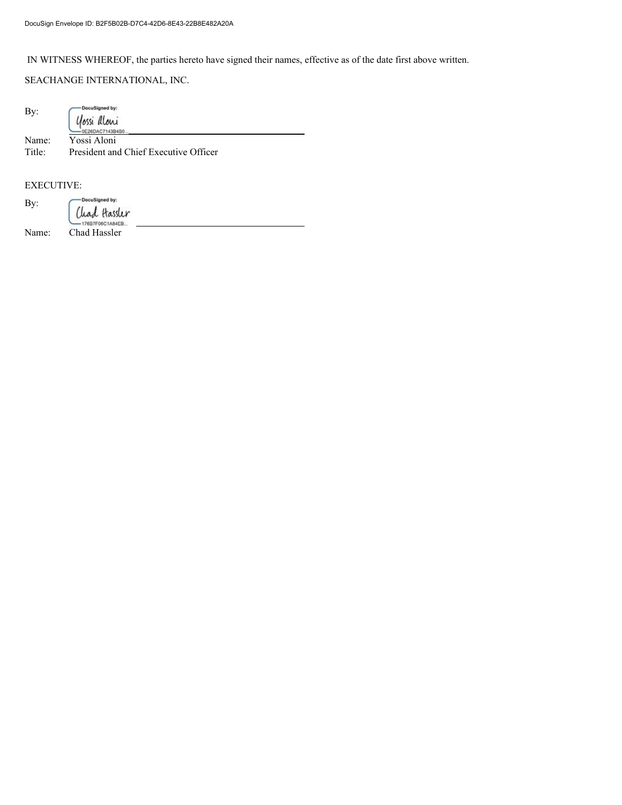IN WITNESS WHEREOF, the parties hereto have signed their names, effective as of the date first above written.

# SEACHANGE INTERNATIONAL, INC.

-DocuSigned by:

| Yossi Aloni<br>Name: | By:    | DocuSigned by:<br><i>Uossi Aloni</i><br>0E26DAC7143B4B0. |
|----------------------|--------|----------------------------------------------------------|
|                      | Title: | President and Chief Executive Officer                    |

# EXECUTIVE:

By:

Chad Hassler -176B7F06C1A84EB... Name: Chad Hassler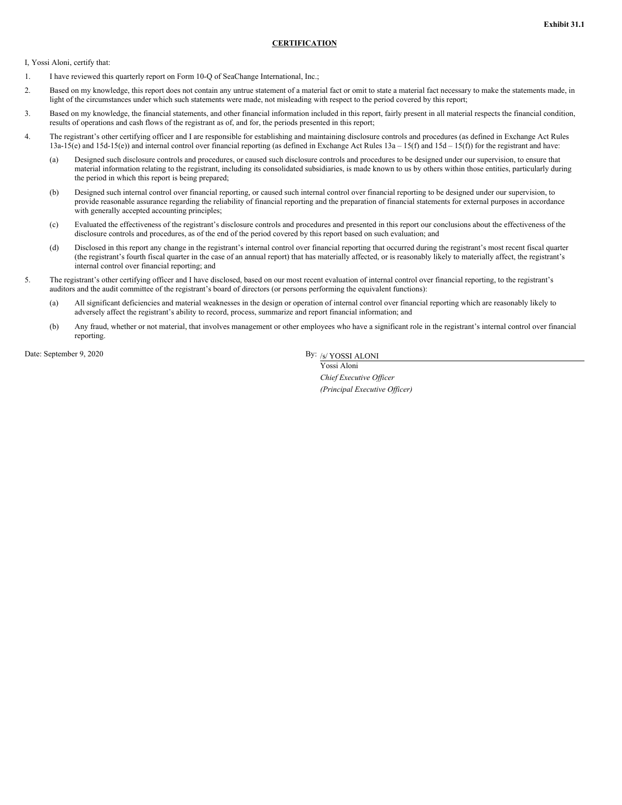#### **CERTIFICATION**

<span id="page-51-0"></span>I, Yossi Aloni, certify that:

- 1. I have reviewed this quarterly report on Form 10-Q of SeaChange International, Inc.;
- 2. Based on my knowledge, this report does not contain any untrue statement of a material fact or omit to state a material fact necessary to make the statements made, in light of the circumstances under which such statements were made, not misleading with respect to the period covered by this report;
- 3. Based on my knowledge, the financial statements, and other financial information included in this report, fairly present in all material respects the financial condition, results of operations and cash flows of the registrant as of, and for, the periods presented in this report;
- 4. The registrant's other certifying officer and I are responsible for establishing and maintaining disclosure controls and procedures (as defined in Exchange Act Rules 13a-15(e) and 15d-15(e)) and internal control over financial reporting (as defined in Exchange Act Rules 13a – 15(f) and 15d – 15(f)) for the registrant and have:
	- (a) Designed such disclosure controls and procedures, or caused such disclosure controls and procedures to be designed under our supervision, to ensure that material information relating to the registrant, including its consolidated subsidiaries, is made known to us by others within those entities, particularly during the period in which this report is being prepared;
	- (b) Designed such internal control over financial reporting, or caused such internal control over financial reporting to be designed under our supervision, to provide reasonable assurance regarding the reliability of financial reporting and the preparation of financial statements for external purposes in accordance with generally accepted accounting principles;
	- (c) Evaluated the effectiveness of the registrant's disclosure controls and procedures and presented in this report our conclusions about the effectiveness of the disclosure controls and procedures, as of the end of the period covered by this report based on such evaluation; and
	- (d) Disclosed in this report any change in the registrant's internal control over financial reporting that occurred during the registrant's most recent fiscal quarter (the registrant's fourth fiscal quarter in the case of an annual report) that has materially affected, or is reasonably likely to materially affect, the registrant's internal control over financial reporting; and
- 5. The registrant's other certifying officer and I have disclosed, based on our most recent evaluation of internal control over financial reporting, to the registrant's auditors and the audit committee of the registrant's board of directors (or persons performing the equivalent functions):
	- (a) All significant deficiencies and material weaknesses in the design or operation of internal control over financial reporting which are reasonably likely to adversely affect the registrant's ability to record, process, summarize and report financial information; and
	- (b) Any fraud, whether or not material, that involves management or other employees who have a significant role in the registrant's internal control over financial reporting.

Date: September 9, 2020

By:  $\frac{1}{s}$  YOSSI ALONI

Yossi Aloni *Chief Executive Of icer (Principal Executive Of icer)*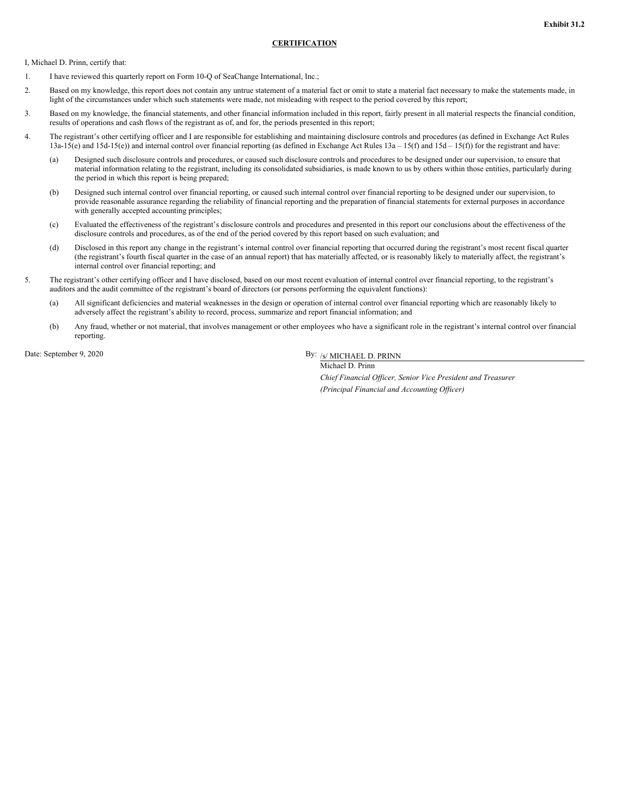#### **CERTIFICATION**

<span id="page-52-0"></span>I, Michael D. Prinn, certify that:

- 1. I have reviewed this quarterly report on Form 10-Q of SeaChange International, Inc.;
- 2. Based on my knowledge, this report does not contain any untrue statement of a material fact or omit to state a material fact necessary to make the statements made, in light of the circumstances under which such statements were made, not misleading with respect to the period covered by this report;
- 3. Based on my knowledge, the financial statements, and other financial information included in this report, fairly present in all material respects the financial condition, results of operations and cash flows of the registrant as of, and for, the periods presented in this report;
- 4. The registrant's other certifying officer and I are responsible for establishing and maintaining disclosure controls and procedures (as defined in Exchange Act Rules 13a-15(e) and 15d-15(e)) and internal control over financial reporting (as defined in Exchange Act Rules 13a – 15(f) and 15d – 15(f)) for the registrant and have:
	- (a) Designed such disclosure controls and procedures, or caused such disclosure controls and procedures to be designed under our supervision, to ensure that material information relating to the registrant, including its consolidated subsidiaries, is made known to us by others within those entities, particularly during the period in which this report is being prepared;
	- (b) Designed such internal control over financial reporting, or caused such internal control over financial reporting to be designed under our supervision, to provide reasonable assurance regarding the reliability of financial reporting and the preparation of financial statements for external purposes in accordance with generally accepted accounting principles;
	- (c) Evaluated the effectiveness of the registrant's disclosure controls and procedures and presented in this report our conclusions about the effectiveness of the disclosure controls and procedures, as of the end of the period covered by this report based on such evaluation; and
	- (d) Disclosed in this report any change in the registrant's internal control over financial reporting that occurred during the registrant's most recent fiscal quarter (the registrant's fourth fiscal quarter in the case of an annual report) that has materially affected, or is reasonably likely to materially affect, the registrant's internal control over financial reporting; and
- 5. The registrant's other certifying officer and I have disclosed, based on our most recent evaluation of internal control over financial reporting, to the registrant's auditors and the audit committee of the registrant's board of directors (or persons performing the equivalent functions):
	- (a) All significant deficiencies and material weaknesses in the design or operation of internal control over financial reporting which are reasonably likely to adversely affect the registrant's ability to record, process, summarize and report financial information; and
	- (b) Any fraud, whether or not material, that involves management or other employees who have a significant role in the registrant's internal control over financial reporting.

Date: September 9, 2020

By: /s/ MICHAEL D. PRINN Michael D. Prinn

> *Chief Financial Of icer, Senior Vice President and Treasurer (Principal Financial and Accounting Of icer)*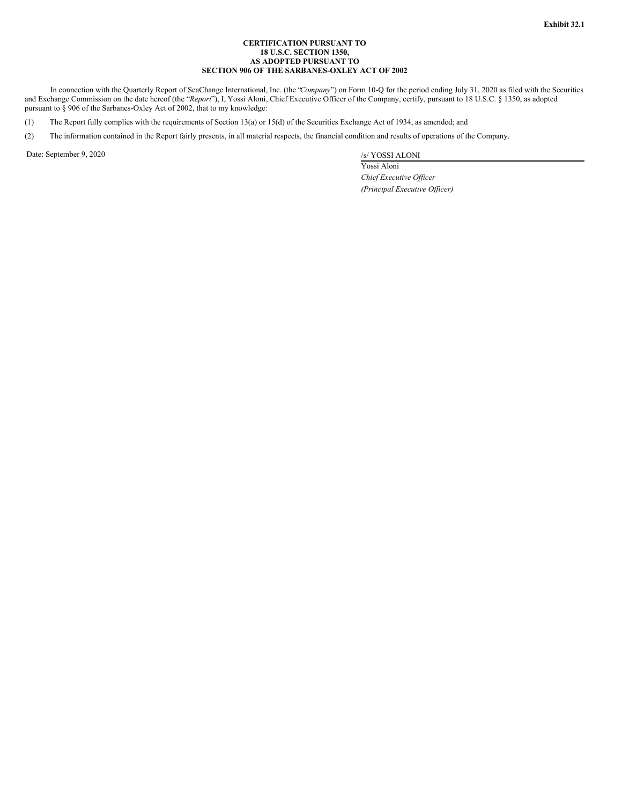#### **CERTIFICATION PURSUANT TO 18 U.S.C. SECTION 1350, AS ADOPTED PURSUANT TO SECTION 906 OF THE SARBANES-OXLEY ACT OF 2002**

<span id="page-53-0"></span>In connection with the Quarterly Report of SeaChange International, Inc. (the "*Company*") on Form 10-Q for the period ending July 31, 2020 as filed with the Securities and Exchange Commission on the date hereof (the "*Report*"), I, Yossi Aloni, Chief Executive Officer of the Company, certify, pursuant to 18 U.S.C. § 1350, as adopted pursuant to § 906 of the Sarbanes-Oxley Act of 2002, that to my knowledge:

(1) The Report fully complies with the requirements of Section 13(a) or 15(d) of the Securities Exchange Act of 1934, as amended; and

(2) The information contained in the Report fairly presents, in all material respects, the financial condition and results of operations of the Company.

Date: September 9, 2020 /s/ YOSSI ALONI

Yossi Aloni *Chief Executive Of icer (Principal Executive Of icer)*